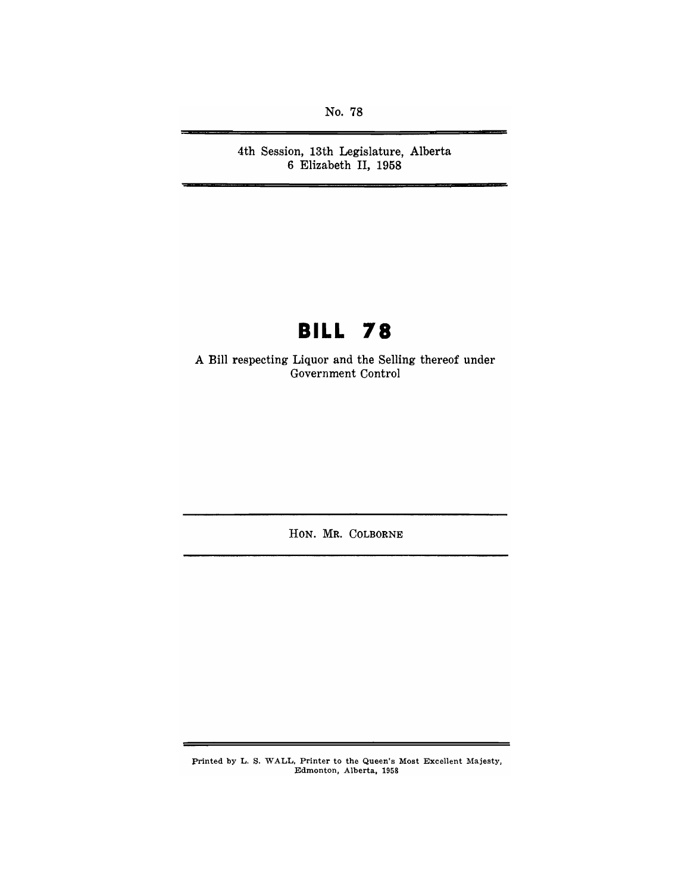No. 78

**4th Session, 13th Legislature, Alberta 6 Elizabeth II, 1958** 

# **BILL 78**

**A Bill respecting Liquor and the Selling thereof under Government Control** 

**HON. MR. COLBORNE** 

printed by L. S. WALL, Printer to the Queen's Most Excellent Majesty, Edmonton, Alberta, 1958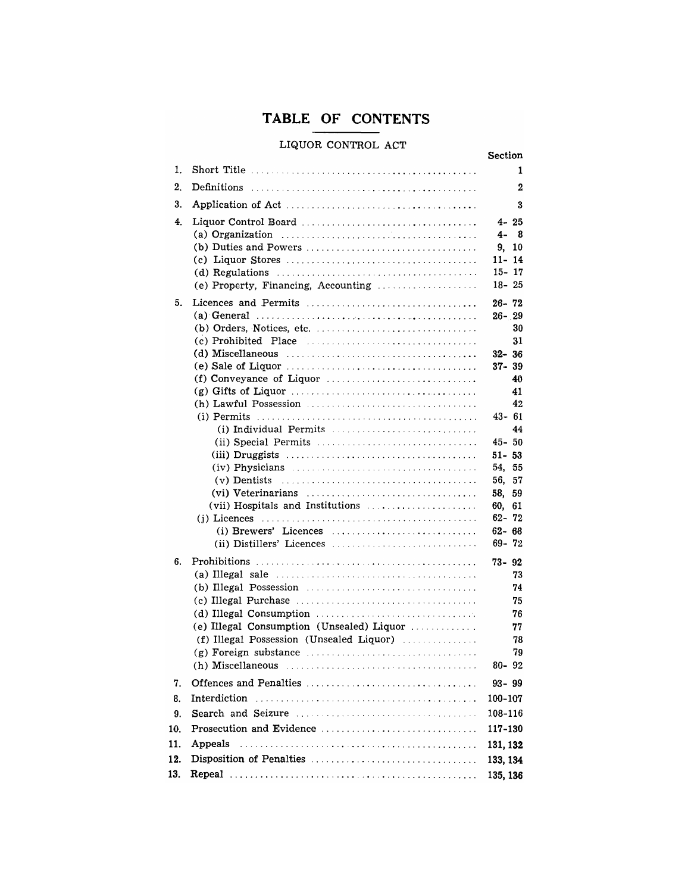## **TABLE OF CONTENTS**

### LIQUOR CONTROL ACT

|     | niann coiltigh unt                                                                                           | <b>Section</b>         |
|-----|--------------------------------------------------------------------------------------------------------------|------------------------|
| 1.  |                                                                                                              | 1                      |
| 2.  |                                                                                                              | 2                      |
| 3.  |                                                                                                              | 3                      |
| 4.  |                                                                                                              | $4 - 25$               |
|     | (a) Organization $\ldots \ldots \ldots \ldots \ldots \ldots \ldots \ldots \ldots \ldots \ldots$              | $4 - 8$                |
|     |                                                                                                              | 9, 10                  |
|     | (d) Regulations $\ldots \ldots \ldots \ldots \ldots \ldots \ldots \ldots \ldots \ldots \ldots \ldots$        | $11 - 14$<br>$15 - 17$ |
|     | (e) Property, Financing, Accounting                                                                          | 18-25                  |
| 5.  |                                                                                                              | $26 - 72$              |
|     |                                                                                                              | $26 - 29$              |
|     |                                                                                                              | 30                     |
|     |                                                                                                              | 31                     |
|     |                                                                                                              | $32 - 36$              |
|     |                                                                                                              | $37 - 39$              |
|     | (f) Conveyance of Liquor $\dots\dots\dots\dots\dots\dots\dots\dots\dots\dots\dots\dots$                      | 40<br>41               |
|     |                                                                                                              | 42                     |
|     |                                                                                                              | 43-61                  |
|     | (i) Individual Permits $\ldots, \ldots, \ldots, \ldots, \ldots, \ldots, \ldots$                              | 44                     |
|     |                                                                                                              | 45-50                  |
|     |                                                                                                              | $51 - 53$              |
|     | $(iv)$ Physicians $\ldots \ldots \ldots \ldots \ldots \ldots \ldots \ldots \ldots \ldots$                    | 54, 55<br>56, 57       |
|     |                                                                                                              | 58.<br>59              |
|     | (vii) Hospitals and Institutions                                                                             | 60,<br>61              |
|     |                                                                                                              | 62-72                  |
|     | (i) Brewers' Licences                                                                                        | $62 - 68$              |
|     |                                                                                                              | $69 - 72$              |
| 6.  |                                                                                                              | $73 - 92$              |
|     | (a) Illegal sale $\ldots \ldots \ldots \ldots \ldots \ldots \ldots \ldots \ldots \ldots \ldots \ldots$       | 73                     |
|     | (b) Illegal Possession $\ldots$ , $\ldots$ , $\ldots$ , $\ldots$ , $\ldots$ , $\ldots$ , $\ldots$ , $\ldots$ | 74                     |
|     | (d) Illegal Consumption $\ldots \ldots \ldots \ldots \ldots \ldots \ldots \ldots \ldots$                     | 75<br>76               |
|     | (e) Illegal Consumption (Unsealed) Liquor                                                                    | 77                     |
|     | (f) Illegal Possession (Unsealed Liquor)                                                                     | 78                     |
|     |                                                                                                              | 79                     |
|     | (h) Miscellaneous $\ldots \ldots \ldots \ldots \ldots \ldots \ldots \ldots \ldots \ldots \ldots$             | $80 - 92$              |
| 7.  |                                                                                                              | $93 - 99$              |
| 8.  |                                                                                                              | 100-107                |
| 9.  |                                                                                                              | 108-116                |
| 10. |                                                                                                              | 117-130                |
| 11. | Appeals                                                                                                      | 131, 132               |
| 12. |                                                                                                              | 133, 134               |
| 13. |                                                                                                              | 135, 136               |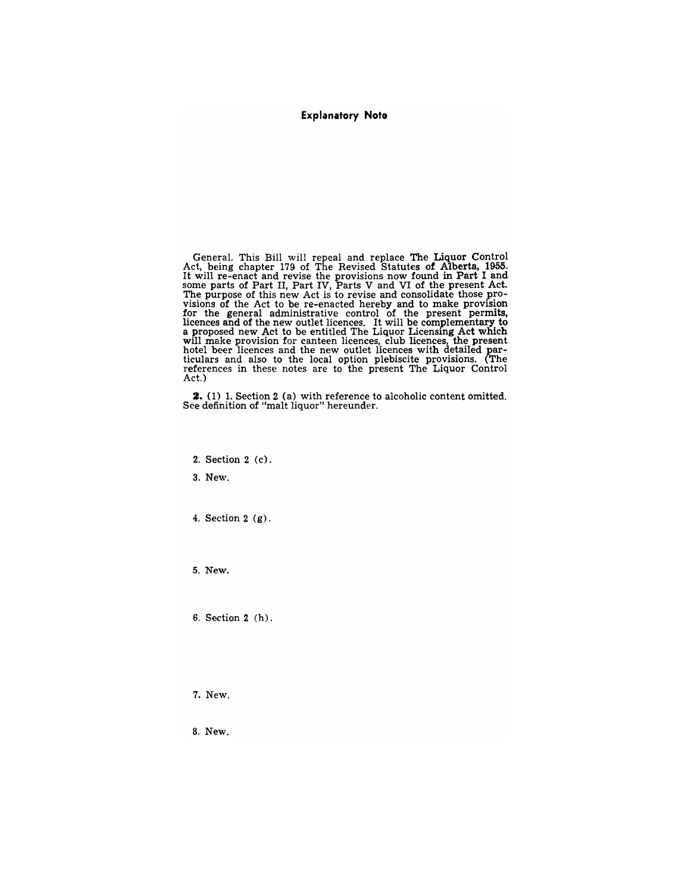**Explanatory Note** 

General. This Bill will repeal and replace The Liquor Control Act, being chapter 179 of The Revised Statutes of Alberta, 1955.<br>It will re-enact and revise the provisions now found in Part I and<br>some parts of Part II, Part IV, Parts V and VI of the present Act.<br>The purpose of this new visions of the Act to be re-enacted hereby and to make provision<br>for the general administrative control of the present permits,<br>licences and of the new outlet licences. It will be complementary to<br>a proposed new Act to be will make provision for canteen licences, club licences, the present hotel beer licences and the new outlet licences with detailed particulars and also to the local option plebiscite provisions. (The references in these notes are to the present The Liquor Control Act.)

**2.** (1) 1. Section 2 (a) with reference to alcoholic content omitted. See definition of "malt liquor" hereunder.

2. Section 2 (c).

3. New.

4. Section 2 (g).

5. New.

6. Section 2 (h).

7. New.

8. New.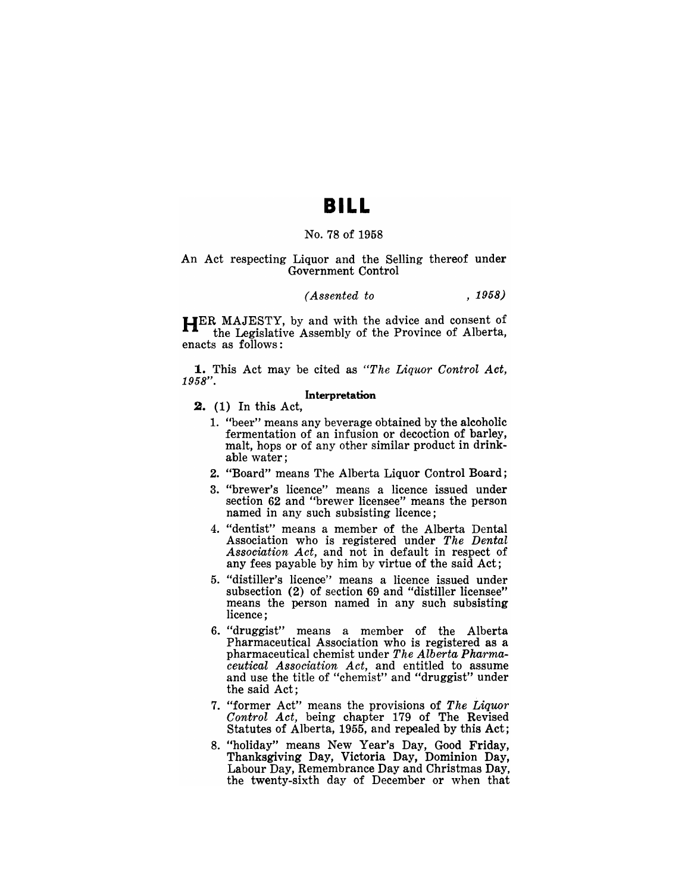## **BILL**

#### No. 78 of 1958

#### An Act respecting Liquor and the Selling thereof under Government Control

### *(Assented to* , 1958)

HER MAJESTY, by and with the advice and consent of the Legislative Assembly of the Province of Alberta, enacts as follows:

1. This Act may be cited as *"The Liquor Control Act,*  1958".

#### Interpretation

**2.** (1) In this Act,

- 1. "beer" means any beverage obtained by the alcoholic fermentation of an infusion or decoction of barley, malt, hops or of any other similar product in drinkable water;
- 2. "Board" means The Alberta Liquor Control Board;
- 3. "brewer's licence" means a licence issued under section 62 and "brewer licensee" means the person named in any such subsisting licence;
- 4. "dentist" means a member of the Alberta Dental Association who is registered under *The Dental Association Act,* and not in default in respect of any fees payable by him by virtue of the said Act;
- 5. "distiller's licence" means a licence issued under subsection (2) of section 69 and "distiller licensee" means the person named in any such subsisting licence;
- 6. "druggist" means a member of the Alberta Pharmaceutical Association who is registered as a pharmaceutical chemist under *The Alberta Pharmaceutical Association Act,* and entitled to assume and use the title of "chemist" and "druggist" under the said Act;
- 7. "former Act" means the provisions of The Liquor *Control Act,* being chapter 179 of The Revised Statutes of Alberta, 1955, and repealed by this Act;
- 8. "holiday" means New Year's Day, Good Friday, Thanksgiving Day, Victoria Day, Dominion Day, Labour Day, Remembrance Day and Christmas Day, the twenty-sixth day of December or when that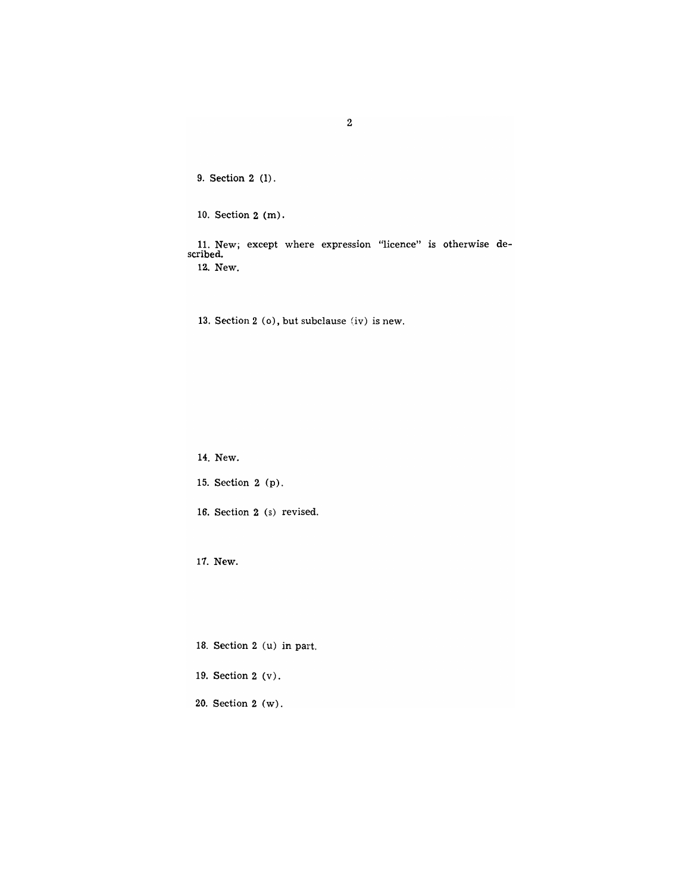9. Section 2 (1).

10. Section 2 (m).

11. New; except where expression "licence" is otherwise described. 1a. New.

13. Section 2 (0), but subclause (iv) is new.

14. New.

15. Section 2 (p).

16. Section 2 (s) revised.

17. New.

18. Section 2 (u) in part.

19. Section 2 (v).

20. Section 2 (w).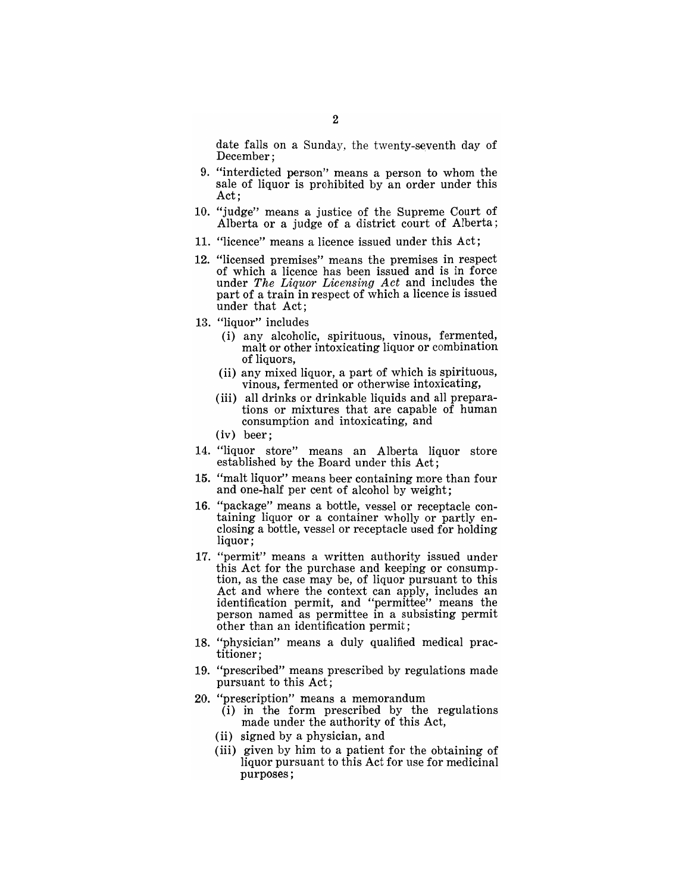date falls on a Sunday, the twenty-seventh day of December;

- 9. "interdicted person" means a person to whom the sale of liquor is prohibited by an order under this Act;
- 10. "judge" means a justice of the Supreme Court of Alberta or a judge of a district court of Alberta;
- 11. "licence" means a licence issued under this Act;
- 12. "licensed premises" means the premises in respect of which a licence has been issued and is in force under *The Liquor Licensing Act* and includes the part of a train in respect of which a licence is issued under that Act;
- 13. "liquor" includes
	- (i) any alcoholic, spirituous, vinous, fermented, malt or other intoxicating liquor or combination of liquors,
	- (ii) any mixed liquor, a part of which is spirituous, vinous, fermented or otherwise intoxicating,
	- (iii) all drinks or drinkable liquids and all preparations or mixtures that are capable of human consumption and intoxicating, and
	- (iv) beer;
- 14. "liquor store" means an Alberta liquor store established by the Board under this Act;
- 15. "malt liquor" means beer containing more than four and one-half per cent of alcohol by weight;
- 16. "package" means a bottle, vessel or receptacle containing liquor or a container wholly or partly enclosing a bottle, vessel or receptacle used for holding liquor;
- 17. "permit" means a written authority issued under this Act for the purchase and keeping or consumption, as the case may be, of liquor pursuant to this Act and where the context can apply, includes an identification permit, and "permittee" means the person named as permittee in a subsisting permit other than an identification permit;
- 18. "physician" means a duly qualified medical practitioner;
- 19. "prescribed" means prescribed by regulations made pursuant to this Act;
- 20. "prescription" means a memorandum
	- $(i)$  in the form prescribed by the regulations made under the authority of this Act,
	- (ii) signed by a physician, and
	- (iii) given by him to a patient for the obtaining of liquor pursuant to this Act for use for medicinal purposes;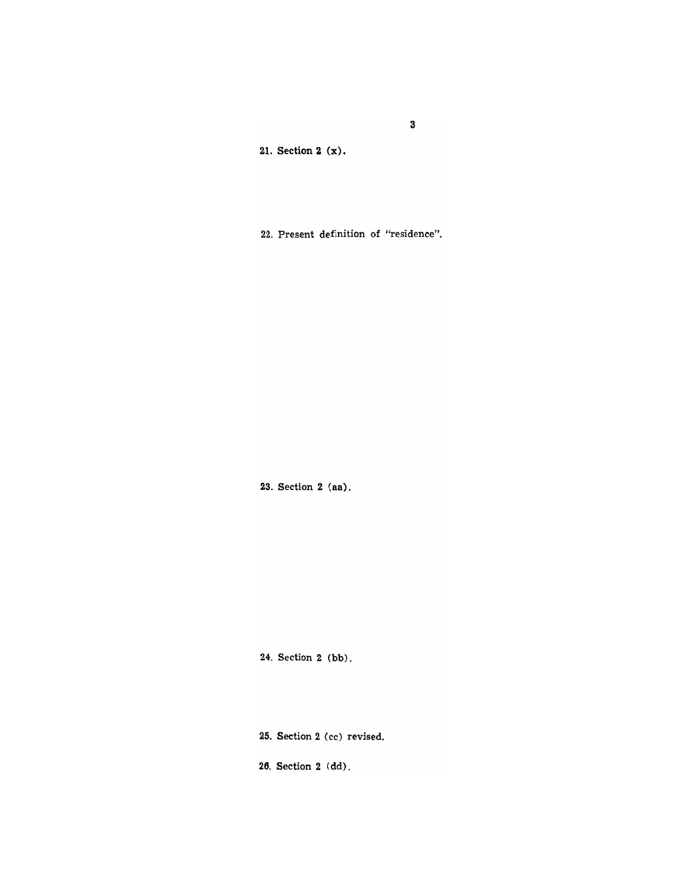21. Section 2 (x).

22. Present definition of "residence".

23. Section 2 (aa).

24. Section 2 (bb).

25. Section 2 (cc) revised.

26. Section 2 (dd).

3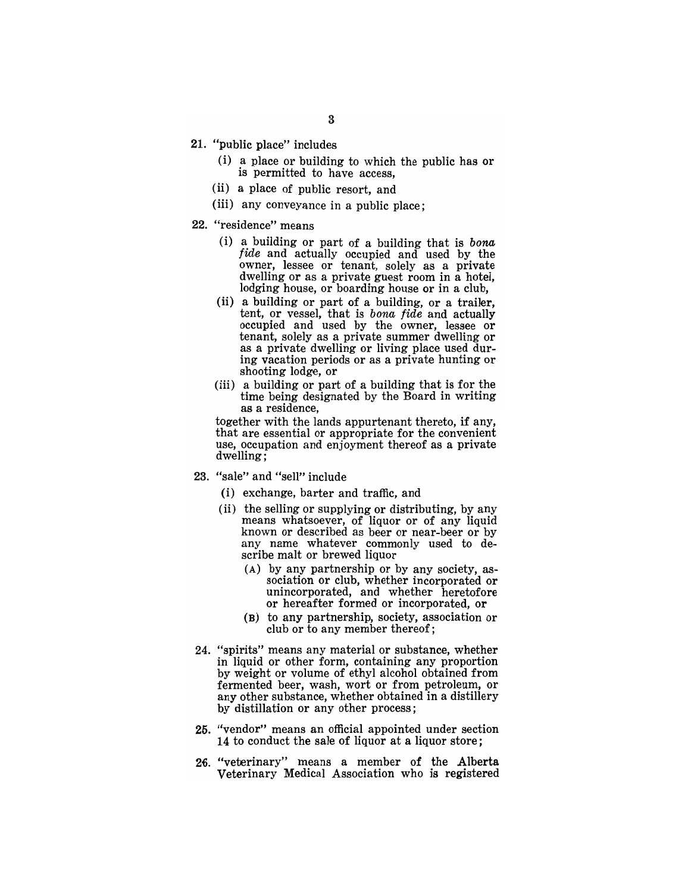- 21. "public place" includes
	- (i) a place or building to which the public has or is permitted to have access,
	- (ii) a place of public resort, and
	- (iii) any conveyance in a public place;

#### 22. "residence" means

- (i) a building or part of a building that is *bona fide* and actually occupied and used by the owner, lessee or tenant, solely as a private dwelling or as a private guest room in a hotel, lodging house, or boarding house or in a club,
- (ii) a building or part of a building, or a trailer, tent, or vessel, that is *bona fide* and actually occupied and used by the owner, lessee or tenant, solely as a private summer dwelling or as a private dwelling or living place used during vacation periods or as a private hunting or shooting lodge, or
- (iii) a building or part of a building that is for the time being designated by the Board in writing as a residence,

together with the lands appurtenant thereto, if any, that are essential or appropriate for the convenient use, occupation and enjoyment thereof as a private dwelling;

- 23. "sale" and "sell" include
	- (i) exchange, barter and traffic, and
	- (ii) the selling or supplying or distributing, by any means whatsoever, of liquor or of any liquid known or described as beer or near-beer or by any name whatever commonly used to describe malt or brewed liquor
		- (A) by any partnership or by any society, association or club, whether incorporated or unincorporated, and whether heretofore or hereafter formed or incorporated, or
		- (B) to any partnership, society, association or club or to any member thereof;
- 24. "spirits" means any material or substance, whether in liquid or other form, containing any proportion by weight or volume of ethyl alcohol obtained from fermented beer, wash, wort or from petroleum, or any other substance, whether obtained in a distillery by distillation or any other process;
- 25. "vendor" means an official appointed under section 14 to conduct the sale of liquor at a liquor store;
- 26. "veterinary" means a member of the Alberta Veterinary Medical Association who is registered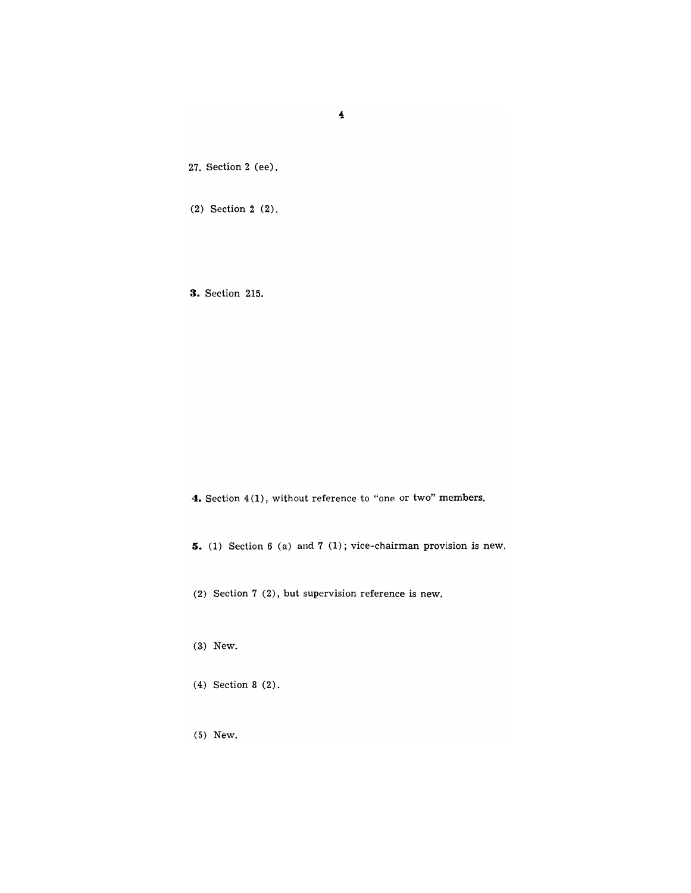27. Section 2 (ee).

(2) Section 2 (2).

**3.** Section 215.

**4.** Section 4 (1), without reference to "one or two" members.

**5.** (1) Section 6 (a) and 7 (1); vice-chairman provision is new.

(2) Section 7 (2), but supervision reference is new.

(3) New.

(4) Section 8 (2).

(5) New.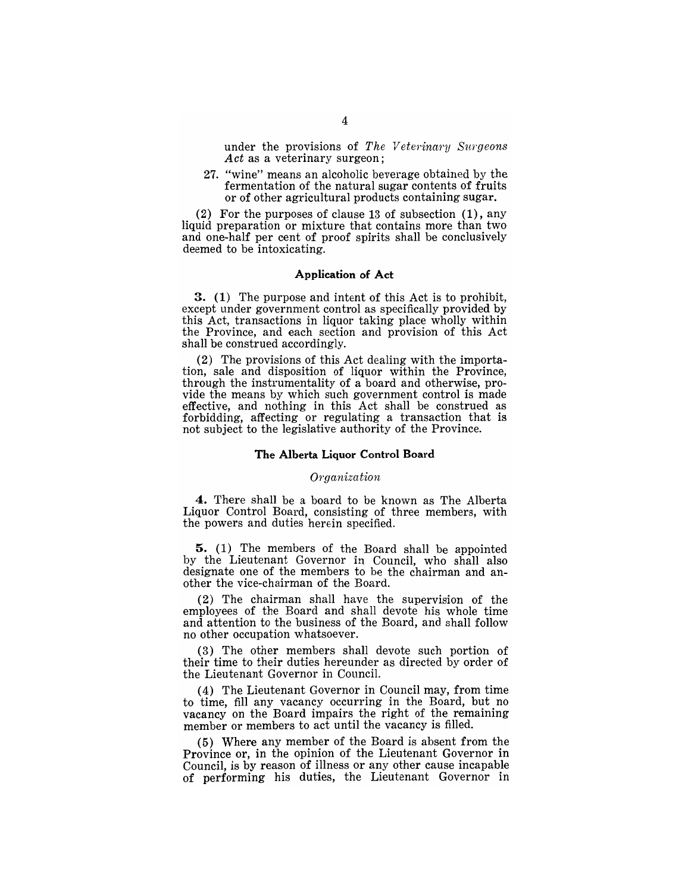under the provisions of *The Veterinary Surgeons* Act as a veterinary surgeon;

27. "wine" means an alcoholic beverage obtained by the fermentation of the natural sugar contents of fruits or of other agricultural products containing sugar.

(2) For the purposes of clause 13 of subsection (1), any liquid preparation or mixture that contains more than two and one-half per cent of proof spirits shall be conclusively deemed to be intoxicating.

#### Application of Act

3. (1) The purpose and intent of this Act is to prohibit, except under government control as specifically provided by this Act, transactions in liquor taking place wholly within the Province, and each section and provision of this Act shall be construed accordingly.

(2) The provisions of this Act dealing with the importation, sale and disposition of liquor within the Province, through the instrumentality of a board and otherwise, provide the means by which such government control is made effective, and nothing in this Act shall be construed as forbidding, affecting or regulating a transaction that is not subject to the legislative authority of the Province.

#### The Alberta Liquor Control Board

#### *Organization*

4. There shall be a board to be known as The Alberta Liquor Control Board, consisting of three members, with the powers and duties herein specified.

5. (1) The members of the Board shall be appointed by the Lieutenant Governor in Council, who shall also designate one of the members to be the chairman and another the vice-chairman of the Board.

(2) The chairman shall have the supervision of the employees of the Board and shall devote his whole time and attention to the business of the Board, and shall follow no other occupation whatsoever.

(3) The other members shall devote such portion of their time to their duties hereunder as directed by order of the Lieutenant Governor in Council.

(4) The Lieutenant Governor in Council may, from time to time, fill any vacancy occurring in the Board, but no vacancy on the Board impairs the right of the remaining member or members to act until the vacancy is filled.

(5) Where any member of the Board is absent from the Province or, in the opinion of the Lieutenant Governor in Council, is by reason of illness or any other cause incapable of performing his duties, the Lieutenant Governor in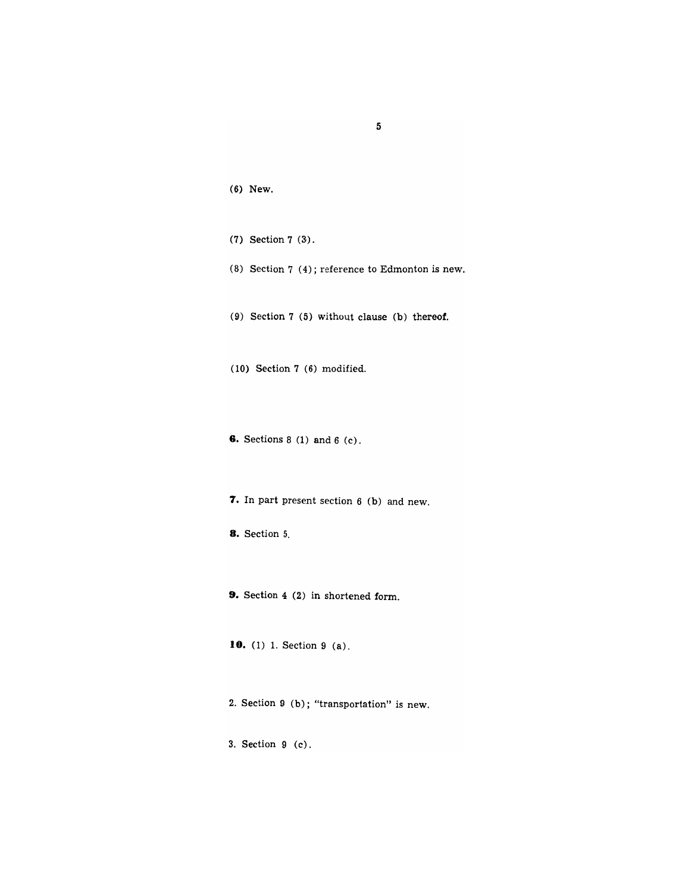| (6) | New. |
|-----|------|
|     |      |

- $(7)$  Section  $7(3)$ .
- (8) Section 7 (4); reference to Edmonton is new.

5

- (9) Section 7 (5) without clause (b) thereof.
- (10) Section 7 (6) modified.
- **6.** Sections 8 (1) and 6 (c).
- **7.** In part present section 6 (b) and new.
- **8.** Section 5.
- **9.** Section 4 (2) in shortened form.
- **10.** (1) 1. Section 9 (a).
- 2. Section 9 (b); "transportation" is new.
- 3. Section 9 (c).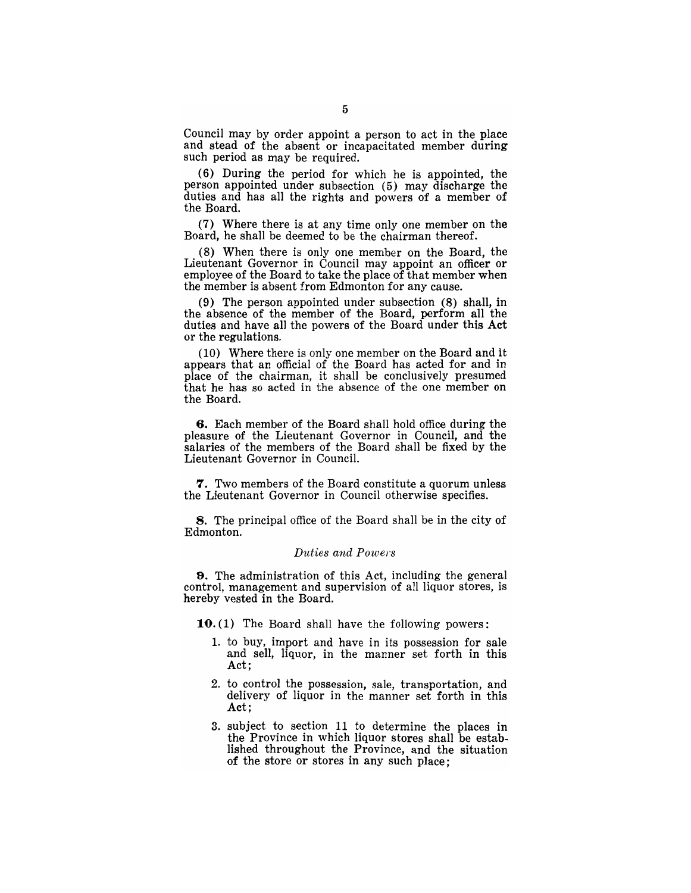Council may by order appoint a person to act in the place and stead of the absent or incapacitated member during such period as may be required.

(6) During the period for which he is appointed, the person appointed under subsection (5) may discharge the duties and has all the rights and powers of a member of the Board.

(7) Where there is at any time only one member on the Board, he shall be deemed to be the chairman thereof.

(8) When there is only one member on the Board, the Lieutenant Governor in Council may appoint an officer or employee of the Board to take the place of that member when the member is absent from Edmonton for any cause.

(9) The person appointed under subsection (8) shall, in the absence of the member of the Board, perform all the duties and have all the powers of the Board under this Act or the regulations.

(10) Where there is only one member on the Board and it appears that an official of the Board has acted for and in place of the chairman, it shall be conclusively presumed that he has so acted in the absence of the one member on the Board.

6. Each member of the Board shall hold office during the pleasure of the Lieutenant Governor in Council, and the salaries of the members of the Board shall be fixed by the Lieutenant Governor in Council.

7. Two members of the Board constitute a quorum unless the Lieutenant Governor in Council otherwise specifies.

8. The principal office of the Board shall be in the city of Edmonton.

#### *Duties and Powers*

9. The administration of this Act, including the general control, management and supervision of all liquor stores, is hereby vested in the Board.

10. (1) The Board shall have the following powers:

- 1. to buy, import and have in its possession for sale and sell, liquor, in the manner set forth in this Act;
- 2. to control the possession, sale, transportation, and delivery of liquor in the manner set forth in this Act;
- 3. subject to section 11 to determine the places in the Province in which liquor stores shall be established throughout the Province, and the situation of the store or stores in any such place;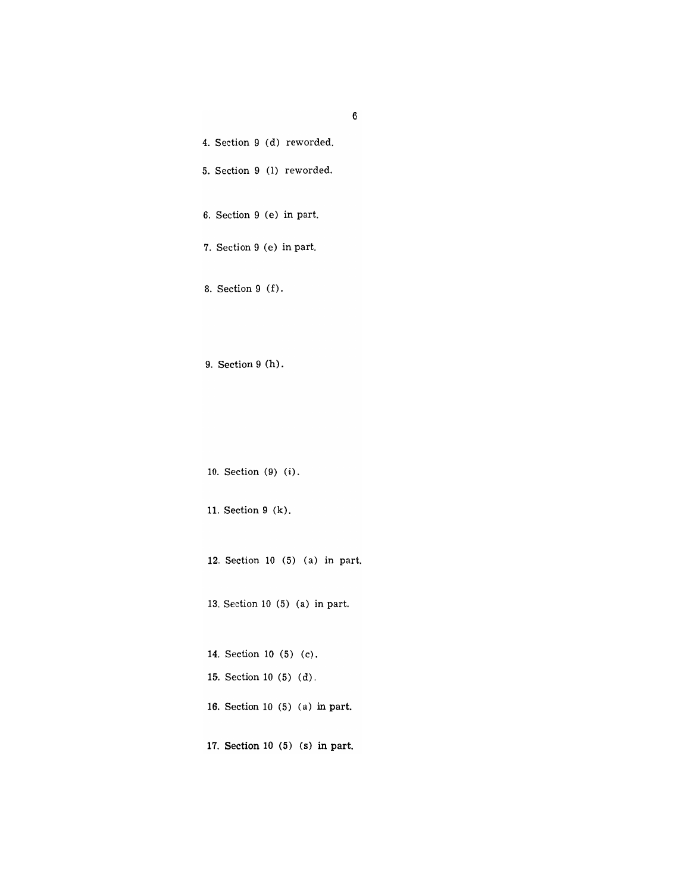| 4. Section 9 (d) reworded.      |
|---------------------------------|
| 5. Section 9 (1) reworded.      |
| 6. Section 9 (e) in part.       |
| 7. Section 9 (e) in part.       |
| 8. Section 9 (f).               |
| $9.$ Section $9(h)$ .           |
| 10. Section (9) (i).            |
| 11. Section 9 (k).              |
| 12. Section 10 (5) (a) in part. |
| 13. Section 10 (5) (a) in part. |
| 14. Section 10 (5) (c).         |
| 15. Section 10 (5) (d).         |
| 16. Section 10 (5) (a) in part. |
|                                 |

17. Section 10 (5) (5) in part.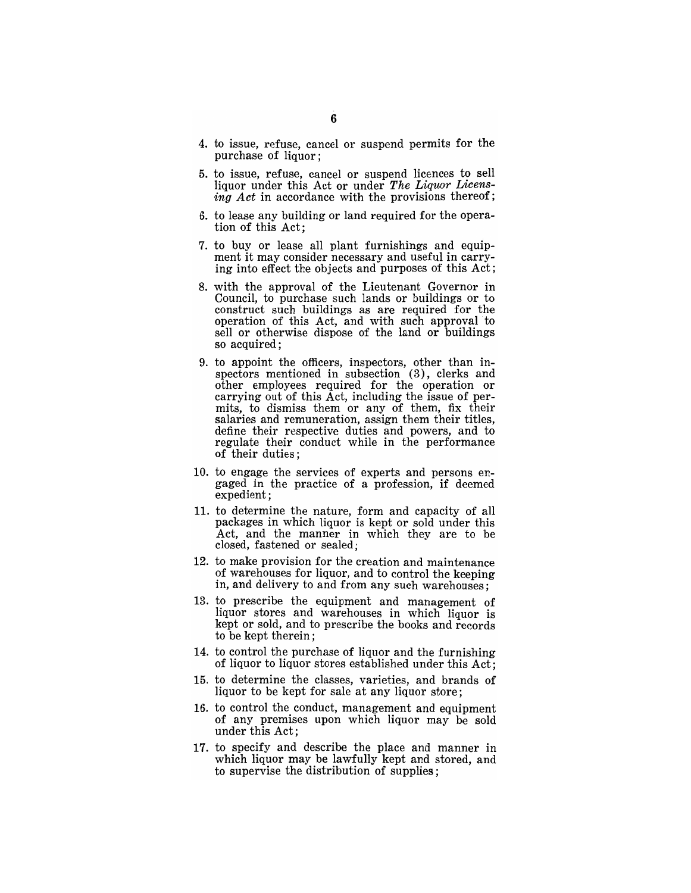- 4. to issue, refuse, cancel or suspend permits for the purchase of liquor;
- 5. to issue, refuse, cancel or suspend licences to sell liquor under this Act or under *The Liquor Licensing Act* in accordance with the provisions thereof;
- 6. to lease any building or land required for the operation of this Act;
- 7. to buy or lease all plant furnishings and equipment it may consider necessary and useful in carrying into effect the objects and purposes of this Act;
- 8. with the approval of the Lieutenant Governor in Council, to purchase such lands or buildings or to construct such buildings as are required for the operation of this Act, and with such approval to sell or otherwise dispose of the land or buildings so acquired;
- 9. to appoint the officers, inspectors, other than inspectors mentioned in subsection (3), clerks and other employees required for the operation or carrying out of this Act, including the issue of permits, to dismiss them or any of them, fix their salaries and remuneration, assign them their titles, define their respective duties and powers, and to regulate their conduct while in the performance of their duties;
- 10. to engage the services of experts and persons engaged in the practice of a profession, if deemed expedient;
- 11. to determine the nature, form and capacity of all packages in which liquor is kept or sold under this Act, and the manner in which they are to be closed, fastened or sealed;
- 12. to make provision for the creation and maintenance of warehouses for liquor, and to control the keeping in, and delivery to and from any such warehouses;
- 13. to prescribe the equipment and management of liquor stores and warehouses in which liquor is kept or sold, and to prescribe the books and records to be kept therein;
- 14. to control the purchase of liquor and the furnishing of liquor to liquor stores established under this Act;
- 15. to determine the classes, varieties, and brands of liquor to be kept for sale at any liquor store;
- 16. to control the conduct, management and equipment of any premises upon which liquor may be sold under this Act;
- 17. to specify and describe the place and manner in which liquor may be lawfully kept and stored, and to supervise the distribution of supplies;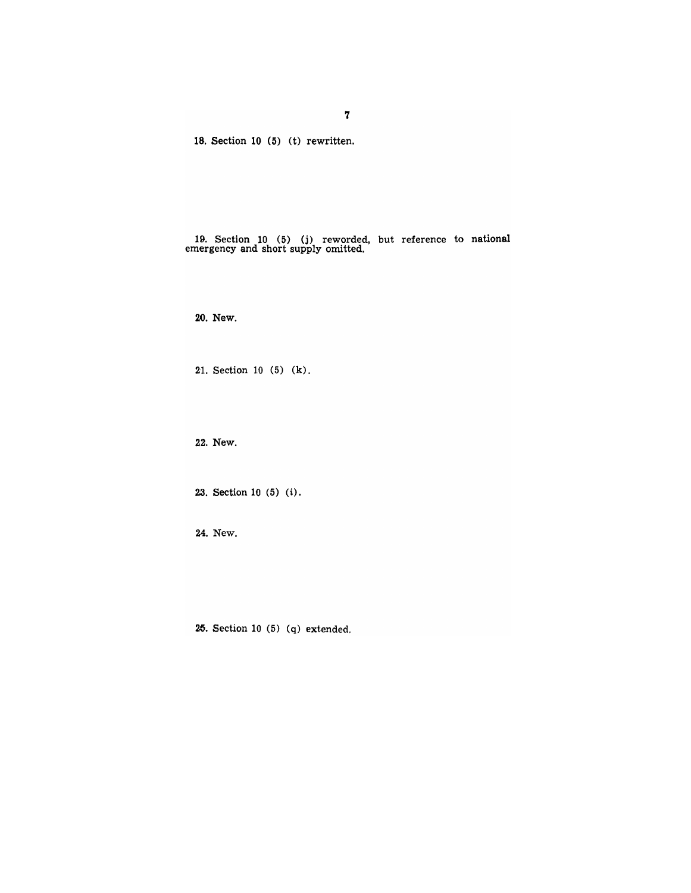18. Section 10 (5) (t) rewritten.

19. Section 10 (5) (j) reworded, but reference to national example. Section 10 (3) (1) reworded,

20. New.

21. Section 10 (5) (k).

22. New.

23. Section 10 (5) (i).

24. New.

25. Section 10 (5) (q) extended.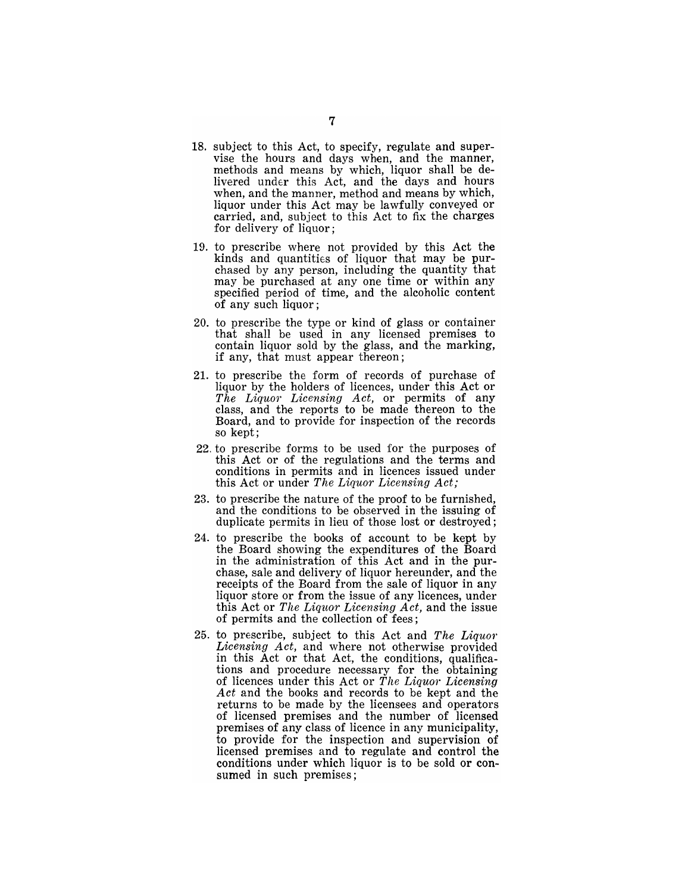- 18. subject to this Act, to specify, regulate and supervise the hours and days when, and the manner, methods and means by which, liquor shall be delivered under this Act, and the days and hours when, and the manner, method and means by which, liquor under this Act may be lawfully conveyed or carried, and, subject to this Act to fix the charges for delivery of liquor;
- 19. to prescribe where not provided by this Act the kinds and quantities of liquor that may be purchased by any person, including the quantity that may be purchased at anyone time or within any specified period of time, and the alcoholic content of any such liquor;
- 20. to prescribe the type or kind of glass or container that shall be used in any licensed premises to contain liquor sold by the glass, and the marking, if any, that must appear thereon;
- 21. to prescribe the form of records of purchase of liquor by the holders of licences, under this Act or *The Liquor Licensing Act,* or permits of any class, and the reports to be made thereon to the Board, and to provide for inspection of the records so kept;
- 22. to prescribe forms to be used for the purposes of this Act or of the regulations and the terms and conditions in permits and in licences issued under this Act or under *The Liquor Licensing Act;*
- 23. to prescribe the nature of the proof to be furnished, and the conditions to be observed in the issuing of duplicate permits in lieu of those lost or destroyed;
- 24. to prescribe the books of account to be kept by the Board showing the expenditures of the Board in the administration of this Act and in the purchase, sale and delivery of liquor hereunder, and the receipts of the Board from the sale of liquor in any liquor store or from the issue of any licences, under this Act or *The Liquor Licensing Act,* and the issue of permits and the collection of fees;
- 25. to prescribe, subject to this Act and *The Liquor Licensing Act,* and where not otherwise provided in this Act or that Act, the conditions, qualifications and procedure necessary for the obtaining of licences under this Act or *The Liquor Licensing Act* and the books and records to be kept and the returns to be made by the licensees and operators of licensed premises and the number of licensed premises of any class of licence in any municipality, to provide for the inspection and supervision of licensed premises and to regulate and control the conditions under which liquor is to be sold or consumed in such premises;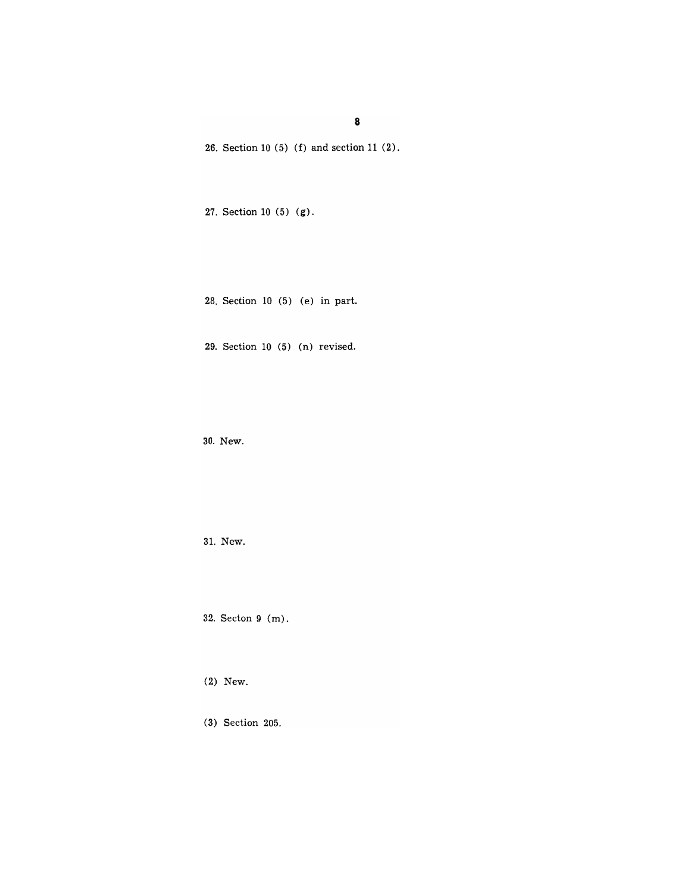8

26. Section 10  $(5)$  (f) and section 11  $(2)$ .

27. Section 10 (5) (g).

28. Section 10 (5) (e) in part.

29. Section  $10(5)(n)$  revised.

30. New.

31. New.

32. Seeton 9 (m).

(2) New.

(3) Section 205.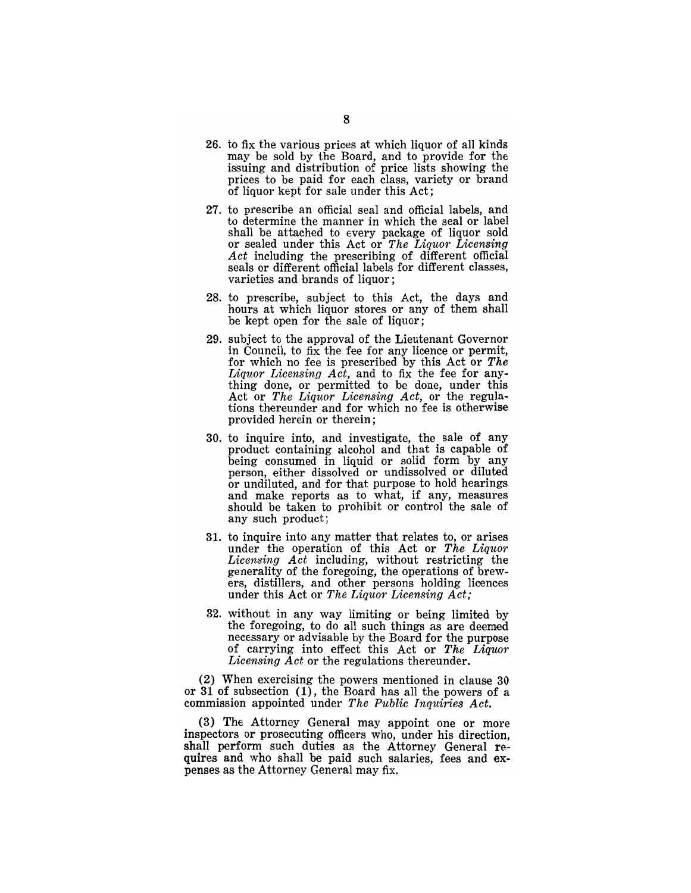- 26. to fix the various prices at which liquor of all kinds may be sold by the Board, and to provide for the issuing and distribution of price lists showing the prices to be paid for each class, variety or brand of liquor kept for sale under this Act;
- 27. to prescribe an official seal and official labels, and to determine the manner in which the seal or label shall be attached to every package of liquor sold or sealed under this Act or *The Liquor Licensing Act* including the prescribing of different official seals or different official labels for different classes, varieties and brands of liquor;
- 28. to prescribe, subject to this Act, the days and hours at which liquor stores or any of them shall be kept open for the sale of liquor;
- 29. subject to the approval of the Lieutenant Governor in Council, to fix the fee for any licence or permit, for which no fee is prescribed by this Act or *The Liquor Licensing Act,* and to fix the fee for anything done, or permitted to be done, under this Act or *The Liquor Licensing Act,* or the regulations thereunder and for which no fee is otherwise provided herein or therein;
- 30. to inquire into, and investigate, the sale of any product containing alcohol and that is capable of being consumed in liquid or solid form by any person, either dissolved or undissolved or diluted or undiluted, and for that purpose to hold hearings and make reports as to what, if any, measures should be taken to prohibit or control the sale of any such product;
- 31. to inquire into any matter that relates to, or arises under the operation of this Act or *The Liquor Licensing Act* including, without restricting the generality of the foregoing, the operations of brewers, distillers, and other persons holding licences under this Act or *The Liquor Licensing Act;*
- 32. without in any way limiting or being limited by the foregoing, to do all such things as are deemed necessary or advisable by the Board for the purpose of carrying into effect this Act or *The Liquor Licensing Act* or the regulations thereunder.

(2) When exercising the powers mentioned in clause 30 or 31 of subsection (1), the Board has all the powers of a commission appointed under *The Public Inquiries Act.* 

(3) The Attorney General may appoint one or more inspectors or prosecuting officers who, under his direction, shall perform such duties as the Attorney General requires and who shall be paid such salaries, fees and expenses as the Attorney General may fix.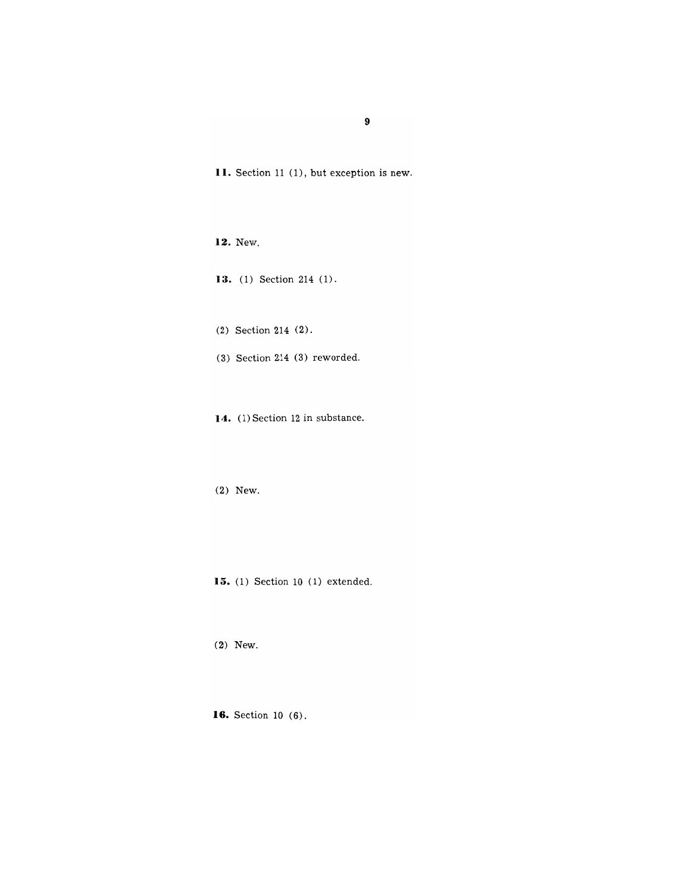**II.** Section 11 (1), but exception is new.

**12.** New.

**13.** (1) Section 214 (1).

(2) Section 214 (2).

 $(3)$  Section 214  $(3)$  reworded.

**14.** (1) Section 12 in substance.

(2) New.

**15.** (1) Section 10 (1) extended.

(2) New.

**16.** Section 10 (6).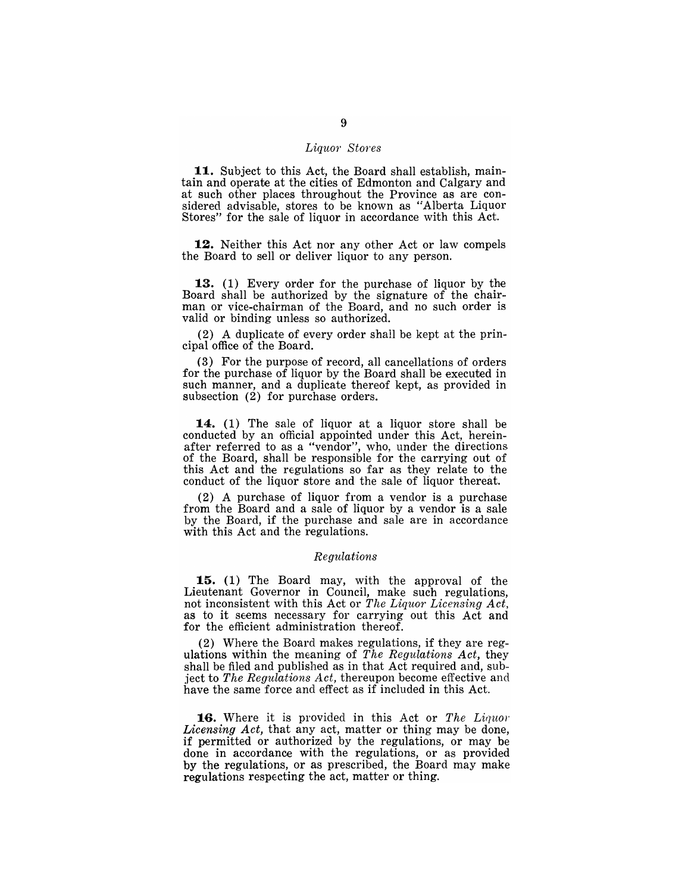#### *Liquor Stores*

**11.** Subject to this Act, the Board shall establish, maintain and operate at the cities of Edmonton and Calgary and at such other places throughout the Province as are considered advisable, stores to be known as "Alberta Liquor" Stores" for the sale of liquor in accordance with this Act.

**12.** Neither this Act nor any other Act or law compels the Board to sell or deliver liquor to any person.

**13.** (1) Every order for the purchase of liquor by the Board shall be authorized by the signature of the chairman or vice-chairman of the Board, and no such order is valid or binding unless so authorized.

(2) A duplicate of every order shall be kept at the principal office of the Board.

(3) For the purpose of record, all cancellations of orders for the purchase of liquor by the Board shall be executed in such manner, and a duplicate thereof kept, as provided in subsection (2) for purchase orders.

**14.** (1) The sale of liquor at a liquor store shall be conducted by an official appointed under this Act, hereinafter referred to as a "vendor", who, under the directions of the Board, shall be responsible for the carrying out of this Act and the regulations so far as they relate to the conduct of the liquor store and the sale of liquor thereat.

(2) A purchase of liquor from a vendor is a purchase from the Board and a sale of liquor by a vendor is a sale by the Board, if the purchase and sale are in accordance with this Act and the regulations.

#### *Regulations*

**15.** (1) The Board may, with the approval of the Lieutenant Governor in Council, make such regulations, not inconsistent with this Act or *The Liquor Licensing Act*, as to it seems necessary for carrying out this Act and for the efficient administration thereof.

(2) Where the Board makes regulations, if they are regulations within the meaning of *The Regulations Act,* they shall be filed and published as in that Act required and, subject to *The Regulations Act,* thereupon become effective and have the same force and effect as if included in this Act.

**16.** Where it is provided in this Act or *The Liquor Licensing Act,* that any act, matter or thing may be done, if permitted or authorized by the regulations, or may be done in accordance with the regulations, or as provided by the regulations, or as prescribed, the Board may make regulations respecting the act, matter or thing.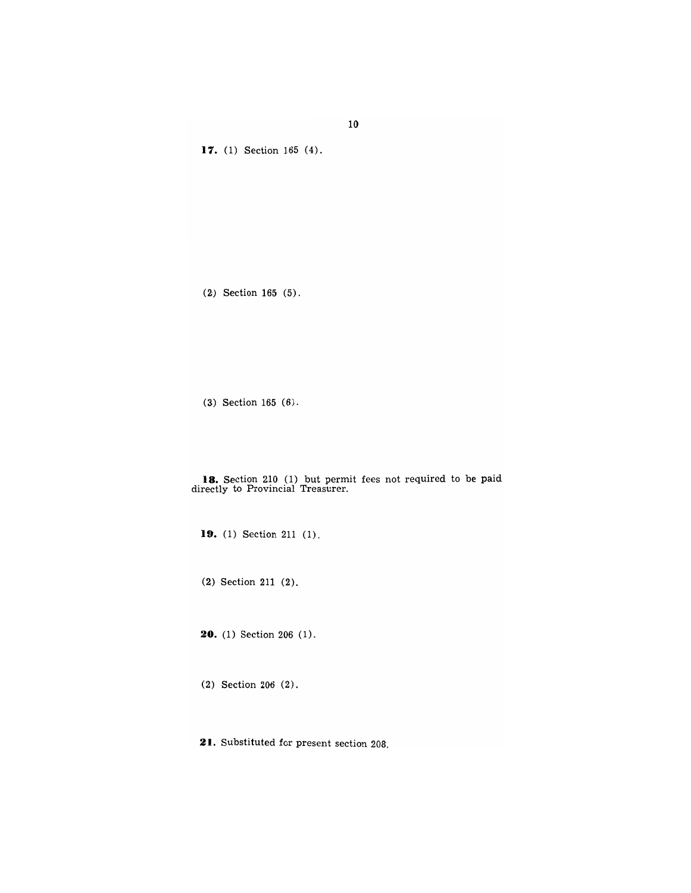**11.** (1) Section 165 (4).

(2) Section 165 (5).

(3) Section 165 (6).

**18.** Section 210 (1) but permit fees not required to be paid directly to Provincial Treasurer.

**19.** (1) Section 211 (1).

(2) Section 211 (2).

**20.** (1) Section 206 (1).

(2) Section 206 (2).

**21.** Substituted for present section 208.

**10**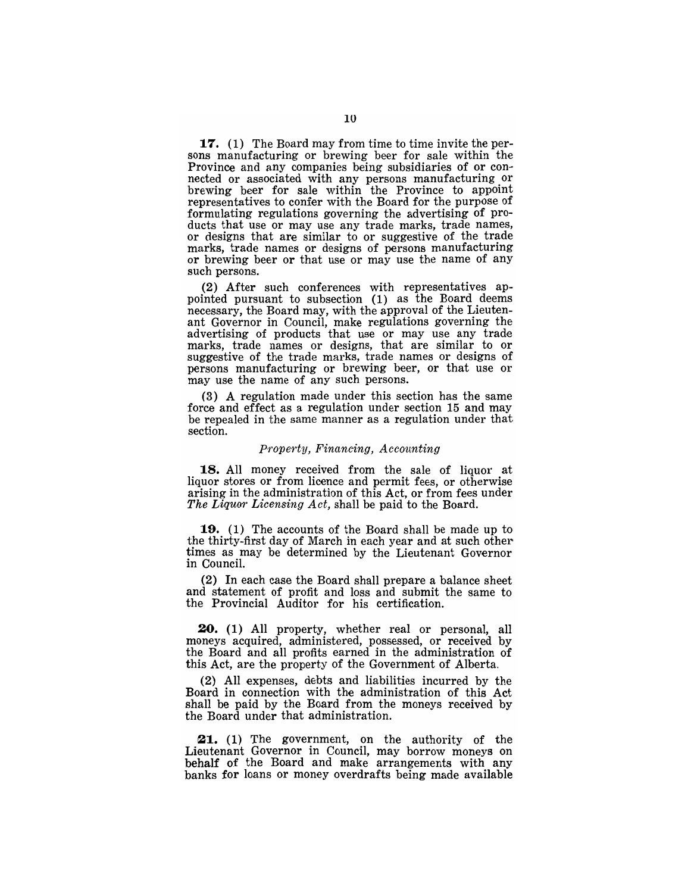17. (1) The Board may from time to time invite the persons manufacturing or brewing beer for sale within the Province and any companies being subsidiaries of or connected or associated with any persons manufacturing or brewing beer for sale within the Province to appoint representatives to confer with the Board for the purpose of formulating regulations governing the advertising of products that use or may use any trade marks, trade names, or designs that are similar to or suggestive of the trade marks, trade names or designs of persons manufacturing or brewing beer or that use or may use the name of any such persons.

(2) After such conferences with representatives appointed pursuant to subsection (1) as the Board deems necessary, the Board may, with the approval of the Lieutenant Governor in Council, make regulations governing the advertising of products that use or may use any trade marks, trade names or designs, that are similar to or suggestive of the trade marks, trade names or designs of persons manufacturing or brewing beer, or that use or may use the name of any such persons.

(3) A regulation made under this section has the same force and effect as a regulation under section 15 and may be repealed in the same manner as a regulation under that section.

#### *Prope'tty, Financing, Accounting*

18. All money received from the sale of liquor at liquor stores or from licence and permit fees, or otherwise arising in the administration of this Act, or from fees under *The Liquor Licensing Act,* shall be paid to the Board.

19. (1) The accounts of the Board shall be made up to the thirty-first day of March in each year and at such other times as may be determined by the Lieutenant Governor in Council.

(2) In each case the Board shall prepare a balance sheet and statement of profit and loss and submit the same to the Provincial Auditor for his certification.

20. (1) All property, whether real or personal, all moneys acquired, administered, possessed, or received by the Board and all profits earned in the administration of this Act, are the property of the Government of Alberta.

(2) All expenses, debts and liabilities incurred by the Board in connection with the administration of this Act shall be paid by the Board from the moneys received by the Board under that administration.

~1. (1) The government, on the authority of the Lieutenant Governor in Council, may borrow moneys on behalf of the Board and make arrangements with any banks for loans or money overdrafts being made available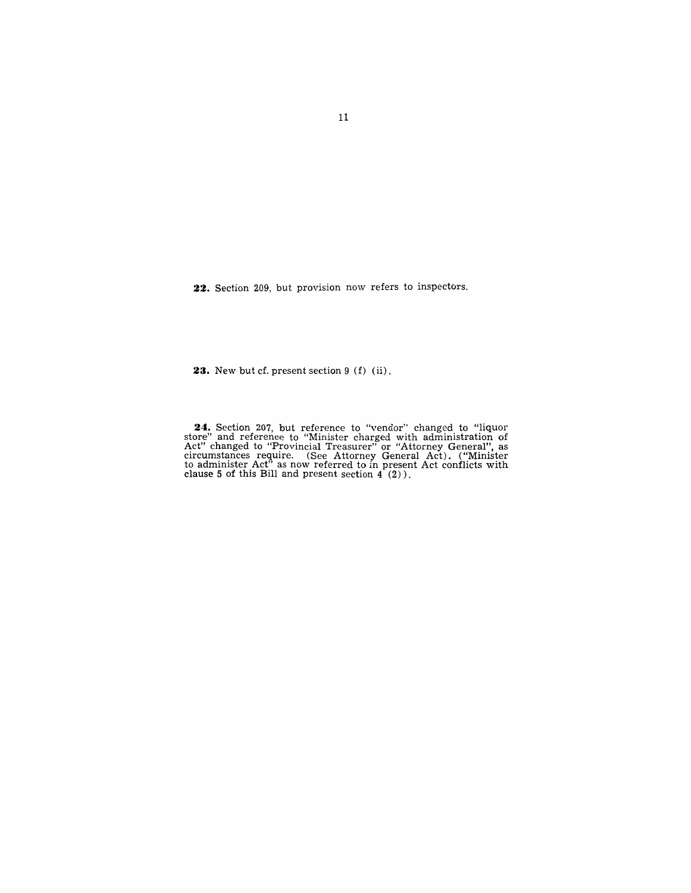**22.** Section 209, but provision now refers to inspectors.

**23.** New but cf. present section 9 (f) (ii).

24. Section 207, but reference to "vendor" changed to "liquor store" and reference to "Minister charged with administration of Act" changed to "Provincial Treasurer" or "Attorney General", as circumstances require. (See Attorney General Act). ("Minister to administer Act<sup>7</sup> as now referred to in present Act conflicts with clause 5 of this Bill and present section  $4(2)$ ).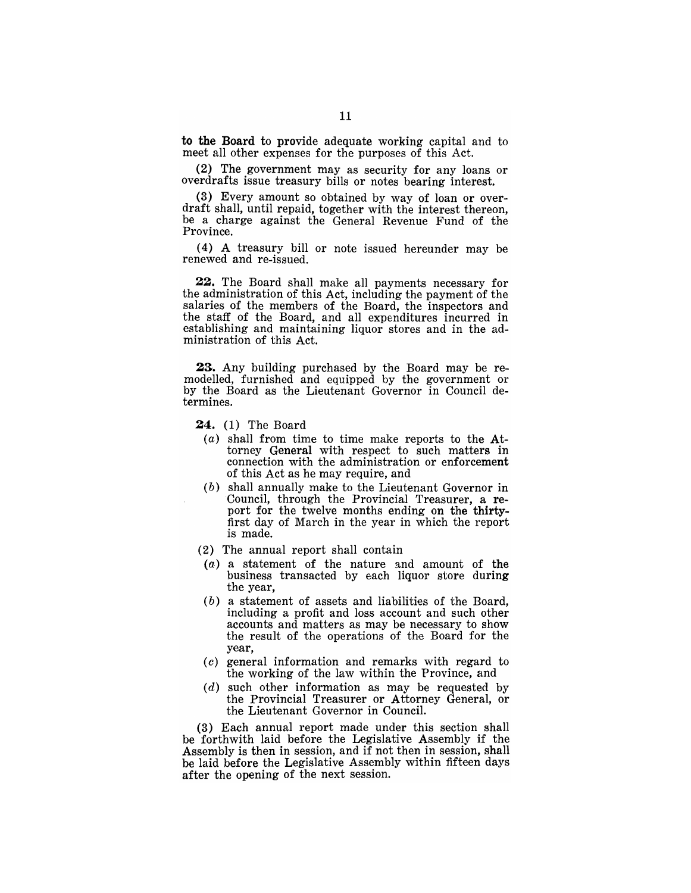to the Board to provide adequate working capital and to meet all other expenses for the purposes of this Act.

(2) The government may as security for any loans or overdrafts issue treasury bills or notes bearing interest.

(3) Every amount so obtained by way of loan or overdraft shall, until repaid, together with the inrerest thereon, be a charge against the General Revenue Fund of the Province.

(4) A treasury bill or note issued hereunder may be renewed and re-issued.

22. The Board shall make all payments necessary for the administration of this Act, including the payment of the salaries of the members of the Board, the inspectors and the staff of the Board, and all expenditures incurred in establishing and maintaining liquor stores and in the administration of this Act.

23. Any building purchased by the Board may be remodelled, furnished and equipped by the government or by the Board as the Lieutenant Governor in Council determines.

24. (1) The Board

- $(a)$  shall from time to time make reports to the Attorney General with respect to such matters in connection with the administration or enforcement of this Act as he may require, and
- (b) shall annually make to the Lieutenant Governor in Council, through the Provincial Treasurer, a report for the twelve months ending on the thirtyfirst day of March in the year in which the report is made.
- (2) The annual report shall contain
- $(a)$  a statement of the nature and amount of the business transacted by each liquor store during the year,
- (b) a statement of assets and liabilities of the Board, including a profit and loss account and such other accounts and matters as may be necessary to show the result of the operations of the Board for the year,
- (c) general information and remarks with regard to the working of the law within the Province, and
- $(d)$  such other information as may be requested by the Provincial Treasurer or Attorney General, or the Lieutenant Governor in Council.

(3) Each annual report made under this section shall be forthwith laid before the Legislative Assembly if the Assembly is then in session, and if not then in session, shall be laid before the Legislative Assembly within fifteen days after the opening of the next session.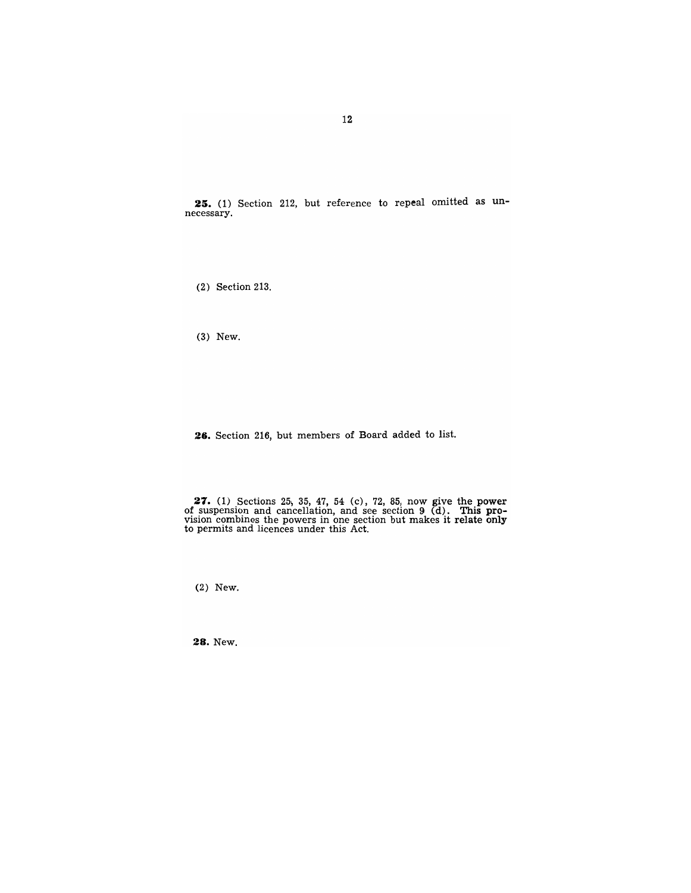**25.** (1) Section 212, but reference to repeal omitted as unnecessary.

(2) Section 213.

(3) New.

**2G.** Section 216, but members of Board added to list.

**27.** (1) Sections 25) 35, 47, 54 (c), 72, 85, now give the power of suspension and cancellation, and see section  $9$  (d). This pro-<br>vision combines the powers in one section but makes it relate only to permits and licences under this Act.

(2) New.

**28.** New.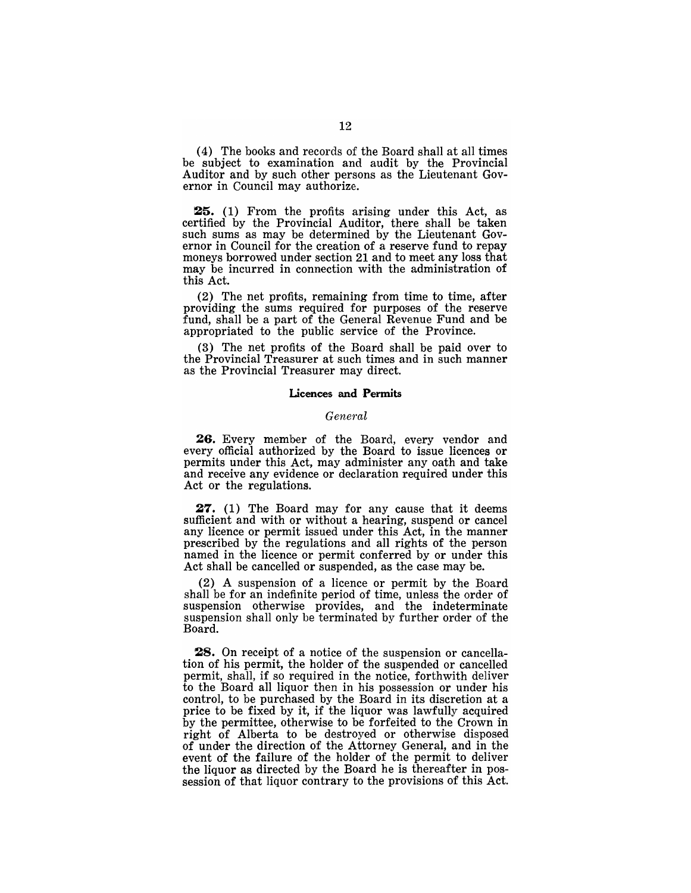(4) The books and records of the Board shall at all times be subject to examination and audit by the Provincial Auditor and by such other persons as the Lieutenant Governor in Council may authorize.

25. (1) From the profits arising under this Act, as certified by the Provincial Auditor, there shall be taken such sums as may be determined by the Lieutenant Governor in Council for the creation of a reserve fund to repay moneys borrowed under section 21 and to meet any loss that may be incurred in connection with the administration of this Act.

(2) The net profits, remaining from time to time, after providing the sums required for purposes of the reserve fund, shall be a part of the General Revenue Fund and be appropriated to the public service of the Province.

(3) The net profits of the Board shall be paid over to the Provincial Treasurer at such times and in such manner as the Provincial Treasurer may direct.

#### Licences and Permits

#### *General*

26. Every member of the Board, every vendor and every official authorized by the Board to issue licences or permits under this Act, may administer any oath and take and receive any evidence or declaration required under this Act or the regulations.

27. (1) The Board may for any cause that it deems sufficient and with or without a hearing, suspend or cancel any licence or permit issued under this Act, in the manner prescribed by the regulations and all rights of the person named in the licence or permit conferred by or under this Act shall be cancelled or suspended, as the case may be.

(2) A suspension of a licence or permit by the Board shall be for an indefinite period of time, unless the order of suspension otherwise provides, and the indeterminate suspension shall only be terminated by further order of the Board.

28. On receipt of a notice of the suspension or cancellation of his permit, the holder of the suspended or cancelled permit, shall, if so required in the notice, forthwith deliver to the Board all liquor then in his possession or under his control, to be purchased by the Board in its discretion at a price to be fixed by it, if the liquor was lawfully acquired by the permittee, otherwise to be forfeited to the Crown in right of Alberta to be destroyed or otherwise disposed of under the direction of the Attorney General, and in the event of the failure of the holder of the permit to deliver the liquor as directed by the Board he is thereafter in possession of that liquor contrary to the provisions of this Act.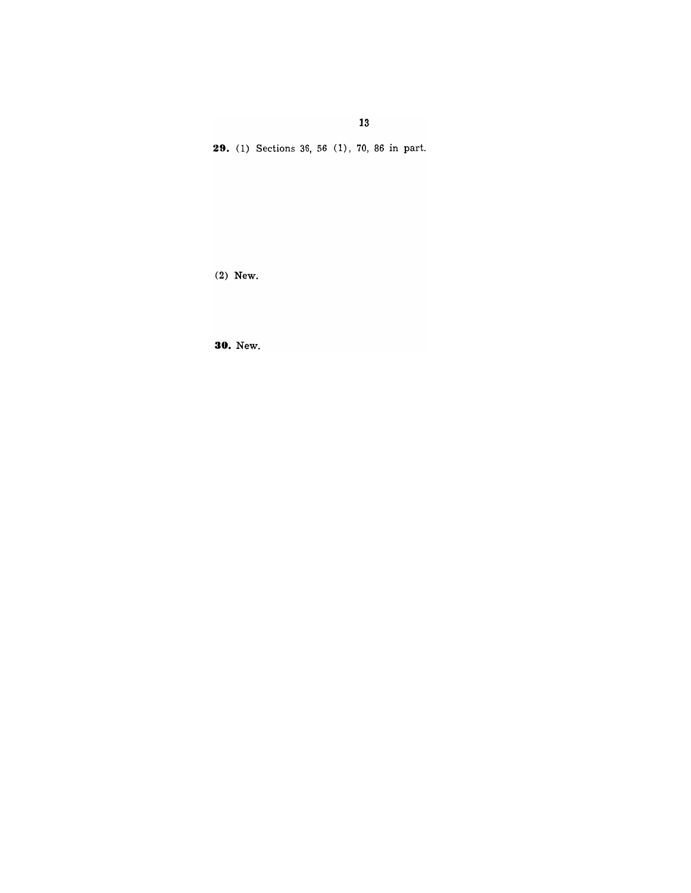**13** 

29. (1) Sections 36, 56 (1), 70, 86 in part.

(2) **New.** 

**30. New.**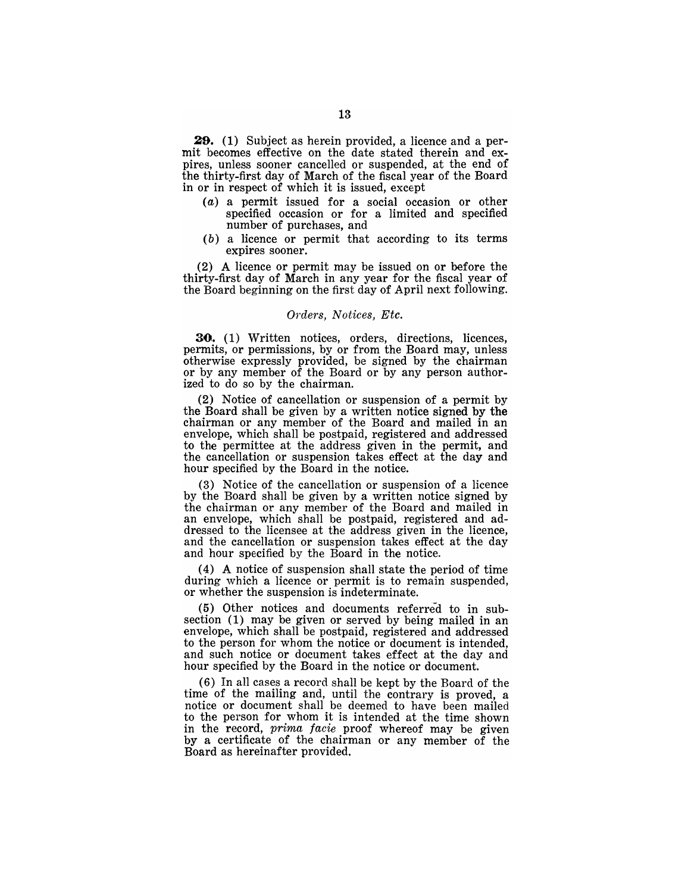**29.** (1) Subject as herein provided, a licence and a permit becomes effective on the date stated therein and expires, unless sooner cancelled or suspended, at the end of the thirty-first day of March of the fiscal year of the Board in or in respect of which it is issued, except

- (a) a permit issued for a social occasion or other specified occasion or for a limited and specified number of purchases, and
- (b) a licence or permit that according to its terms expires sooner.

(2) A licence or permit may be issued on or before the thirty-first day of March in any year for the fiscal year of the Board beginning on the first day of April next following.

#### *OTders, Notices, Etc.*

**30.** (1) Written notices, orders, directions, licences, permits, or permissions, by or from the Board may, unless otherwise expressly provided, be signed by the chairman or by any member of the Board or by any person authorized to do so by the chairman.

(2) Notice of cancellation or suspension of a permit by the Board shall be given by a written notice signed by the chairman or any member of the Board and mailed in an envelope, which shall be postpaid, registered and addressed to the permittee at the address given in the permit, and the cancellation or suspension takes effect at the day and hour specified by the Board in the notice.

(3) Notice of the cancellation or suspension of a licence by the Board shall be given by a written notice signed by the chairman or any member of the Board and mailed in an envelope, which shall be postpaid, registered and addressed to the licensee at the address given in the licence, and the cancellation or suspension takes effect at the day and hour specified by the Board in the notice.

(4) A notice of suspension shall state the period of time during which a licence or permit is to remain suspended, or whether the suspension is indeterminate.

 $(5)$  Other notices and documents referred to in subsection (1) may be given or served by being mailed in an envelope, which shall be postpaid, registered and addressed to the person for whom the notice or document is intended, and such notice or document takes effect at the day and hour specified by the Board in the notice or document.

(6) In all cases a record shall be kept by the Board of the time of the mailing and, until the contrary is proved, a notice or document shall be deemed to have been mailed to the person for whom it is intended at the time shown in the record, *prima facie* proof whereof may be given by a certificate of the chairman or any member of the Board as hereinafter provided.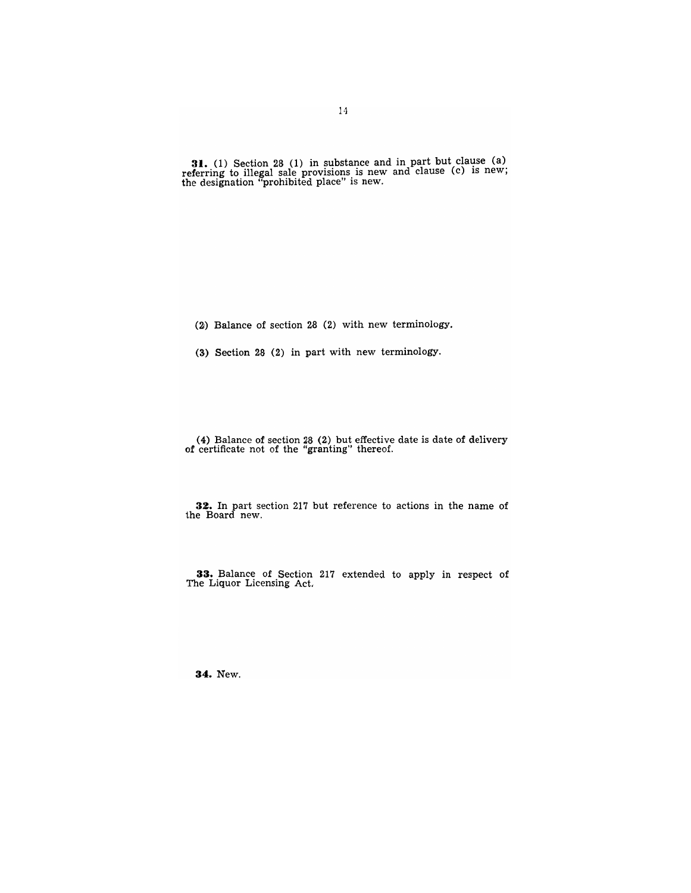**31.** (1) Section 28 (1) in substance and in part but clause (a) referring to illegal sale provisions is new and clause (c) is new; the designation "prohibited place" is new.

(2) Balance of section 28 (2) with new terminology.

(3) Section 28 (2) in part with new terminology.

(4) Balance of section 28 (2) but effective date is date of delivery of certificate not of the "granting" thereof.

**32.** In part section 217 but reference to actions in the name of the Board new.

**33.** Balance of Section 217 extended to apply in respect of The Liquor Licensing Act.

**34.** New.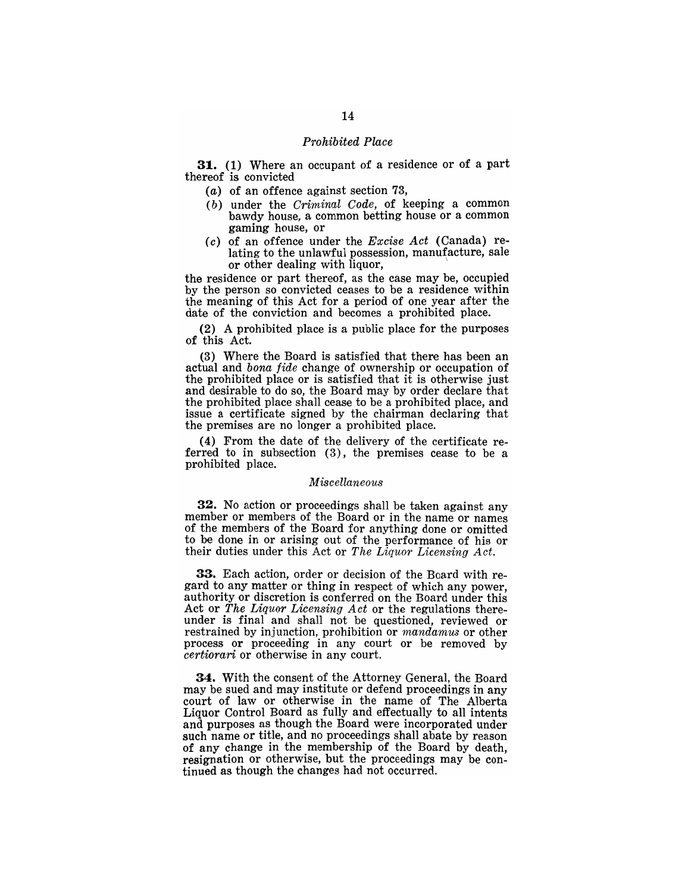#### *Prohibited Place*

**31.** (1) Where an occupant of a residence or of a part thereof is convicted

- (a) of an offence against section 73,
- *(b)* under the *Criminal Code,* of keeping a common bawdy house, a common betting house or a common gaming house, or
- ( *c)* of an offence under the *Excise Act* (Canada) relating to the unlawful possession, manufacture, sale or other dealing with liquor, \

the residence or part thereof, as the case may be, occupied by the person so convicted ceases to be a residence within the meaning of this Act for a period of one year after the date of the conviction and becomes a prohibited place.

(2) A prohibited place is a public place for the purposes of this Act.

(3) Where the Board is satisfied that there has been an actual and *bona fide* change of ownership or occupation of the prohibited place or is satisfied that it is otherwise just and desirable to do so, the Board may by order declare that the prohibited place shall cease to be a prohibited place, and issue a certificate signed by the chairman declaring that the premises are no longer a prohibited place.

(4) From the date of the delivery of the certificate referred to in subsection (3), the premises cease to be a prohibited place.

#### *Miscellaneous*

32. No action or proceedings shall be taken against any member or members of the Board or in the name or names of the members of the Board for anything done or omitted to be done in or arising out of the performance of his or their duties under this Act or *The Liquor Licensing Act.* 

33. Each action, order or decision of the Board with regard to any matter or thing in respect of which any power, authority or discretion is conferred on the Board under this Act or *The Liquor Licensing Act* or the regulations thereunder is final and shall not be questioned, reviewed or restrained by injunction, prohibition or *mandamus* or other process or proceeding in any court or be removed by *certiorari* or otherwise in any court.

34. With the consent of the Attorney General, the Board may be sued and may institute or defend proceedings in any court of law or otherwise in the name of The Alberta Liquor Control Board as fully and effectually to all intents and purposes as though the Board were incorporated under such name or title, and no proceedings shall abate by reason of any change in the membership of the Board by death, resignation or otherwise, but the proceedings may be continued as though the changes had not occurred.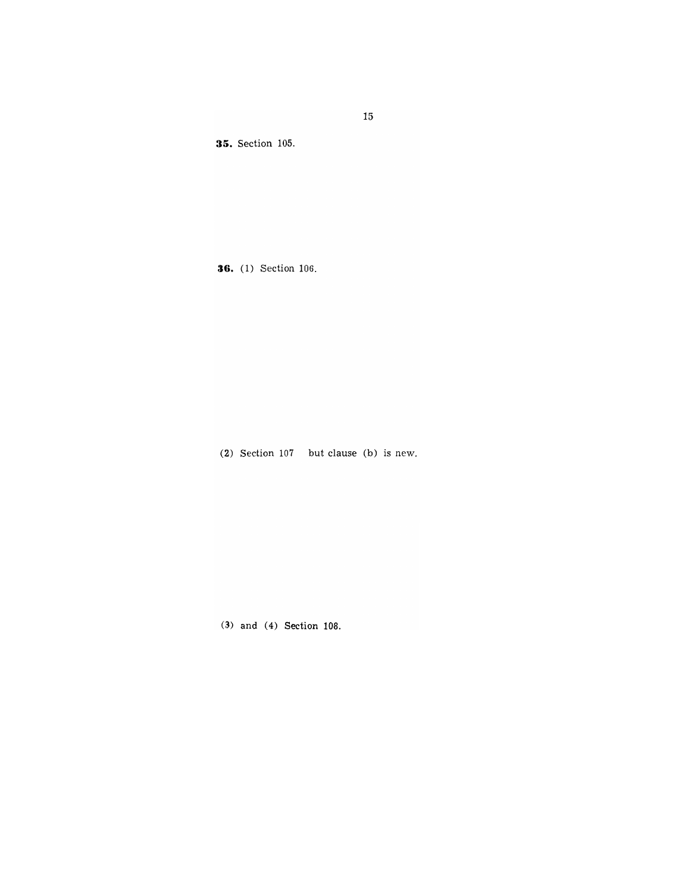**35.** Section 105.

**36.** (1) Section 106.

(2) Section 107 but clause (b) is new.

(3) and (4) Section 108.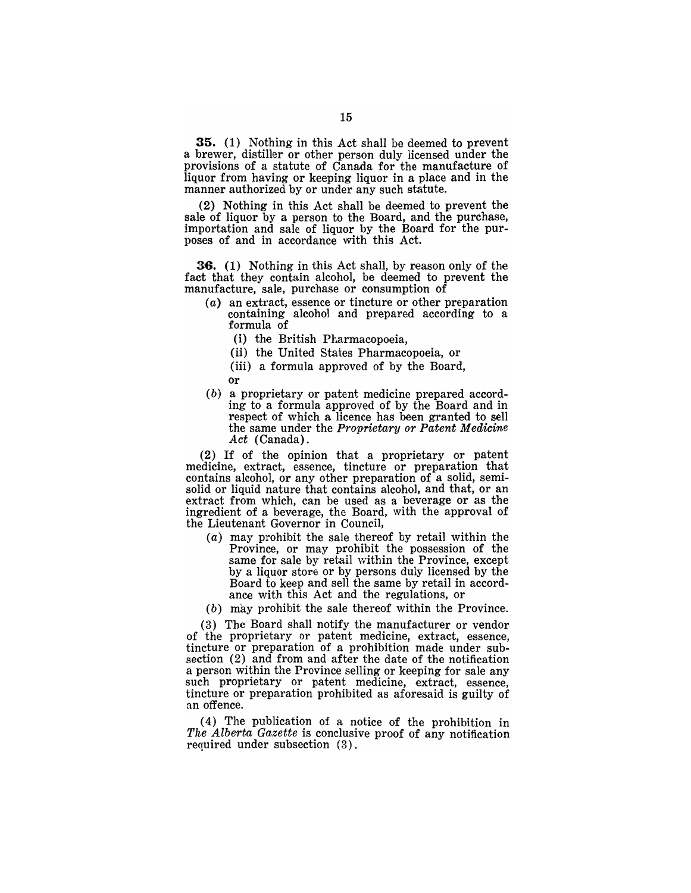35. (1) Nothing in this Act shall be deemed to prevent a brewer, distiller or other person duly licensed under the provisions of a statute of Canada for the manufacture of liquor from having or keeping liquor in a place and in the manner authorized by or under any such statute.

(2) Nothing in this Act shall be deemed to prevent the sale of liquor by a person to the Board, and the purchase, importation and sale of liquor by the Board for the purposes of and in accordance with this Act.

36. (1) Nothing in this Act shall, by reason only of the fact that they contain alcohol, be deemed to prevent the manufacture, sale, purchase or consumption of

- (a) an extract, essence or tincture or other preparation containing alcohol and prepared according to a formula of
	- (i) the British Pharmacopoeia,
	- (ii) the United States Pharmacopoeia, or
	- (iii) a formula approved of by the Board,
	- or
- (b) a proprietary or patent medicine prepared according to a formula approved of by the Board and in respect of which a licence has been granted to sell the same under the *Proprietary or Patent Medicine Act* (Canada).

(2) If of the opinion that a proprietary or patent medicine, extract, essence, tincture or preparation that contains alcohol, or any other preparation of a solid, semisolid or liquid nature that contains alcohol, and that, or an extract from which, can be used as a beverage or as the ingredient of a beverage, the Board, with the approval of the Lieutenant Governor in Council,

- (a) may prohibit the sale thereof by retail within the Province, or may prohibit the possession of the same for sale by retail within the Province, except by a liquor store or by persons duly licensed by the Board to keep and sell the same by retail in accordance with this Act and the regulations, or
- (b) may prohibit the sale thereof within the Province.

(3) The Board shall notify the manufacturer or vendor of the proprietary or patent medicine, extract, essence, tincture or preparation of a prohibition made under subsection (2) and from and after the date of the notification a person within the Province selling or keeping for sale any such proprietary or patent medicine, extract, essence, tincture or preparation prohibited as aforesaid is guilty of an offence.

(4) The pUblication of a notice of the prohibition in *The Alberta Gazette* is conclusive proof of any notification required under subsection (3).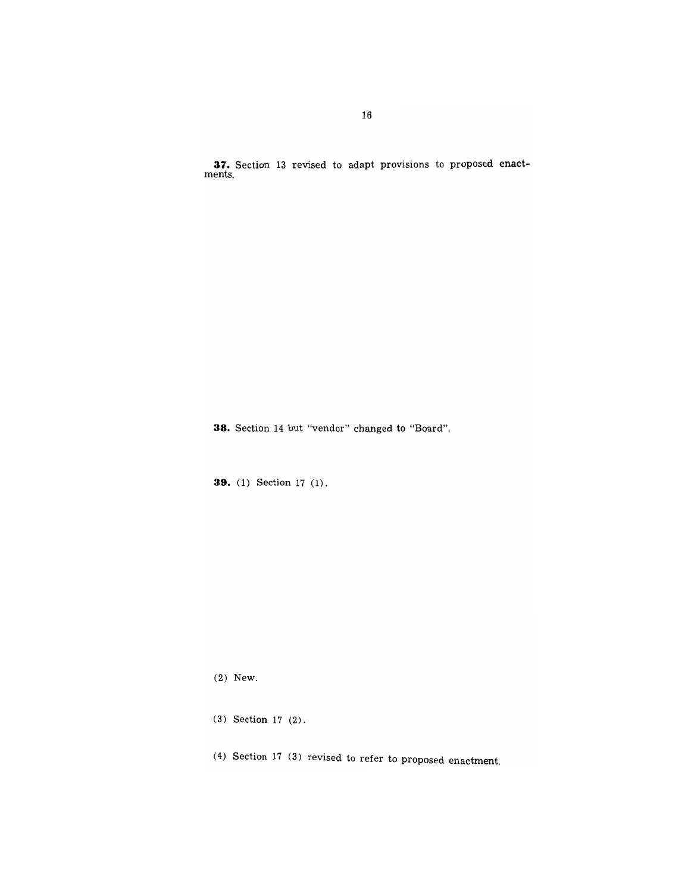**37.** Section 13 revised to adapt provisions to proposed enact-

**38.** Section 14 but "vendor" changed to "Board".

**39.** (1) Section 17 (1).

(2) New.

(3) Section 17 (2).

(4) Section 17 (3) revised to refer to proposed enactment.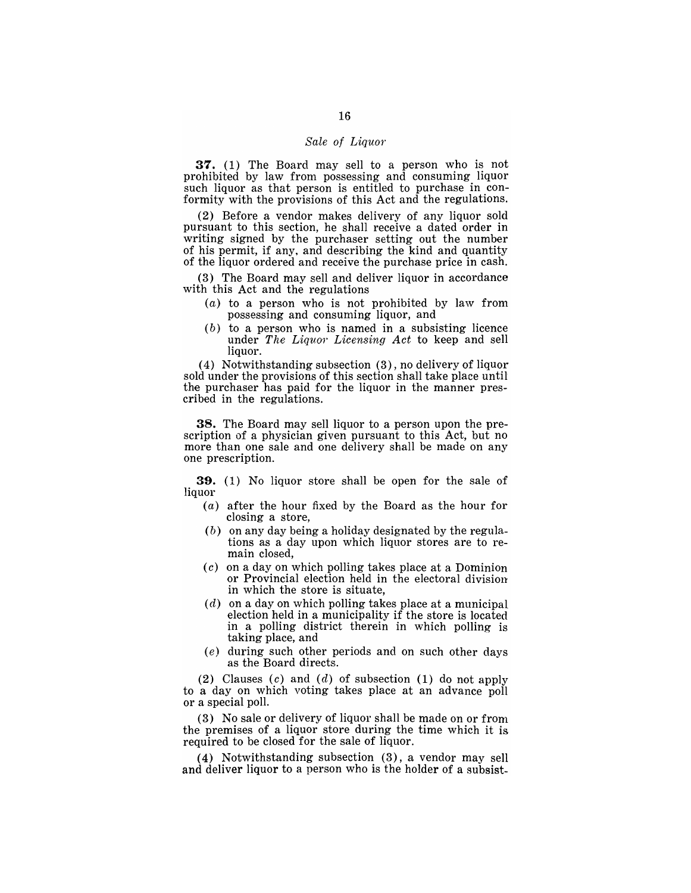#### Sale of Liquor

**37.** (1) The Board may sell to a person who is not prohibited by law from possessing and consuming liquor such liquor as that person is entitled to purchase in conformity with the provisions of this Act and the regulations.

(2) Before a vendor makes delivery of any liquor sold pursuant to this section, he shall receive a dated order in writing signed by the purchaser setting out the number of his permit, if any, and describing the kind and quantity of the liquor ordered and receive the purchase price in cash.

(3) The Board may sell and deliver liquor in accordance with this Act and the regulations

- $(a)$  to a person who is not prohibited by law from possessing and consuming liquor, and
- $(b)$  to a person who is named in a subsisting licence under *The Liquor Licensing Act* to keep and sell liquor.

(4) Notwithstanding subsection (3), no delivery of liquor sold under the provisions of this section shall take place until the purchaser has paid for the liquor in the manner prescribed in the regulations.

**38.** The Board may sell liquor to a person upon the prescription of a physician given pursuant to this Act, but no more than one sale and one delivery shall be made on any one prescription.

**39.** (1) No liquor store shall be open for the sale of liquor

- (a) after the hour fixed by the Board as the hour for closing a store,
- $(b)$  on any day being a holiday designated by the regulations as a day upon which liquor stores are to remain closed,
- (c) on a day on which polling takes place at a Dominion or Provincial election held in the electoral division in which the store is situate,
- $(d)$  on a day on which polling takes place at a municipal election held in a municipality if the store is located in a polling district therein in which polling is taking place, and
- (e) during such other periods and on such other days as the Board directs.

(2) Clauses (c) and (d) of subsection (1) do not apply to a day on which voting takes place at an advance poll or a special poll.

(3) No sale or delivery of liquor shall be made on or fronl the premises of a liquor store during the time which it is required to be closed for the sale of liquor.

( 4) Notwithstanding subsection (3), a vendor may sell and deliver liquor to a person who is the holder of a subsist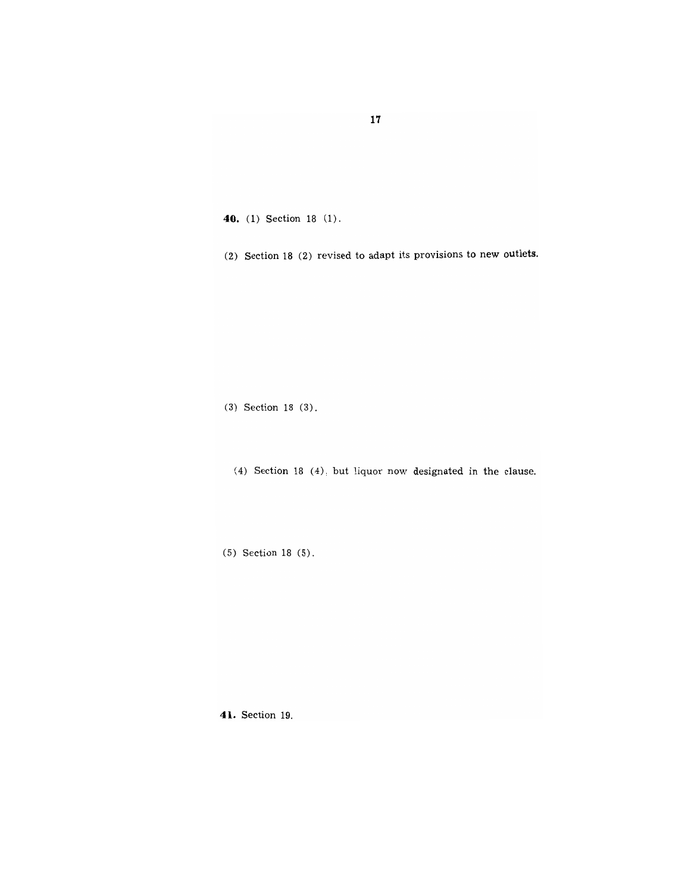**40.** (1) Section 18 (1).

(2) Section 18 (2) revised to adapt its provisions to new outlets.

(3) Section 18 (3).

(4) Section 18 (4), but liquor now designated in the clause.

(5) Section 18 (5).

**41.** Section 19.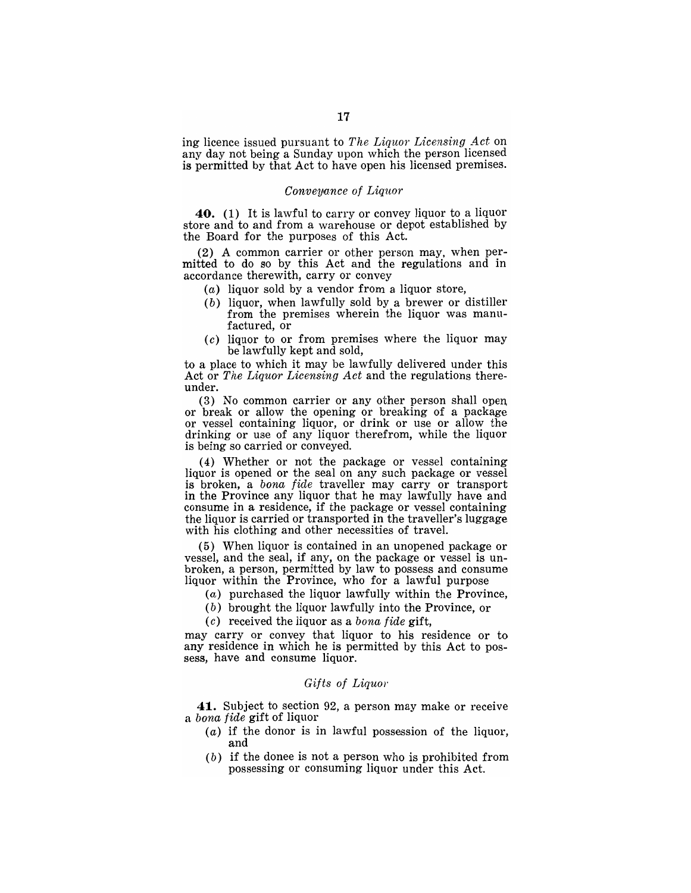ing licence issued pursuant to *The Liquor Licensing A.ct* on any day not being a Sunday upon which the person licensed is permitted by that Act to have open his licensed premises.

#### *Conveya.nce of Liquor*

**40.** (1) It is lawful to carry or convey liquor to a liquor store and to and from a warehouse or depot established by the Board for the purposes of this Act.

(2) A common carrier or other person may, when permitted to do so by this Act and the regulations and in accordance therewith, carry or convey

- $(a)$  liquor sold by a vendor from a liquor store,
- (b) liquor, when lawfully sold by a brewer or distiller from the premises wherein the liquor was manufactured, or
- $(c)$  liquor to or from premises where the liquor may be lawfully kept and sold,

to a place to which it may be lawfully delivered under this Act or *The Liquor Licens'ing Act* and the regulations thereunder.

(3) No common carrier or any other person shall open or break or allow the opening or breaking of a package or vessel containing liquor, or drink or use or allow the drinking or use of any liquor therefrom, while the liquor is being so carried or conveyed.

(4) Whether or not the package or vessel containing liquor is opened or the seal on any such package or vessel is broken, a *bona fide* traveller may carry or transport in the Province any liquor that he may lawfully have and consume in a residence, if the package or vessel containing the liquor is carried or transported in the traveller's luggage with his clothing and other necessities of travel.

(5) When liquor is contained in an unopened package or vessel, and the seal, if any, on the package or vessel is unbroken, a person, permitted by law to possess and consume liquor within the Province, who for a lawful purpose

- (a) purchased the liquor lawfully within the Province,
- (b) brought the liquor lawfully into the Province, or

*(c)* received the liquor as a *bona fide* gift,

may carry or convey that liquor to his residence or to any residence in which he is permitted by this Act to possess, have and consume liquor.

#### *Gifts of Liquor*

**41.** Subject to section 92, a person may make or receive a *bona fide* gift of liquor

- $(a)$  if the donor is in lawful possession of the liquor, and
- (b) if the donee is not a person who is prohibited from possessing or consuming liquor under this Act.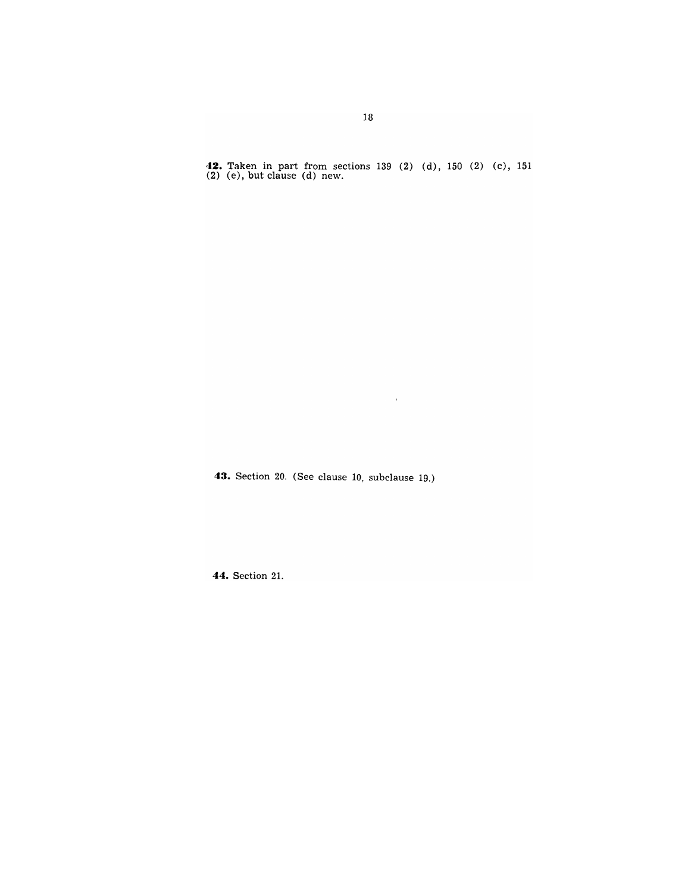**42.** Taken in part from sections 139 (2) (d), 150 (2) (c), 151 (2) (e), but clause (d) new.

 $\alpha$  .

**43.** Section 20. (See clause 10, subclause 19.)

**44.** Section 21.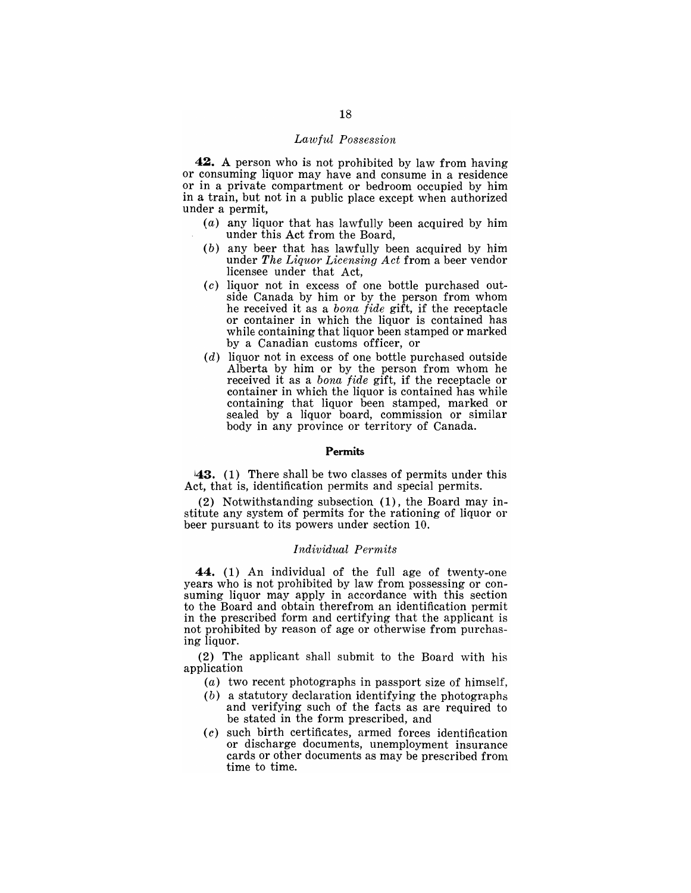# *Lawful Possession*

**42.** A person who is not prohibited by law from having or consuming liquor may have and consume in a residence or in a private compartment or bedroom occupied by him in a train, but not in a public place except when authorized under a permit,

- (a) any liquor that has lawfully been acquired by him under this Act from the Board,
- (b) any beer that has lawfully been acquired by him under *The Liquor Licensing Act* from a beer vendor licensee under that Act,
- (c) liquor not in excess of one bottle purchased outside Canada by him or by the person from whom he received it as a *bona fide* gift, if the receptacle or container in which the liquor is contained has while containing that liquor been stamped or marked by a Canadian customs officer, or
- (d) liquor not in excess of one bottle purchased outside Alberta by him or by the person from whom he received it as a *bona fide* gift, if the receptacle or container in which the liquor is contained has while containing that liquor been stamped, marked or sealed by a liquor board, commission or similar body in any province or territory of Canada.

#### **Permits**

 $\vert 43.$  (1) There shall be two classes of permits under this Act, that is, identification permits and special permits.

(2) Notwithstanding subsection (1), the Board may institute any system of permits for the rationing of liquor or beer pursuant to its powers under section 10.

### *Individual Permits*

**44.** (1) An individual of the full age of twenty-one years who is not prohibited by law from possessing or consuming liquor may apply in accordance with this section to the Board and obtain therefrom an identification permit in the prescribed form and certifying that the applicant is not prohibited by reason of age or otherwise from purchasing liquor.

(2) The applicant shall submit to the Board with his application

- (a) two recent photographs in passport size of himself,
- (b) a statutory declaration identifying the photographs and verifying such of the facts as are required to be stated in the form prescribed, and
- (c) such birth certificates, armed forces identification or discharge documents, unemployment insurance cards or other documents as may be prescribed fron1 time to time.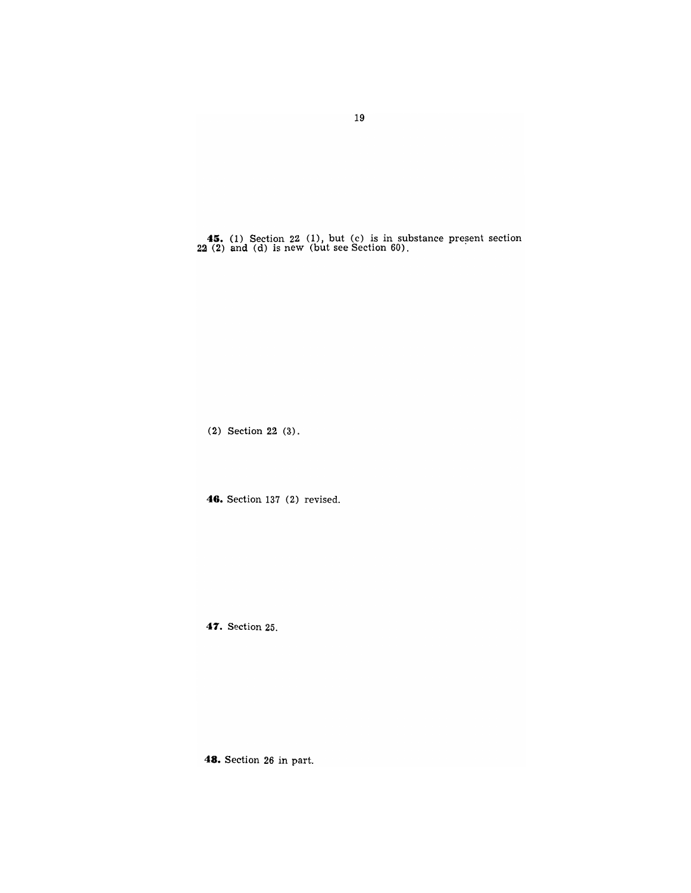**45.** (1) Section 22 (1), but (c) is in substance present section 22 (2) and (d) is new (but see Section 60).

(2) Section 22 (3).

46. Section 137 (2) revised.

**47.** Section 25.

**48.** Section 26 in part.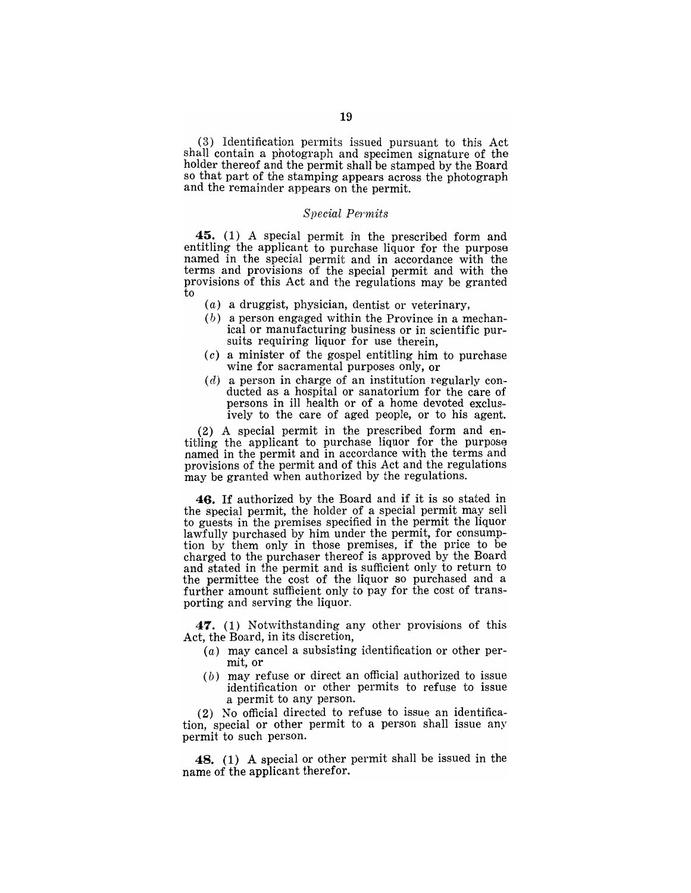(3) Identification permits issued pursuant to this Act shall contain a photograph and specimen signature of the holder thereof and the permit shall be stamped by the Board so that part of the stamping appears across the photograph and the remainder appears on the permit.

# $Special$  *Permits*

45. (1) A special permit in the prescribed form and entitling the applicant to purchase liquor for the purpose named in the special permit and in accordance with the terms and provisions of the special permit and with the provisions of this Act and the regulations may be granted to

- (a) a druggist, physician, dentist or veterinary,
- (b) a person engaged within the Province in a mechanical or manufacturing business or in scientific pursuits requiring liquor for use therein,
- $(c)$  a minister of the gospel entitling him to purchase wine for sacramental purposes only, or
- (d) a person in charge of an institution regularly conducted as a hospital or sanatorium for the care of persons in ill health or of a home devoted exclusively to the care of aged people, or to his agent.

(2) A special permit in the prescribed form and entitling the applicant to purchase liquor for the purpose named in the permit and in accordance with the terms and provisions of the permit and of this Act and the regulations may be granted when authorized by the regulations.

46. If authorized by the Board and if it is so stated in the special permit, the holder of a special permit may sell to guests in the premises specified in the permit the liquor lawfully purchased by him under the permit, for consumption by them only in those premises, if the price to be charged to the purchaser thereof is approved by the Board and stated in the permit and is sufficient only to return to the permittee the cost of the liquor so purchased and a further amount sufficient only to pay for the cost of transporting and serving the liquor.

47. (1) Notwithstanding any other provisions of this Act, the Board, in its discretion,

- $(a)$  may cancel a subsisting identification or other permit, or
- (b) may refuse or direct an official authorized to issue identification or other permits to refuse to issue a permit to any person.

(2) No official directed to refuse to issue an identification, special or other permit to a person shall issue any permit to such person.

48. (1) A special or other permit shall be issued in the name of the applicant therefor.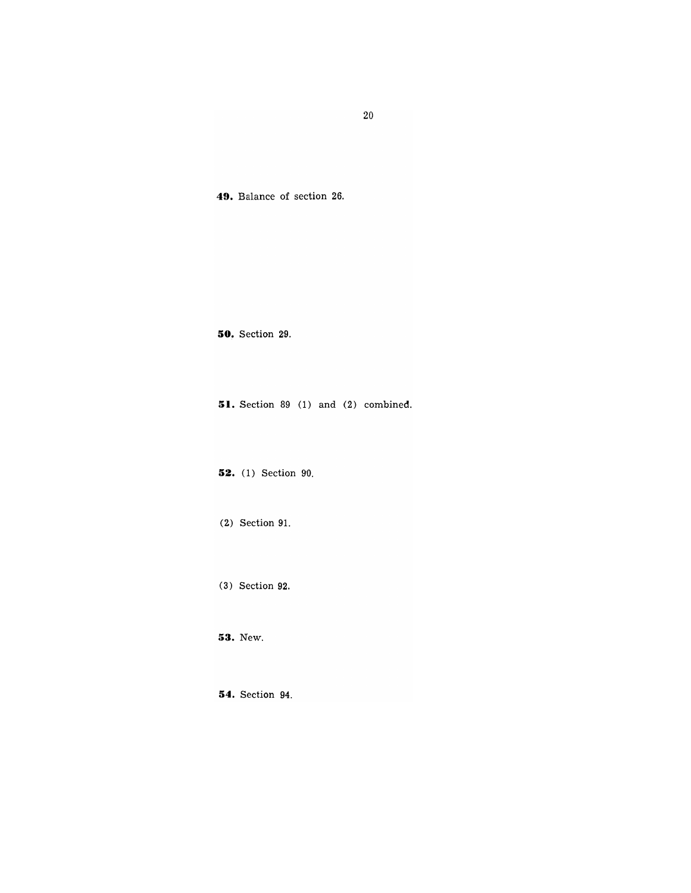**49.** Balance of section 26.

**50.** Section 29.

**51.** Section 89 (1) and (2) combined.

**52.** (1) Section 90.

(2) Section 91.

(3) Section 92.

**53.** New.

**54.** Section 94.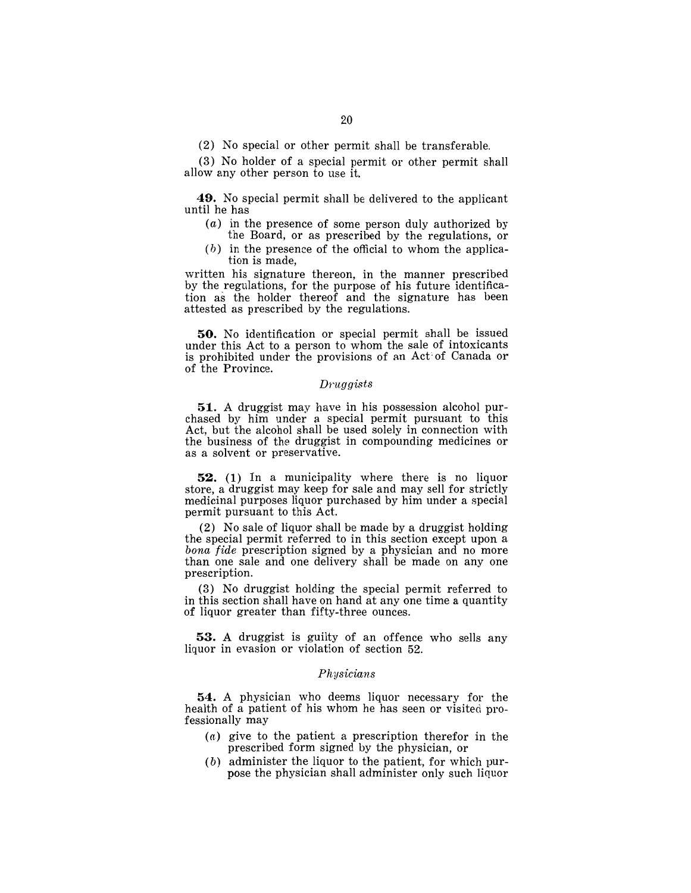(2) No special or other permit shall be transferable.

(3) No holder of a special permit or other permit shall allow any other person to use it.

**49.** No special permit shall be delivered to the applicant until he has

- (a) in the presence of some person duly authorized by the Board, or as prescribed by the regulations, or
- $(b)$  in the presence of the official to whom the application is made,

written his signature thereon, in the manner prescribed by the regulations, for the purpose of his future identification as the holder thereof and the signature has been attested as prescribed by the regulations.

**50.** No identification or special permit shall be issued under this Act to a person to whom the sale of intoxicants is prohibited under the provisions of an Act' of Ganada or of the Province.

#### *Druggists*

**51.** A druggist may have in his possession alcohol purchased by him under a special permit pursuant to this Act, but the alcohol shall be used solely in connection with the business of the druggist in compounding medicines or as a solvent or preservative.

**52.** (1) In a municipality where there is no liquor store, a druggist may keep for sale and may sell for strictly medicinal purposes liquor purchased by him under a special permit pursuant to this Act.

(2) No sale of liquor shall be made by a druggist holding the special permit referred to in this section except upon a *bona fide* prescription signed by a physician and no more than one sale and one delivery shall be made on anyone prescription.

(3) No druggist holding the special permit referred to in this section shall have on hand at anyone time a quantity of liquor greater than fifty-three ounces.

**53.** A druggist is guilty of an offence who sells any liquor in evasion or violation of section 52.

### *Physicians*

**54.** A physician who deems liquor necessary for the health of a patient of his whom he has seen or visited professionally may

- $(a)$  give to the patient a prescription therefor in the prescribed form signed by the physician, or
- (b) administer the liquor to the patient, for which purpose the physician shall administer only such liquor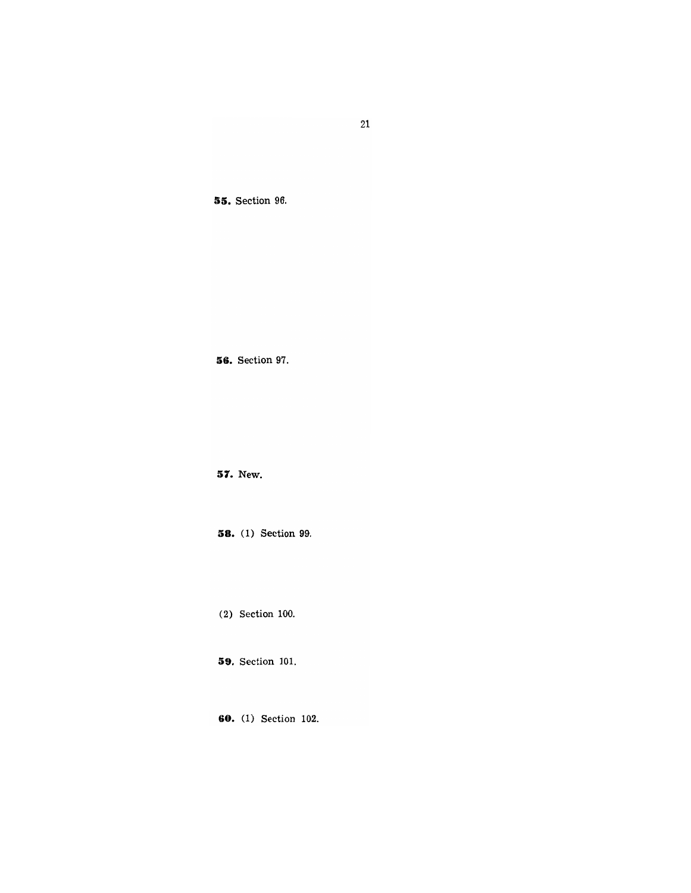# **55.** Section 96.

**56.** Section 97.

**57.** New.

**58.** ( 1) Section 99.

(2) Section 100.

**59.** Section 101.

**60.** (1) Section 102.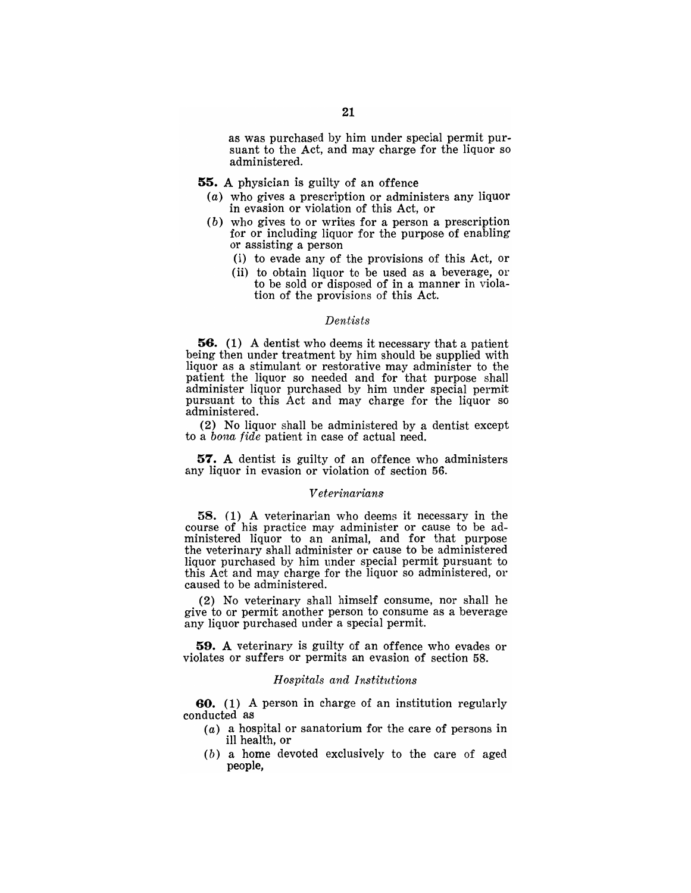as was purchased by him under special permit pursuant to the Act, and may charge for the liquor so administered.

- 55. A physician is guilty of an offence
	- (a) who gives a prescription or administers any liquor in evasion or violation of this Act, or
	- (b) who gives to or writes for a person a prescription for or including liquor for the purpose of enabling or assisting a person
		- (i) to evade any of the provisions of this Act, or
		- (ii) to obtain liquor to be used as a beverage, or to be sold or disposed of in a manner in violation of the provisions of this Act.

## *Dentists*

56. (1) A dentist who deems it necessary that a patient being then under treatment by him should be supplied with liquor as a stimulant or restorative may administer to the patient the liquor so needed and for that purpose shall administer liquor purchased by him under special permit pursuant to this Act and may charge for the liquor so administered.

(2) No liquor shall be administered by a dentist except to a *bona fide* patient in case of actual need.

57. A dentist is guilty of an offence who administers any liquor in evasion or violation of section 56.

#### *Veterinarians*

58. (1) A veterinarian who deems it necessary in the course of his practice may administer or cause to be administered liquor to an animal, and for that purpose the veterinary shall administer or cause to be administered liquor purchased by him under special permit pursuant to this Act and may charge for the liquor so administered, or caused to be administered.

(2) No veterinary shall himself consume, nor shall he give to or permit another person to consume as a beverage any liquor purchased under a special permit.

59. A veterinary is guilty of an offence who evades or violates or suffers or permits an evasion of section 58.

#### *Hospitals and Institutions*

60. (1) A person in charge of an institution regularly conducted as

- (a) a hospital or sanatorium for the care of persons in ill health, or
- (b) a home devoted exclusively to the care of aged people,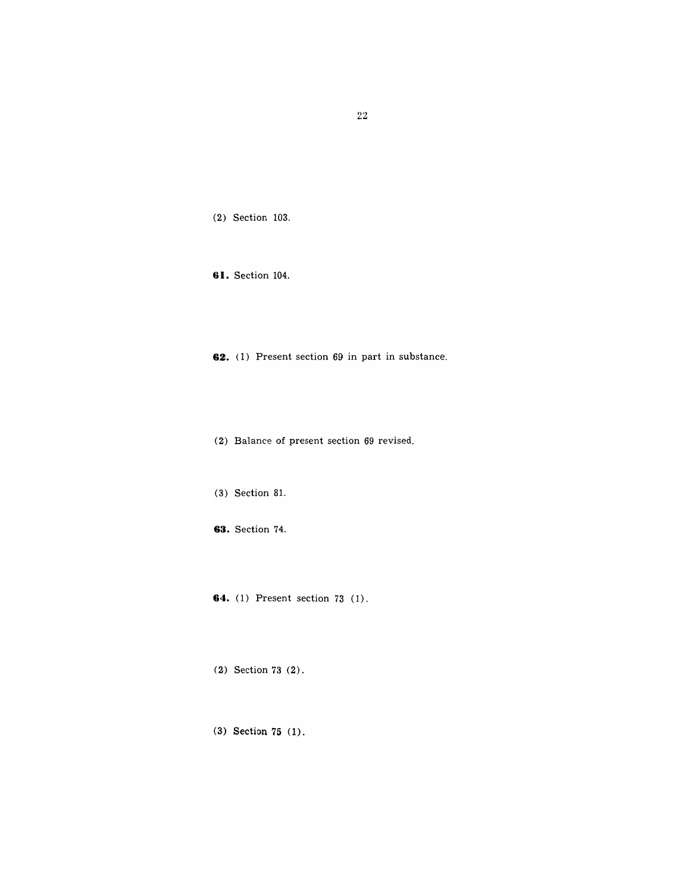22

(2) Section 103.

**61.** Section 104.

**62.** (1) Present section 69 in part in substance.

(2) Balance of present section 69 revised.

(3) Section 81.

**63.** Section 74.

**64.** (1) Present section 73 (1).

(2) Section 73 (2).

(3.) Section **75** (1).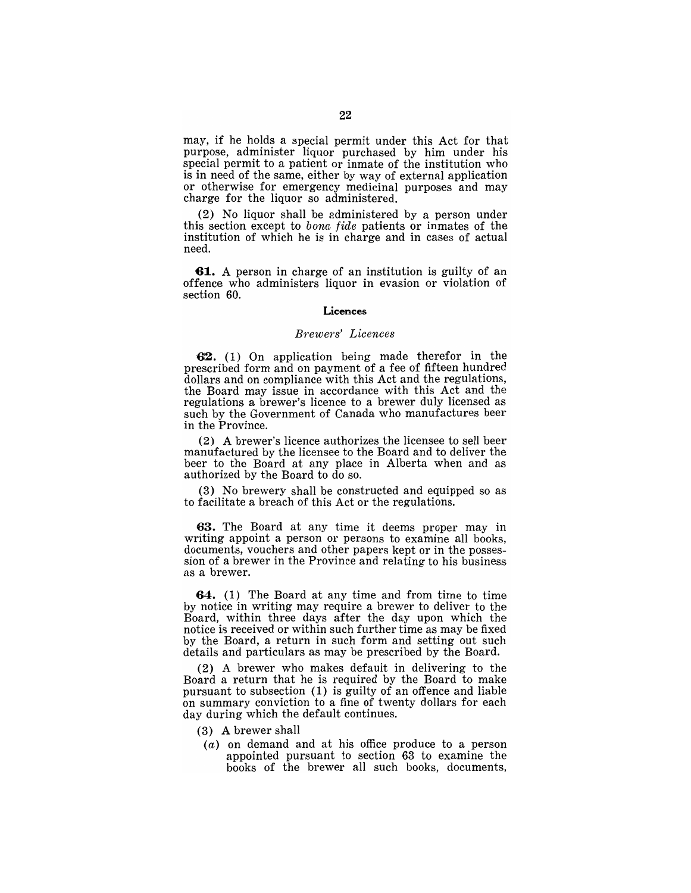may, if he holds a special permit under this Act for that purpose, administer liquor purchased by him under his special permit to a patient or inmate of the institution who is in need of the same, either by way of external application or otherwise for emergency medicinal purposes and may charge for the liquor so administered.

(2) No liquor shall be administered by a person under this section except to *bona fide* patients or inmates of the institution of which he is in charge and in cases of actual need.

**61.** A person in charge of an institution is guilty of an offence who administers liquor in evasion or violation of section 60.

#### **Licences**

# *Brewers' Licences*

'62. (1) On application being made therefor in the prescribed form and on payment of a fee of fifteen hundred dollars and on compliance with this Act and the regulations, the Board may issue in accordance with this Act and the regulations a brewer's licence to a brewer duly licensed as such by the Government of Canada who manufactures beer in the Province.

(2) A brewer's licence authorizes the licensee to sell beer manufactured by the licensee to the Board and to deliver the beer to the Board at any place in Alberta when and as authorized by the Board to do so.

(3) No brewery shall be constructed and equipped so as to facilitate a breach of this Act or the regulations.

**63.** The Board at any time it deems proper may in writing appoint a person or persons to examine all books, documents, vouchers and other papers kept or in the possession of a brewer in the Province and relating to his business as a brewer.

**64.** (1) The Board at any time and from time to time by notice in writing may require a brewer to deliver to the Board, within three days after the day upon which the notice is received or within such further time as may be fixed by the Board, a return in such form and setting out such details and particulars as may be prescribed by the Board.

(2) A brewer who makes default in delivering to the Board a return that he is required by the Board to make pursuant to subsection (1) is guilty of an offence and liable on summary conviction to a fine of twenty dollars for each day during which the default continues.

- (3) A brewer shall
- (a) on demand and at his office produce to a person appointed pursuant to section 63 to examine the books of the brewer all such books, documents,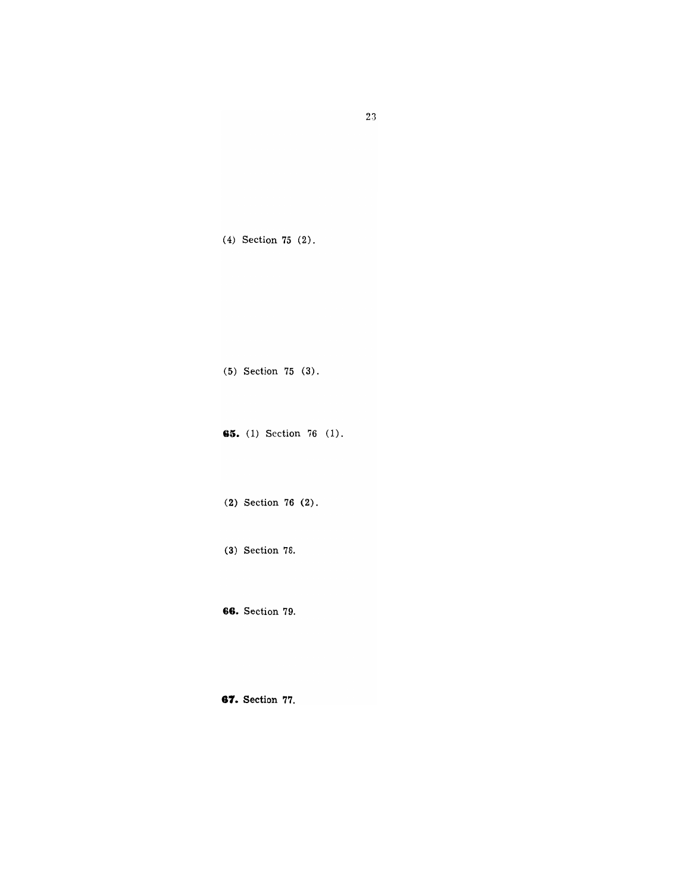(4) Section 75 (2).

(5) Section 75 (3).

**65.** (1) Section 76 (1).

(2) Section 76 (2).

(3) Section 78.

**66.** Section 79.

**81. Section 77.**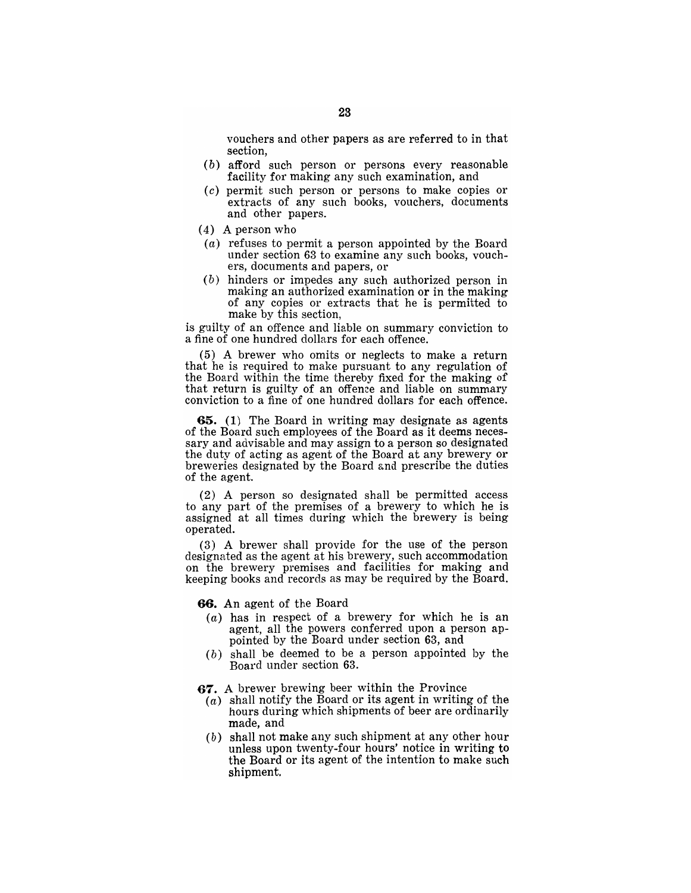- (b) afford such person or persons every reasonable facility for making any such examination, and
- (c) permit such person or persons to make copies or extracts of any such books, vouchers, documents and other papers.
- (4) A person who
- (a) refuses to permit a person appointed by the Board under section 63 to examine any such books, vouchers, documents and papers, or
- (b) hinders or impedes any such authorized person in making an authorized examination or in the making of any copies or extracts that he is permitted to make by this section,

is guilty of an offence and liable on summary conviction to a fine of one hundred dollars for each offence.

(5) A brewer who omits or neglects to make a return that he is required to make pursuant to any regulation of the Board within the time thereby fixed for the making of that return is guilty of an offence and liable on summary conviction to a fine of one hundred dollars for each offence.

65. (1) The Board in writing may designate as agents of the Board such employees of the Board as it deems necessary and advisable and may assign to a person so designated the duty of acting as agent of the Board at any brewery or breweries designated by the Board &nd prescribe the duties of the agent.

(2) A person so designated shall be permitted access to any part of the premises of a brewery to which he is assigned at all times during which the brewery is being operated.

(3) A brewer shall provide for the use of the person designated as the agent at his brewery, such accommodation on the brewery premises and facilities for making and keeping books and records as may be required by the Board.

66. An agent of the Board

- $(a)$  has in respect of a brewery for which he is an agent, all the powers conferred upon a person appointed by the Board under seetion 63, and
- (b) shall be deemed to be a person appointed by the Board under section 63.
- 67. A brewer brewing beer within the Province
	- $(a)$  shall notify the Board or its agent in writing of the hours during which shipments of beer are ordinarily made, and
	- $(b)$  shall not make any such shipment at any other hour unless upon twenty-four hours' notice in writing to the Board or its agent of the intention to make such shipment.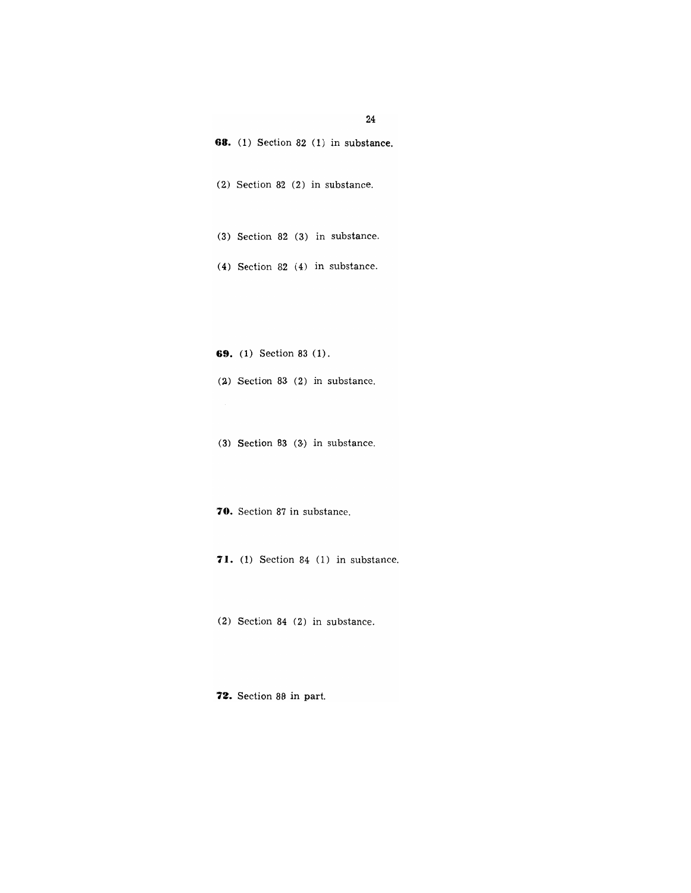| 24                                          |
|---------------------------------------------|
| <b>68.</b> (1) Section 82 (1) in substance. |
| (2) Section 82 (2) in substance.            |
| (3) Section 82 (3) in substance.            |
| $(4)$ Section 82 $(4)$ in substance.        |
|                                             |
|                                             |
| <b>69.</b> (1) Section 83 (1).              |
| $(2)$ Section 83 $(2)$ in substance.        |
|                                             |
| $(3)$ Section 83 $(3)$ in substance.        |
| 70. Section 87 in substance.                |
| $71.$ (1) Section 84 (1) in substance.      |

(2) Section 84 (2) in substance.

**72.** Section 88 in part.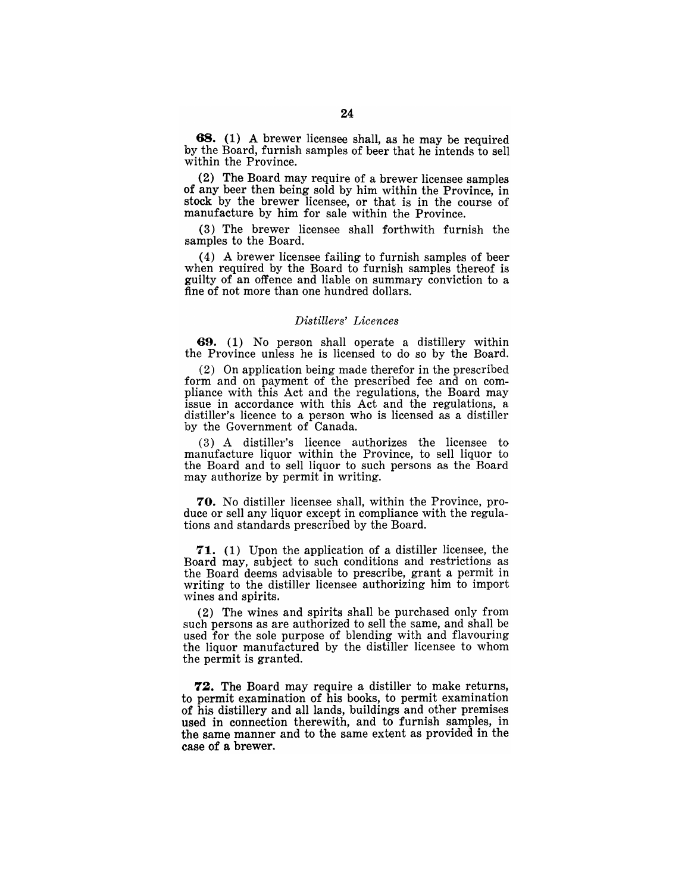68. (1) A brewer licensee shall, as he may be required by the Board, furnish samples of beer that he intends to sell within the Province.

(2) The Board may require of a brewer licensee samples of any beer then being sold by him within the Province, in stock by the brewer licensee, or that is in the course of manufacture by him for sale within the Province.

(3) The brewer licensee shall forthwith furnish the samples to the Board.

(4) A brewer licensee failing to furnish samples of beer when required by the Board to furnish samples thereof is guilty of an offence and liable on summary conviction to a fine of not more than one hundred dollars.

## *Distillers' Licences*

69. (1) No person shall operate a distillery within the Province unless he is licensed to do so by the Board.

(2) On application being made therefor in the prescribed form and on payment of the prescribed fee and on compliance with this Act and the regulations, the Board may issue in accordance with this Act and the regulations, a distiller's licence to a person who is licensed as a distiller by the Government of Canada.

(3) A distiller's licence authorizes the licensee to manufacture liquor within the Province, to sell liquor to the Board and to sell liquor to such persons as the Board may authorize by permit in writing.

70. No distiller licensee shall, within the Province, produce or sell any liquor except in compliance with the regulations and standards prescribed by the Board.

71. (1) Upon the application of a distiller licensee, the Board may, subject to such conditions and restrictions as the Board deems advisable to prescribe, grant a permit in writing to the distiller licensee authorizing him to import wines and spirits.

(2) The wines and spirits shall be purchased only from such persons as are authorized to sell the same, and shall be used for the sole purpose of blending with and flavouring the liquor manufactured by the distiller licensee to whom the permit is granted.

72. The Board may require a distiller to make returns, to permit examination of his books, to permit examination of his distillery and all lands, buildings and other premises used in connection therewith, and to furnish samples, in the same manner and to the same extent as provided in the case of a brewer.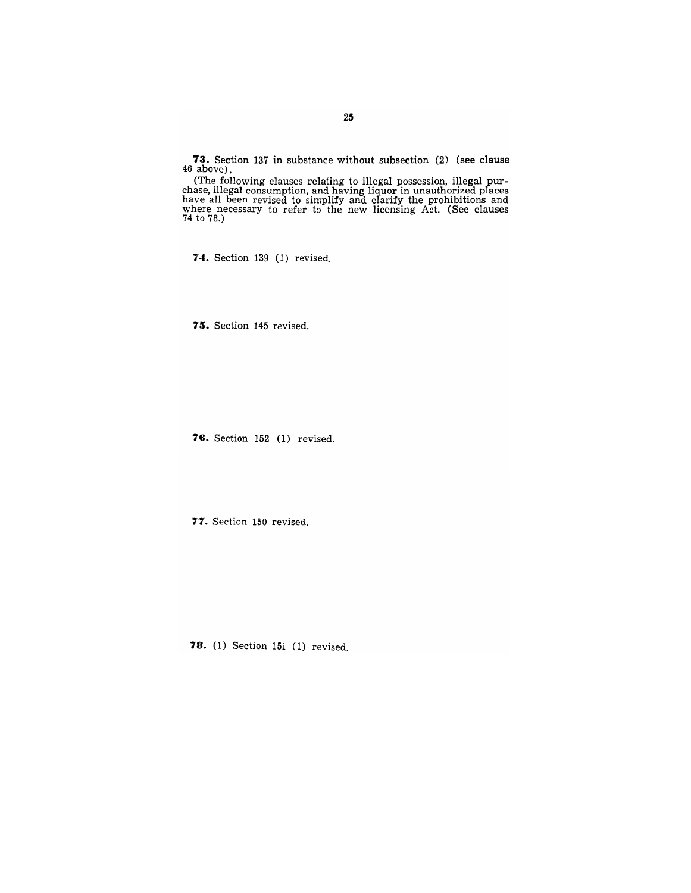**73.** Section 137 in substance without subsection (2) (see clause 46 above).

(The following clauses relating to illegal possession, illegal purchase, illegal consumption, and having liquor in unauthorized places have all been revised to simplify and clarify the prohibitions and where necessary to refer to the new licensing Act. (See clauses 74 to 78.)

**74.** Section 139 (1) revised.

**75.** Section 145 revised.

**78.** Section 152 (1) revised.

**71.** Section 150 revised.

**78.** (1) Section 151 (1) revised.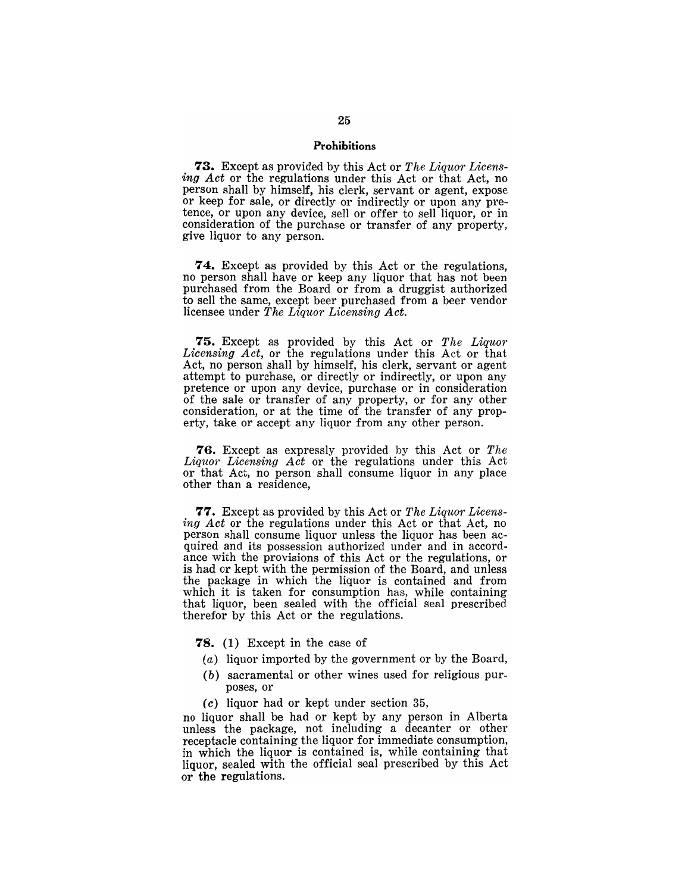#### **Prohibitions**

**73.** Except as provided by this Act or *The Liquor Licensing Act* or the regulations under this Act or that Act, no person shall by himself, his clerk, servant or agent, expose or keep for sale, or directly or indirectly or upon any pretence, or upon any device, sell or offer to sell liquor, or in consideration of the purchase or transfer of any property, give liquor to any person.

**74.** Except as provided by this Act or the regulations, no person shall have or keep any liquor that has not been purchased from the Board or from a druggist authorized to sell the same, except beer purchased from a beer vendor licensee under *The Liquor Licensing Act.* 

**75.** Except as provided by this Act or *The Liquor Licensing Act,* or the regulations under this Act or that Act, no person shall by himself, his clerk, servant or agent attempt to purchase, or directly or indirectly, or upon any pretence or upon any device, purchase or in consideration of the sale or transfer of any property, or for any other consideration, or at the time of the transfer of any property, take or accept any liquor from any other person.

**76.** Except as expressly provided by this Act or *The Liquor Licensing Act* or the regulations under this Act or that Act, no person shall consume liquor in any place other than a residence,

**77.** Except as provided by this Act or *The Liquor Licensing Act* or the regulations under this Act or that Act, no person shall consume liquor unless the liquor has been acquired and its possession authorized under and in accordance with the provisions of this Act or the regulations, or is had or kept with the permission of the Board, and unless the package in which the liquor is contained and from which it is taken for consumption has, while containing that liquor, been sealed with the official seal prescribed therefor by this Act or the regulations.

- **78.** (1) Except in the case of
- (a) liquor imported by the government or by the Board,
- (b) sacramental or other wines used for religious purposes, or
- $(c)$  liquor had or kept under section 35,

no liquor shall be had or kept by any person in Alberta unless the package, not including a decanter or other receptacle containing the liquor for immediate consumption, in which the liquor is contained is, while containing that liquor, sealed with the official seal prescribed by this Act or the regulations.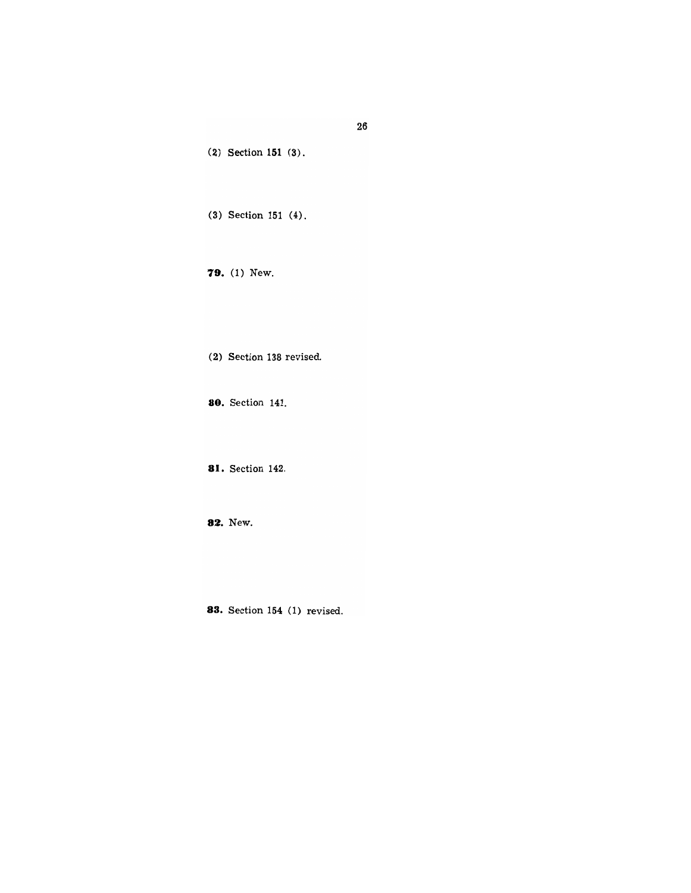(2) Section **151** (3).

(3) Section 151 (4).

**79.** (1) New.

(2) Section 138 revised.

**80.** Section 141.

**81.** Section 142.

**82.** New.

**83.** Section 154 (1) revised.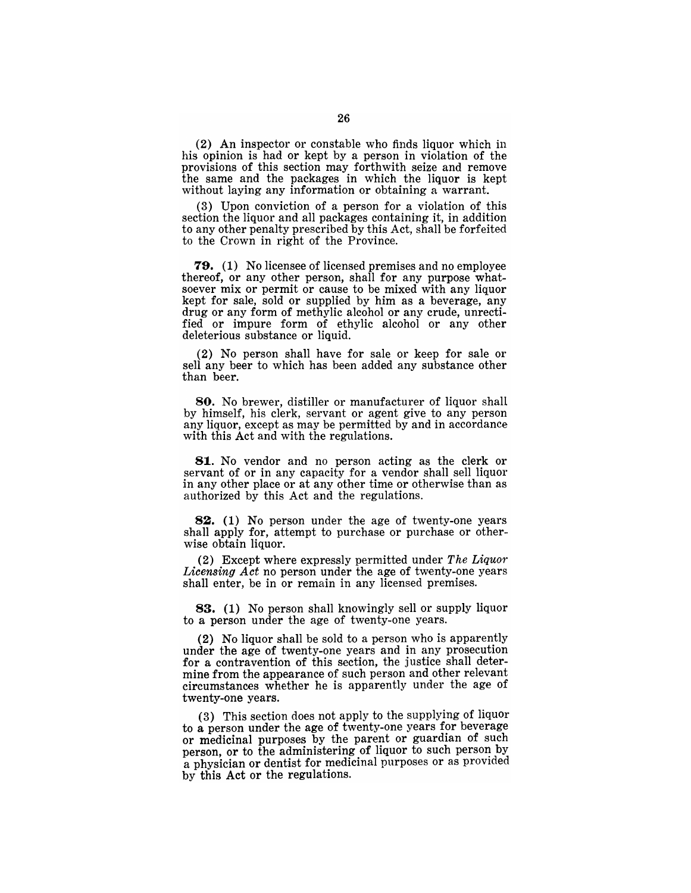(2) An inspector or constable who finds liquor which in his opinion is had or kept by a person in violation of the provisions of this section may forthwith seize and remove the same and the packages in which the liquor is kept without laying any information or obtaining a warrant.

(3) Upon conviction of a person for a violation of this section the liquor and all packages containing it, in addition to any other penalty prescribed by this Act, shall be forfeited to the Crown in right of the Province.

79. (1) No licensee of licensed premises and no employee thereof, or any other person, shall for any purpose whatsoever mix or permit or cause to be mixed with any liquor kept for sale, sold or supplied by him as a beverage, any drug or any form of methylic alcohol or any crude, unrectified or impure form of ethylic alcohol or any other deleterious substance or liquid.

(2) No person shall have for sale or keep for sale or sell any beer to which has been added any substance other than beer.

80. No brewer, distiller or manufacturer of liquor shall by himself, his clerk, servant or agent give to any person any liquor, except as may be permitted by and in accordance with this Act and with the regulations.

81. No vendor and no person acting as the clerk or servant of or in any capacity for a vendor shall sell liquor in any other place or at any other time or otherwise than as authorized by this Act and the regulations.

82. (1) No person under the age of twenty-one years shall apply for, attempt to purchase or purchase or otherwise obtain liquor.

(2) Except where expressly permitted under *The Liquor Licensing Act* no person under the age of twenty-one years shall enter, be in or remain in any licensed premises.

83. (1) No person shall knowingly sell or supply liquor to a person under the age of twenty-one years.

(2) No liquor shall be sold to a person who is apparently under the age of twenty-one years and in any prosecution for a contravention of this section, the justice shall determine from the appearance of such person and other relevant circumstances whether he is apparently under the age of twenty-one years.

(3) This section does not apply to the supplying of liquor to a person under the age of twenty-one years for beverage or medicinal purposes by the parent or guardian of such person, or to the administering of liquor to such person by a physician or dentist for medicinal purposes or as provided by this Act or the regulations.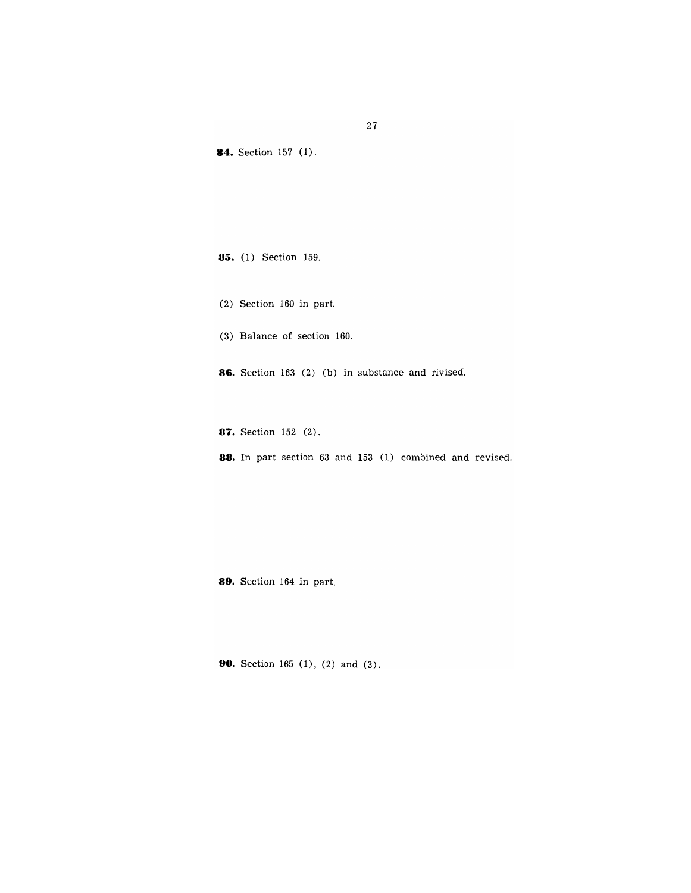**84.** Section 157 (1). **85.** (1) Section 159. (2) Section 160 in part. (3) Balance of section 160. **88.** Section 163 (2) (b) in substance and rivised. **87.** Section 152 (2).

**88.** In part section 63 and 153 (1) combined and revised.

**89.** Section 164 in part.

**90.** Section 165 (1), (2) and (3).

27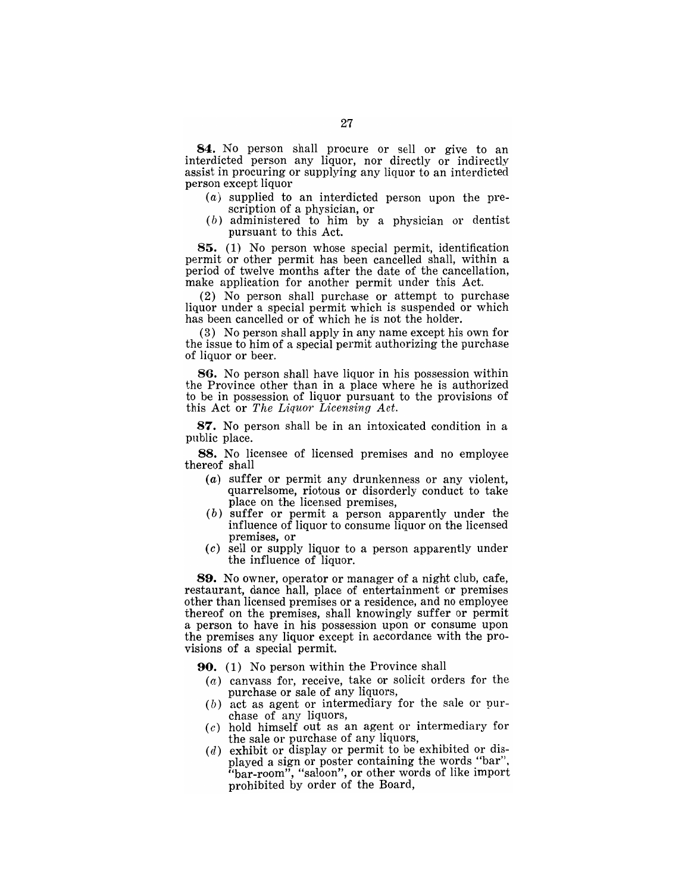84. No person shall procure or sell or give to an interdicted person any liquor, nor directly or indirectly assist in procuring or supplying any liquor to an interdicted person except liquor

- (a) supplied to an interdicted person upon the prescription of a physician, or
- (b) administered to him by a physician or dentist pursuant to this Act.

85. (1) No person whose special permit, identification permit or other permit has been cancelled shall, within a period of twelve months after the date of the cancellation, make application for another permit under this Act.

(2) No person shall purchase or attempt to purchase liquor under a special permit which is suspended or which has been cancelled or of which he is not the holder.

(3) No person shall apply in any name except his own for the issue to him of a special permit authorizing the purchase of liquor or beer.

86. No person shall have liquor in his possession within the Province other than in a place where he is authorized to be in possession of liquor pursuant to the provisions of this Act or *The Liquor Licensing Act.* 

87. No person shall be in an intoxicated condition in a public place.

88. No licensee of licensed premises and no employee thereof shall

- (a) suffer or permit any drunkenness or any violent, quarrelsome, riotous or disorderly conduct to take place on the licensed premises,
- (b) suffer or permit a person apparently under the influence of liquor to consume liquor on the licensed premises, or
- (c) sell or supply liquor to a person apparently under the influence of liquor.

89. No owner, operator or manager of a night club, cafe, restaurant, dance hall, place of entertainment or premises other than licensed premises or a residence, and no employee thereof on the premises, shall knowingly suffer or permit a person to have in his possession upon or consume upon the premises any liquor except in accordance with the provisions of a special permit.

- 90. (1) No person within the Province shall
	- $(a)$  canvass for, receive, take or solicit orders for the purchase or sale of any liquors,
	- $(b)$  act as agent or intermediary for the sale or purchase of any liquors,
	- (c) hold himself out as an agent or intermediary for the sale or purchase of any liquors,
	- $(d)$  exhibit or display or permit to be exhibited or displayed a sign or poster containing the words "bar". "bar-room", "saloon", or other words of like import prohibited by order of the Board,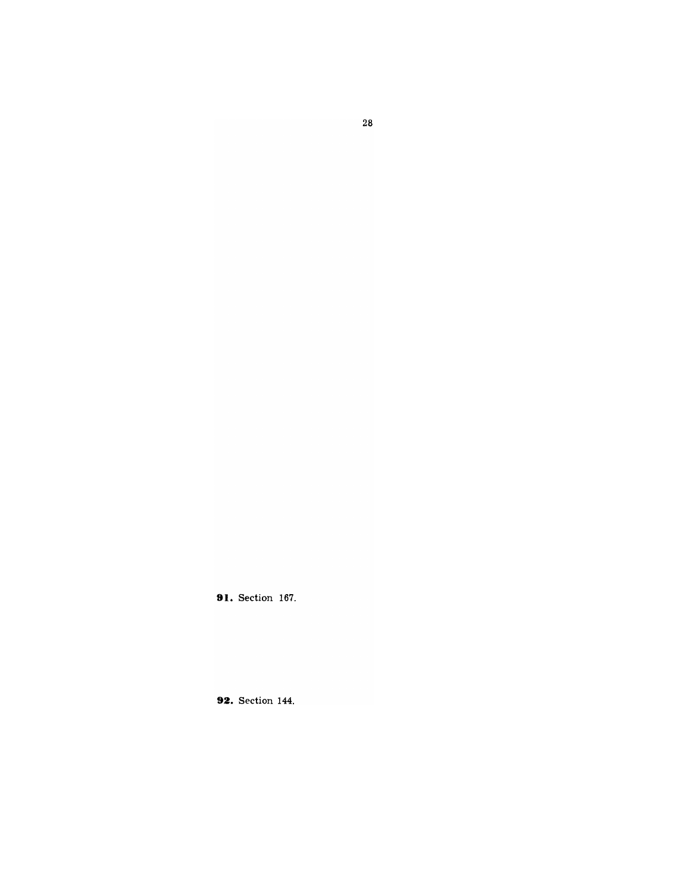**91.** Section 167.

**92.** Section 144.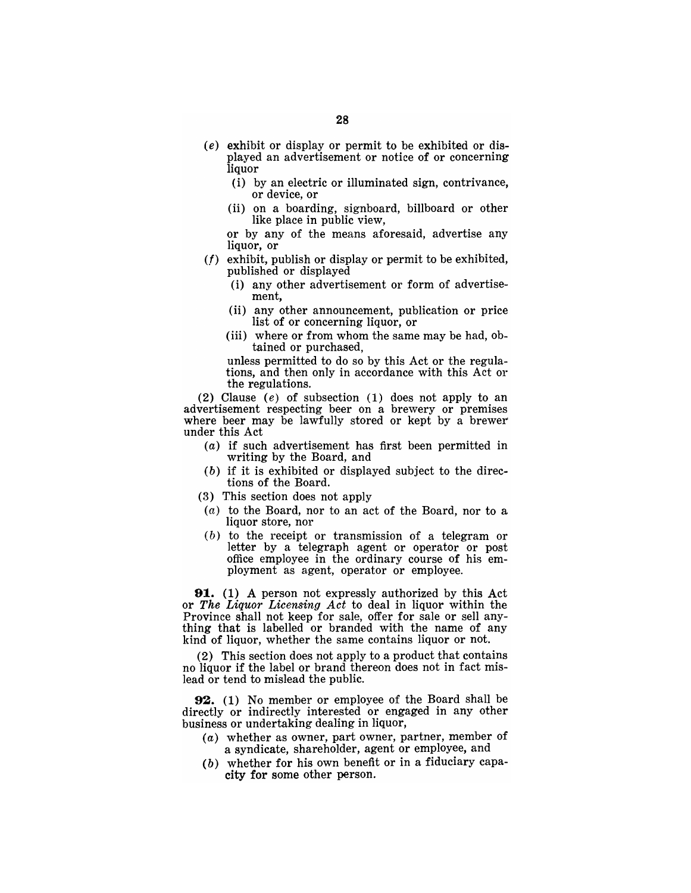- (e) exhibit or display or permit to be exhibited or displayed an advertisement or notice of or concerning liquor
	- (i) by an electric or illuminated sign, contrivance, or device, or
	- (ii) on a boarding, signboard, billboard or other like place in public view,
	- or by any of the means aforesaid, advertise any liquor, or
- *(f)* exhibit, publish or display or permit to be exhibited, published or displayed
	- (i) any other advertisement or form of advertisement,
	- (ii) any other announcement, publication or price list of or concerning liquor, or
	- (iii) where or from whom the same may be had, obtained or purchased,

unless permitted to do so by this Act or the regulations, and then only in accordance with this Act or the regulations.

(2) Clause (e) of subsection (1) does not apply to an advertisement respecting beer on a brewery or premises where beer may be lawfully stored or kept by a brewer under this Act

- (a) if such advertisement has first been permitted in writing by the Board, and
- (b) if it is exhibited or displayed subject to the directions of the Board.
- (3) This section does not apply
- (a) to the Board, nor to an act of the Board, nor to a liquor store, nor
- (b) to the receipt or transmission of a telegram or letter by a telegraph agent or operator or post office employee in the ordinary course of his employment as agent, operator or employee.

91. (1) A person not expressly authorized by this Act or *The Liquor Licensing Act* to deal in liquor within the Province shall not keep for sale, offer for sale or sell anything that is labelled or branded with the name of any kind of liquor, whether the same contains liquor or not.

(2) This section does not apply to a product that contains no liquor if the label or brand thereon does not in fact mislead or tend to mislead the public.

92. (1) No member or employee of the Board shall be directly or indirectly interested or engaged in any other business or undertaking dealing in liquor,

- (a) whether as owner, part owner, partner, member of a syndicate, shareholder, agent or employee, and
- (b) whether for his own benefit or in a fiduciary capacity for some other person.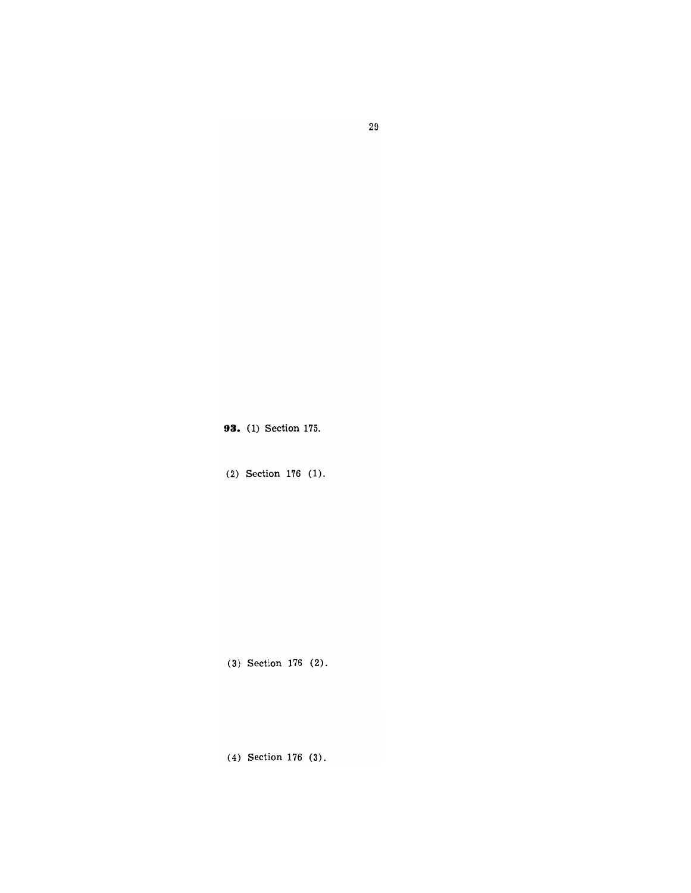**93.** (1) Section 175.

(2) Section 176 (1).

(3) Section 176 (2).

(4) Section 176 (3).

29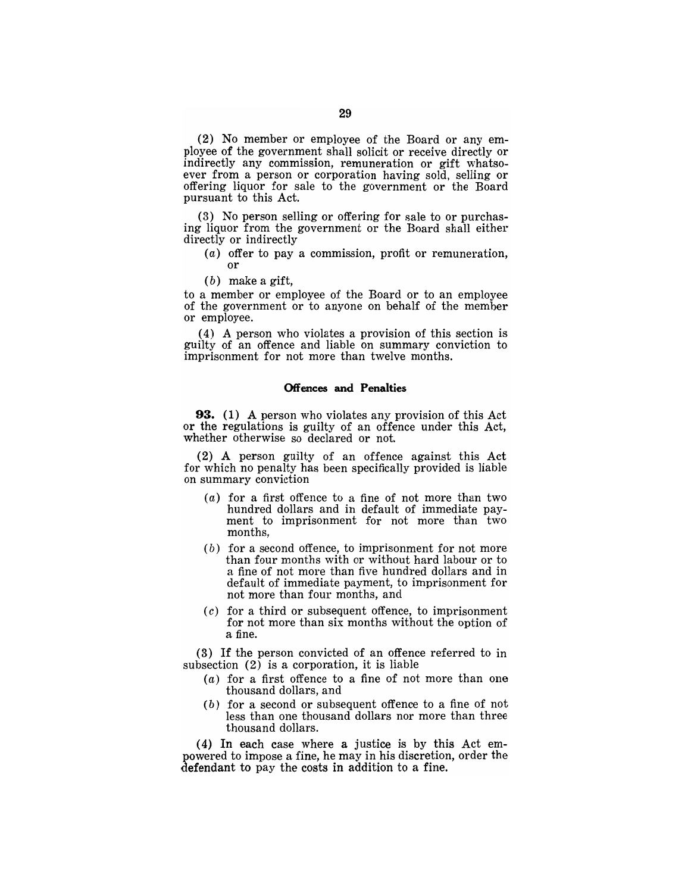(2) No member or employee of the Board or any employee of the government shall solicit or receive directly or indirectly any commission, remuneration or gift whatsoever from a person or corporation having sold, selling or offering liquor for sale to the government or the Board pursuant to this Act.

(3) No person selling or offering for sale to or purchasing liquor from the government or the Board shall either directly or indirectly

(a) offer to pay a commission, profit or remuneration, or

 $(b)$  make a gift,

to a member or employee of the Board or to an employee of the government or to anyone on behalf of the member or employee.

(4) A person who violates a provision of this section is guilty of an offence and liable on summary conviction to imprisonment for not more than twelve months.

## Offences and Penalties

93. (1) A person who violates any provision of this Act or the regulations is guilty of an offence under this Act, whether otherwise so declared or not.

(2) A person guilty of an offence against this Act for which no penalty has been specifically provided is liable on summary conviction

- $(a)$  for a first offence to a fine of not more than two hundred dollars and in default of immediate payment to imprisonment for not more than two months,
- (b) for a second offence, to imprisonment for not more than four months with or without hard labour or to a fine of not more than five hundred dollars and in default of immediate payment, to imprisonment for not more than four months, and
- $(c)$  for a third or subsequent offence, to imprisonment for not more than six months without the option of a fine.

(3) If the person convicted of an offence referred to in subsection (2) is a corporation, it is liable

- (a) for a first offence to a fine of not more than one thousand dollars, and
- (b) for a second or subsequent offence to a fine of not less than one thousand dollars nor more than three thousand dollars.

(4) In each case where a justice is by this Act empowered to impose a fine, he may in his discretion, order the defendant to pay the costs in addition to a fine.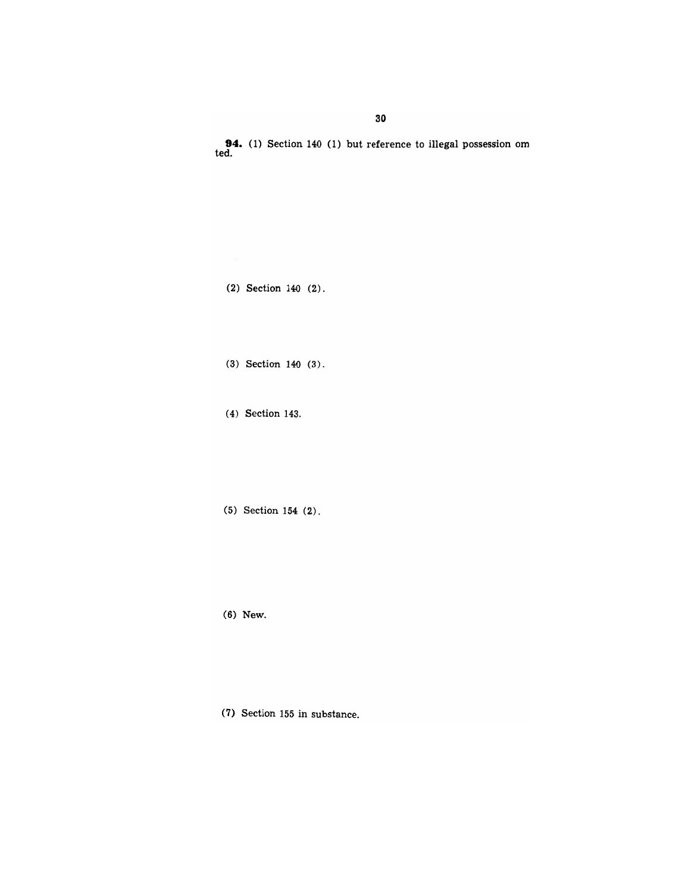**30** 

**94.** (1) Section 140 (1) but reference to illegal possession om ted.

 $(2)$  Section 140  $(2)$ .

(3) Section 140 (3).

(4) Section 143.

(5) Section 154 (2).

(6) New.

(7) Section IS5 in sUbstance.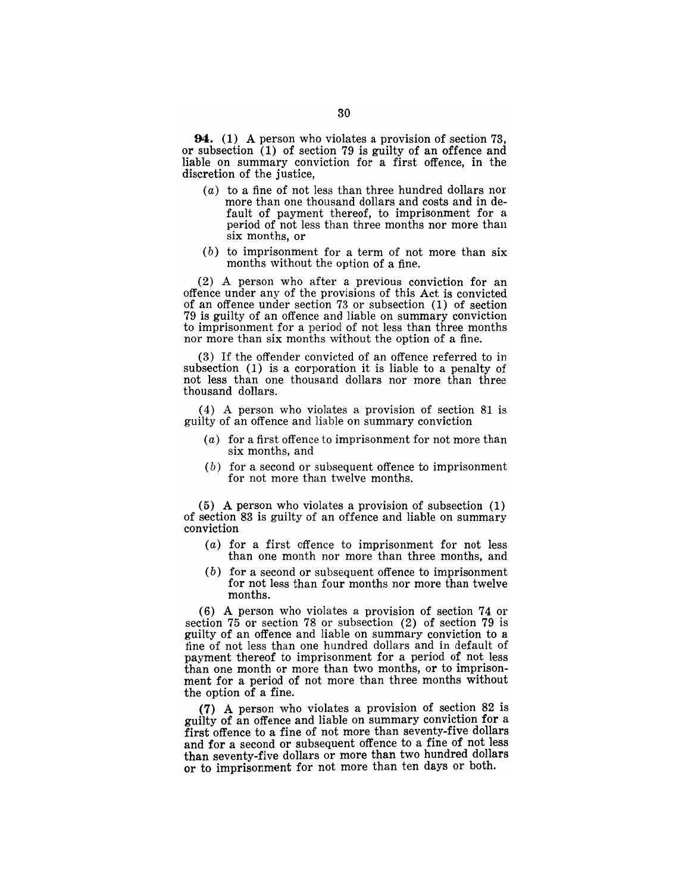**94.** (1) A person who violates a provision of section 73, or subsection (1) of section 79 is guilty of an offence and liable on summary conviction for a first offence, in the discretion of the justice,

- (a) to a fine of not less than three hundred dollars nor more than one thousand dollars and costs and in default of payment thereof, to imprisonment for a period of not less than three months nor more than six months, or
- (b) to imprisonment for a term of not more than six months without the option of a fine.

(2) A person who after a previous conviction for an offence under any of the provisions of this Act is convicted of an offence under section 73 or subsection (1) of section 79 is guilty of an offence and liable on summary conviction to imprisonment for a period of not less than three months nor more than six months without the option of a fine.

(3) If the offender convicted of an offence referred to in subsection (1) is a corporation it is liable to a penalty of not less than one thousand dollars nor more than three thousand dollars.

(4) A person who violates a provision of section 81 is guilty of an offence and liable on summary conviction

- (a) for a first offence to imprisonment for not more than six months, and
- $(b)$  for a second or subsequent offence to imprisonment for not more than twelve months.

(5) A person who violates a provision of subsection (1) of section 83 is guilty of an offence and liable on summary conviction

- (a) for a first offence to imprisonment for not less than one month nor more than three months, and
- (b) for a second or subsequent offence to imprisonment for not less than four months nor more than twelve months.

(6) A person who violates a provision of section 74 or section 75 or section 78 or subsection (2) of section 79 is guilty of an offence and liable on summary conviction to a fine of not less than one hundred dollars and in default of payment thereof to imprisonment for a period of not less than one month or more than two months, or to imprisonment for a period of not more than three months without the option of a fine.

(7) A person who violates a provision of section 82 is guilty of an offence and liable on summary conviction for a first offence to a fine of not more than seventy-five dollars and for a second or subsequent offence to a fine of not less than seventy-five dollars or more than two hundred dollars or to imprisonment for not more than ten days or both.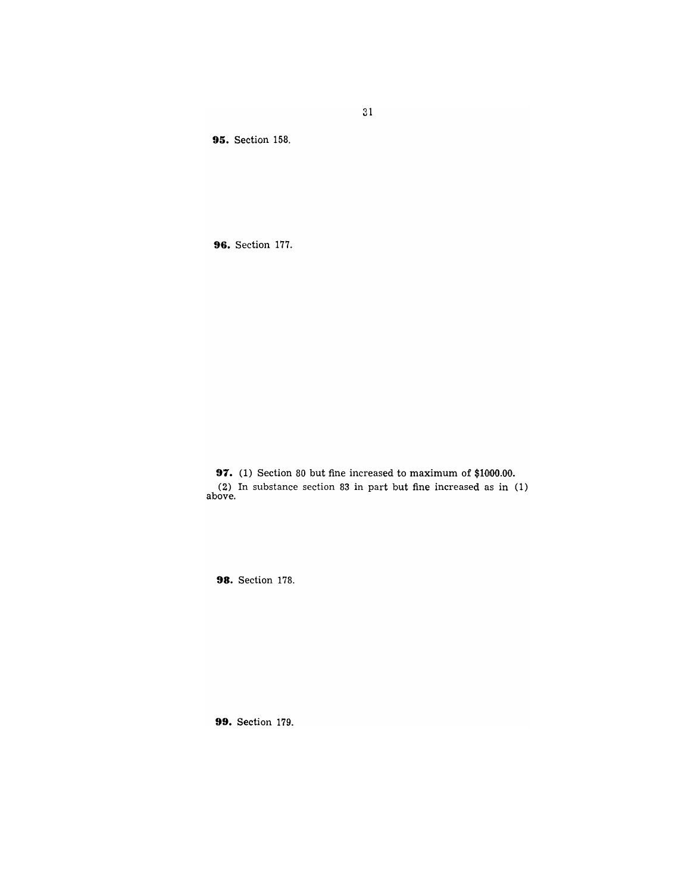**95.** Section 158.

**96.** Section 177.

**97.** (1) Section 80 but fine increased to maximum of \$1000.00. (2) In substance section 83 in part but fine increased as in (1) above.

**98.** Section 178.

**99.** Section 179.

31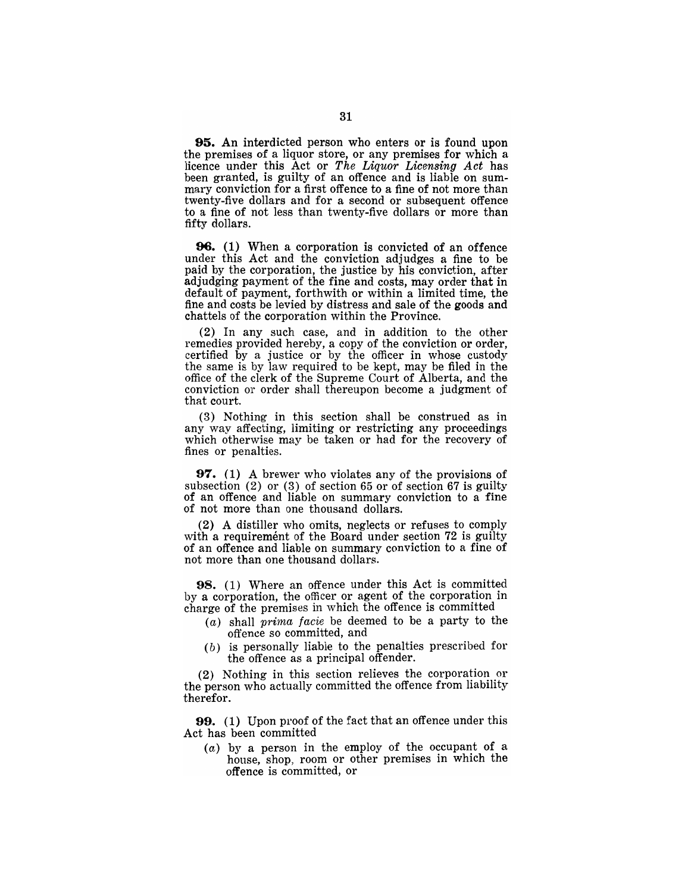95. An interdicted person who enters or is found upon the premises of a liquor store, or any premises for which a licence under this Act or *The Liquor Licensing Act* has been granted, is guilty of an offence and is liable on summary conviction for a first offence to a fine of not more than twenty-five dollars and for a second or subsequent offence to a fine of not less than twenty-five dollars or more than fifty dollars.

**96.** (1) When a corporation is convicted of an offence under this Act and the conviction adjudges a fine to be paid by the corporation, the justice by his conviction, after adjudging payment of the fine and costs, may order that in default of payment, forthwith or within a limited time, the fine and costs be levied by distress and sale of the goods and chattels of the corporation within the Province.

(2) In any such case, and in addition to the other remedies provided hereby, a copy of the conviction or order, certified by a justice or by the officer in whose custody the same is by law required to be kept, may be filed in the office of the clerk of the Supreme Court of Alberta, and the conviction or order shall thereupon become a judgment of that court.

(3) Nothing in this section shall be construed as in any way affecting, limiting or restricting any proceedings which otherwise may be taken or had for the recovery of fines or penalties.

97. (1) A brewer who violates any of the provisions of subsection (2) or (3) of section 65 or of section 67 is guilty of an offence and liable on summary conviction to a fine of not more than one thousand dollars.

(2) A distiller who omits, neglects or refuses to comply with a requirement of the Board under section 72 is guilty of an offence and liable on summary conviction to a fine of not more than one thousand dollars.

98. (1) Where an offence under this Act is committed by a corporation, the officer or agent of the corporation in charge of the premises in which the offence is committed

- (a) shall prima facie be deemed to be a party to the offence so committed, and
- (b) is personally liable to the penalties prescribed for the offence as a principal offender.

(2) Nothing in this section relieves the corporation or the person who actually committed the offence from liability therefor.

99. (1) Upon proof of the fact that an offence under this Act has been committed

(a) by a person in the employ of the occupant of a house, shop, room or other premises in which the offence is committed, or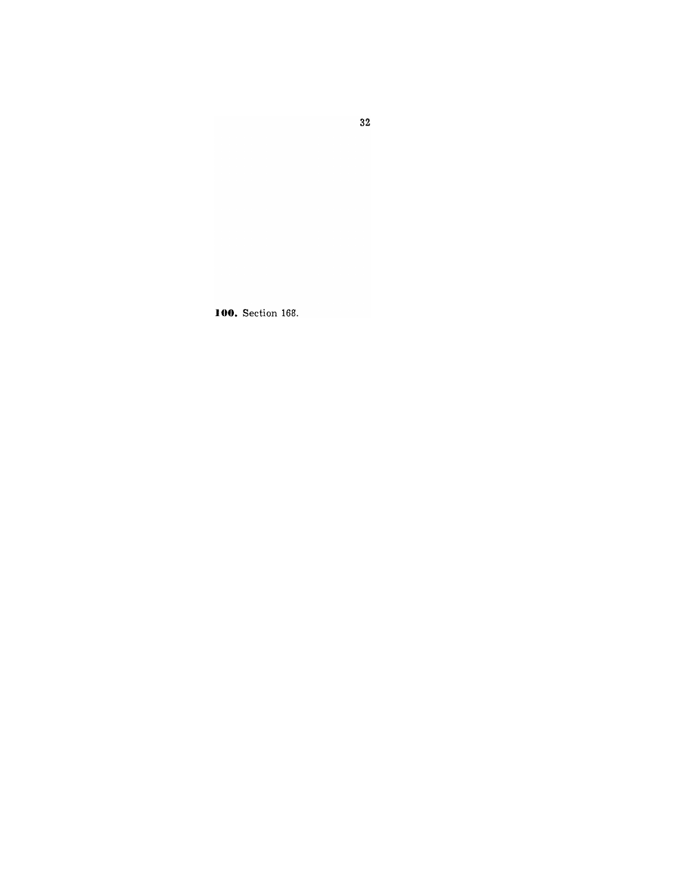**100.** Section 168.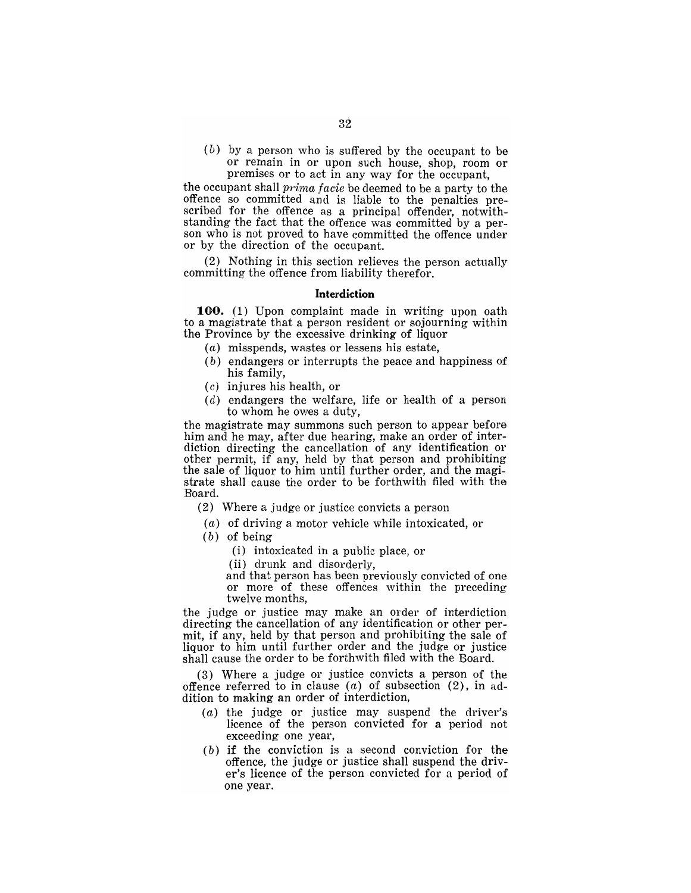(b) by a person who is suffered by the occupant to be or remain in or upon such house, shop, room or premises or to act in any way for the occupant,

the occupant shall *prima facie* be deemed to be a party to the offence so committed and is liable to the penalties prescribed for the offence as a principal offender, notwithstanding the fact that the offence was committed by a person who is not proved to have committed the offence under or by the direction of the occupant.

(2) Nothing in this section relieves the person actually committing the offence from liability therefor.

### **Interdiction**

**100.** (1) Upon complaint made in writing upon oath to a magistrate that a person resident or sojourning within the Province by the excessive drinking of liquor

- (a) misspends, wastes or lessens his estate,
- (b) endangers or interrupts the peace and happiness of his family,
- (c) injures his health, or
- $(d)$  endangers the welfare, life or health of a person to whom he owes a duty,

the magistrate may summons such person to appear before him and he may, after due hearing, make an order of interdiction directing the cancellation of any identification or other permit, if any, held by that person and prohibiting the sale of liquor to him until further order, and the magistrate shall cause the order to be forthwith filed with the Board.

- (2) Where a judge or justice convicts a person
- (a) of driving a motor vehicle while intoxicated, or
- (b) of being
	- (i) intoxicated in a public place, or
	- (ii) drunk and disorderly,

and that person has been previously convicted of one or more of these offences within the preceding twelve months,

the judge or justice may make an order of interdiction directing the cancellation of any identification or other permit, if any, held by that person and prohibiting the sale of liquor to him until further order and the judge or justice shall cause the order to be forthwith filed with the Board.

(3) Where a judge or justice convicts a person of the offence referred to in clause  $(a)$  of subsection  $(2)$ , in addition to making an order of interdiction,

- (a) the judge or justice may suspend the driver's licence of the person convicted for a period not exceeding one year,
- (b) if the conviction is a second conviction for the offence, the judge or justice shall suspend the driver's licence of the person convicted for a period of one year.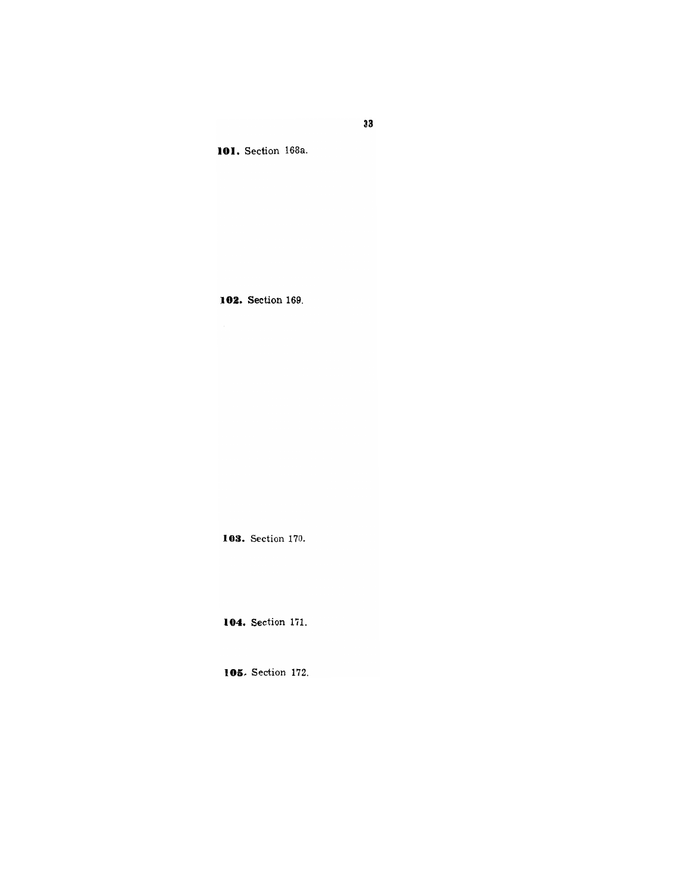**101.** Section 168a.

**103.** Section 169.

**103.** Section 170.

**104.** Section 171.

**105.** Section 172.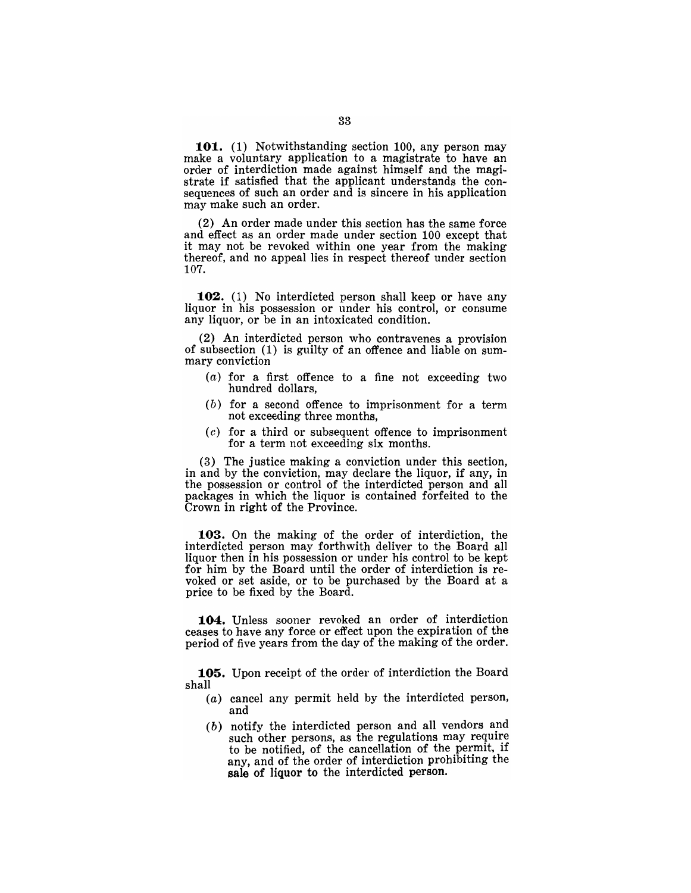101. (1) Notwithstanding section 100, any person may make a voluntary application to a magistrate to have an order of interdiction made against himself and the magistrate if satisfied that the applicant understands the consequences of such an order and is sincere in his application may make such an order.

(2) An order made under this section has the same force and effect as an order made under section 100 except that it may not be revoked within one year from the making thereof, and no appeal lies in respect thereof under section 107.

102. (1) No interdicted person shall keep or have any liquor in his possession or under his control, or consume any liquor, or be in an intoxicated condition.

(2) An interdicted person who contravenes a provision of subsection (1) is guilty of an offence and liable on summary conviction

- $(a)$  for a first offence to a fine not exceeding two hundred dollars,
- $(b)$  for a second offence to imprisonment for a term not exceeding three months,
- $(c)$  for a third or subsequent offence to imprisonment for a term not exceeding six months.

(3) The justice making a conviction under this section, in and by the conviction, may declare the liquor, if any, in the possession or control of the interdicted person and all packages in which the liquor is contained forfeited to the Crown in right of the Province.

103. On the making of the order of interdiction, the interdicted person may forthwith deliver to the Board all liquor then in his possession or under his control to be kept for him by the Board until the order of interdiction is revoked or set aside, or to be purchased by the Board at a price to be fixed by the Board.

104. Unless sooner revoked an order of interdiction ceases to have any force or effect upon the expiration of the period of five years from the day of the making of the order.

105. Upon receipt of the order of interdiction the Board shall

- (a) cancel any permit held by the interdicted person, and
- (b) notify the interdicted person and all vendors and such other persons, as the regulations may require to be notified, of the cancellation of the permit, if any, and of the order of interdiction prohibiting the sale of liquor to the interdicted person.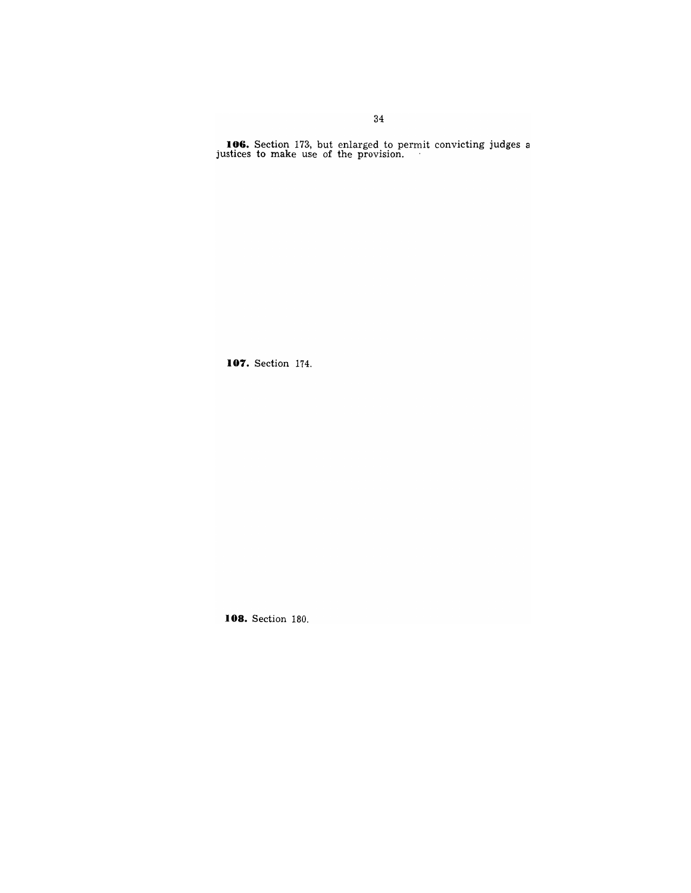**106.** Section 173, but enlarged to permit convicting judges a justices to make use of the provision.

**107.** Section 174.

**108.** Section 180.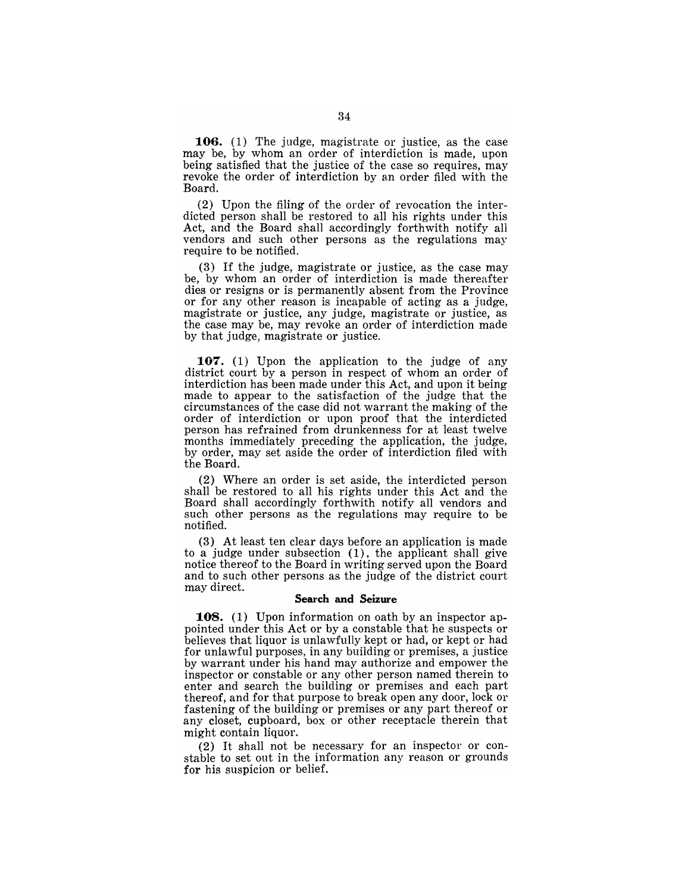**106.** (1) The judge, magistrate or justice, as the case may be, by whom an order of interdiction is made, upon being satisfied that the justice of the case so requires, may revoke the order of interdiction by an order filed with the Board.

(2) Upon the filing of the order of revocation the interdicted person shall be restored to all his rights under this Act, and the Board shall accordingly forthwith notify all vendors and such other persons as the regulations may require to be notified.

(3) If the judge, magistrate or justice, as the case may be, by whom an order of interdiction is made thereafter dies or resigns or is permanently absent from the Province or for any other reason is incapable of acting as a judge, magistrate or justice, any judge, magistrate or justice, as the case may be, may revoke an order of interdiction made by that judge, magistrate or justice.

**107.** (1) Upon the application to the judge of any district court by a person in respect of whom an order of interdiction has been made under this Act, and upon it being made to appear to the satisfaction of the judge that the circumstances of the case did not warrant the making of the order of interdiction or upon proof that the interdicted person has refrained from drunkenness for at least twelve months immediately preceding the application, the judge, by order, may set aside the order of interdiction filed with. the Board.

(2) Where an order is set aside, the interdicted person shall be restored to all his rights under this Act and the Board shall accordingly forthwith notify all vendors and such other persons as the regulations may require to be notified.

(3) At least ten clear days before an application is made to a judge under subsection (1), the applicant shall give notice thereof to the Board in writing served upon the Board and to such other persons as the judge of the district court may direct.

### **Search and Seizure**

**108.** (1) Upon information on oath by an inspector appointed under this Act or by a constable that he suspects or believes that liquor is unlawfully kept or had, or kept or had for unlawful purposes, in any building or premises, a justice by warrant under his hand may authorize and empower the inspector or constable or any other person named therein to enter and search the building or premises and each part thereof, and for that purpose to break open any door, lock or fastening of the building or premises or any part thereof or any closet, cupboard, box or other receptacle therein that might contain liquor.

(2) It shall not be necessary for an inspector or constable to set out in the information any reason or grounds for his suspicion or belief.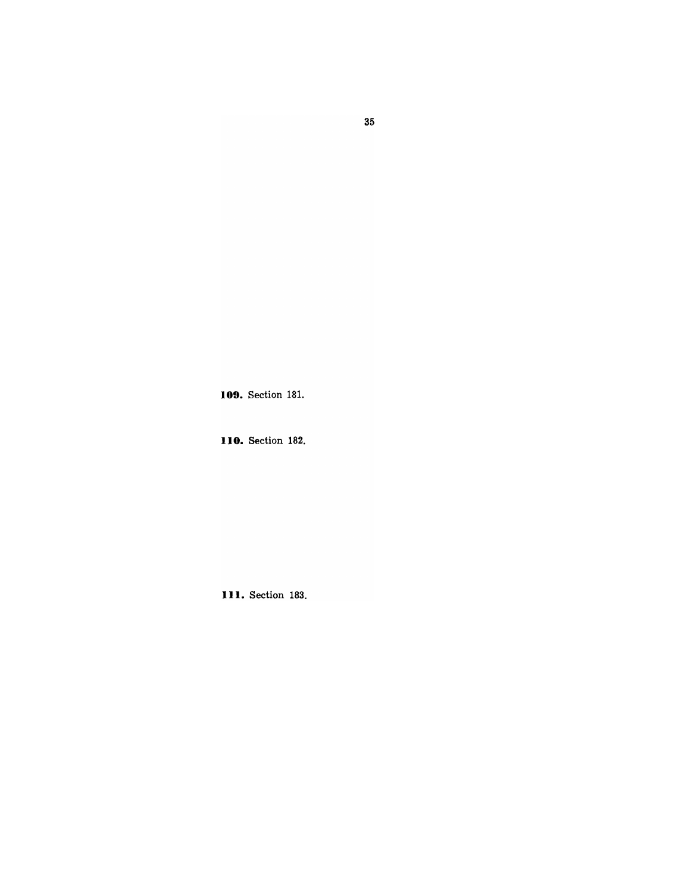109. Section 181.

**110.** Section 182.

**Ill.** Section 183.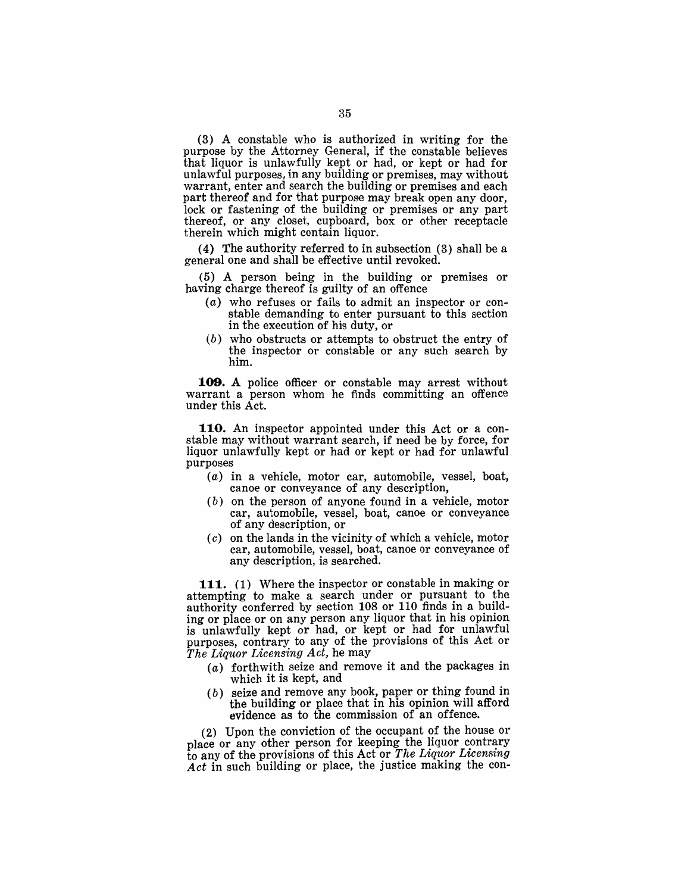(3) A constable who is authorized in writing for the purpose by the Attorney General, if the constable believes that liquor is unlawfully kept or had, or kept or had for unlawful purposes, in any building or premises, may without warrant, enter and search the building or premises and each part thereof and for that purpose may break open any door, lock or fastening of the building or premises or any part thereof, or any closet, cupboard, box or other receptacle therein which might contain liquor.

(4) The authority referred to in subsection (3) shall be a general one and shall be effective until revoked.

(5) A person being in the building or premises or having charge thereof is guilty of an offence

- (a) who refuses or fails to admit an inspector or constable demanding to enter pursuant to this section in the execution of his duty, or
- (b) who obstructs or attempts to obstruct the entry of the inspector or constable or any such search by him.

**109. A** police officer or constable may arrest without warrant a person whom he finds committing an offence under this Act.

**110.** An inspector appointed under this Act or a constable may without warrant search, if need be by force, for liquor unlawfully kept or had or kept or had for unlawful purposes

- (a) in a vehicle, motor car, automobile, vessel, boat, canoe or conveyance of any description,
- $(b)$  on the person of anyone found in a vehicle, motor car, automobile, vessel, boat, canoe or conveyance of any description, or
- $(c)$  on the lands in the vicinity of which a vehicle, motor car, automobile, vessel, boat, canoe or conveyance of any description, is searched.

**111.** (1) Where the inspector or constable in making or attempting to make a search under or pursuant to the authority conferred by section 108 or 110 finds in a building or place or on any person any liquor that in his opinion is unlawfully kept or had, or kept or had for unlawful purposes, contrary to any of the provisions of this Act or *The Liquor Licensing Act,* he may

- (a) forthwith seize and remove it and the packages in which it is kept, and
- (b) seize and remove any book, paper or thing found in the building or place that in his opinion will afford evidence as to the commission of an offence.

(2) Upon the conviction of the occupant of the house or place or any other person for keeping the liquor contrary to any of the provisions of this Act or *The Liquor Licensing Act* in such building or place, the justice making the con-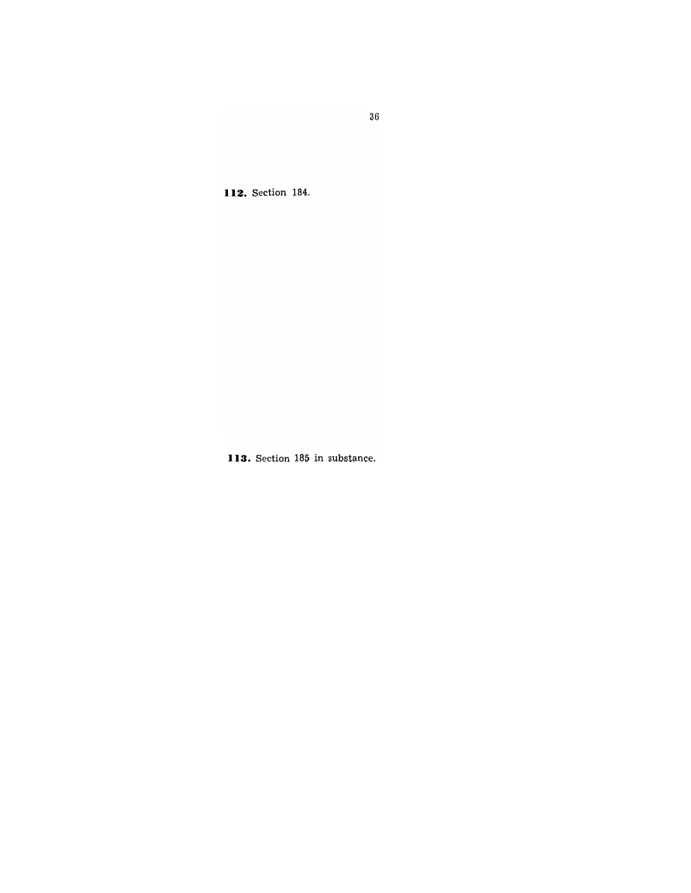**112.** Section 184.

**113.** Section 185 in substance.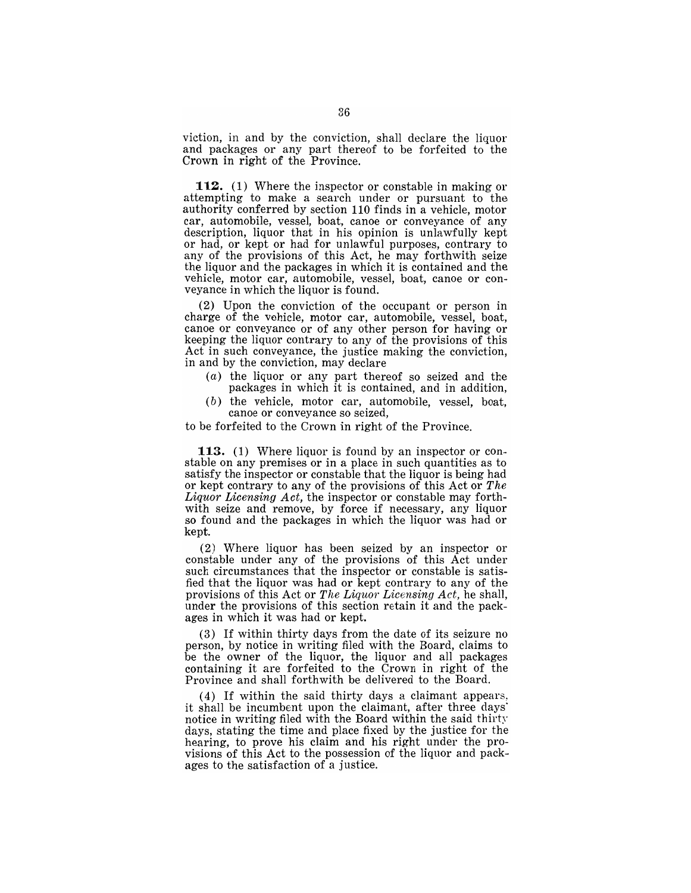viction, in and by the conviction, shall declare the liquor and packages or any part thereof to be forfeited to the Crown in right of the Province.

112. (1) Where the inspector or constable in making or attempting to make a search under or pursuant to the authority conferred by section 110 finds in a vehicle, motor car, automobile, vessel, boat, canoe or conveyance of any description, liquor that in his opinion is unlawfully kept or had, or kept or had for unlawful purposes, contrary to any of the provisions of this Act, he may forthwith seize the liquor and the packages in which it is contained and the vehicle, motor car, automobile, vessel, boat, canoe or conveyance in which the liquor is found.

(2) Upon the conviction of the occupant or person in charge of the vehicle, motor car, automobile, vessel, boat, canoe or conveyance or of any other person for having or keeping the liquor contrary to any of the provisions of this Act in such conveyance, the justice making the conviction, in and by the conviction, may declare

- (a) the liquor or any part thereof so seized and the packages in which it is contained, and in addition,
- (b) the vehicle, motor car, automobile, vessel, boat, canoe or conveyance so seized,

to be forfeited to the Crown in right of the Province.

**113.** (1) Where liquor is found by an inspector or constable on any premises or in a place in such quantities as to satisfy the inspector or constable that the liquor is being had or kept contrary to any of the provisions of this Act or *The Liquor Licensing Act,* the inspector or constable may forthwith seize and remove, by force if necessary, any liquor so found and the packages in which the liquor was had or kept.

(2) Where liquor has been seized by an inspector or constable under any of the provisions of this Act under such circumstances that the inspector or constable is satisfied that the liquor was had or kept contrary to any of the provisions of this Act or *The Liquor Licensing Act,* he shall, under the provisions of this section retain it and the packages in which it was had or kept.

(3) If within thirty days from the date of its seizure no person, by notice in writing filed with the Board, claims to be the owner of the liquor, the liquor and all packages containing it are forfeited to the Crown in right of the Province and shall forthwith be delivered to the Board.

(4) If within the said thirty days a claimant appears. it shall be incumbent upon the claimant, after three days' notice in writing filed with the Board within the said thirty days, stating the time and place fixed by the justice for the hearing, to prove his claim and his right under the provisions of this Act to the possession of the liquor and packages to the satisfaction of a justice.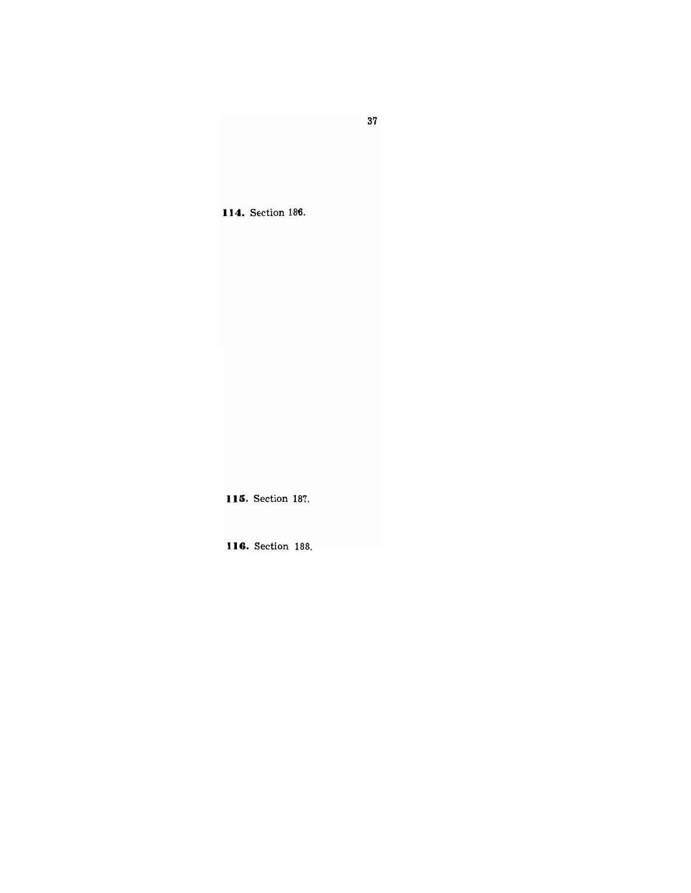37

**114.** Section 186.

**1 }li.** Section 187.

**116.** Section 188.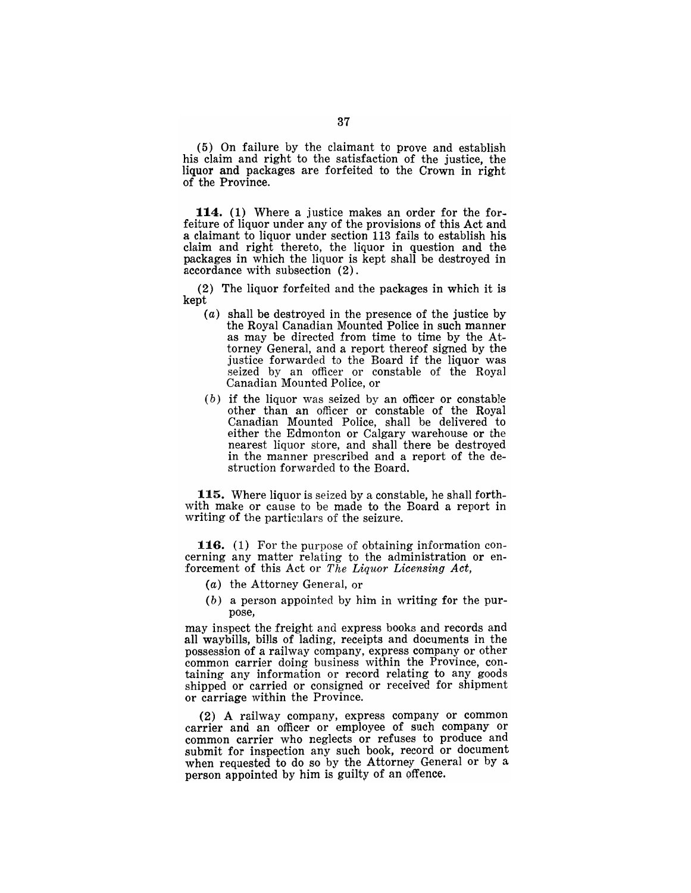(5) On failure by the claimant to prove and establish his claim and right to the satisfaction of the justice, the liquor and packages are forfeited to the Crown in right of the Province.

114. (1) Where a justice makes an order for the forfeiture of liquor under any of the provisions of this Act and a claimant to liquor under section 113 fails to establish his claim and right thereto, the liquor in question and the packages in which the liquor is kept shall be destroyed in accordance with subsection (2).

(2) The liquor forfeited and the packages in which it is kept

- (a) shall be destroyed in the presence of the justice by the Royal Canadian Mounted Police in such manner as may be directed from time to time by the Attorney General, and a report thereof signed by the justice forwarded to the Board if the liquor was seized by an officer or constable of the Royal Canadian Mounted Police, or
- $(b)$  if the liquor was seized by an officer or constable other than an officer or constable of the Royal Canadian Mounted Police, shall be delivered to either the Edmonton or Calgary warehouse or the nearest liquor store, and shall there be destroyed in the manner prescribed and a report of the destruction forwarded to the Board.

115. Where liquor is seized by a constable, he shall forthwith make or cause to be made to the Board a report in writing of the particulars of the seizure.

116. (1) For the purpose of obtaining information concerning any matter relating to the administration or enforcement of this Act or *The Liquor Licensing Act,* 

- (a) the Attorney General, or
- (b) a person appointed by him in writing for the purpose,

may inspect the freight and express books and records and all waybills, bills of lading, receipts and documents in the possession of a railway company, express company or other common carrier doing business within the Province, containing any information or record relating to any goods shipped or carried or consigned or received for shipment or carriage within the Province.

(2) A railway company, express company or common carrier and an officer or employee of such company or common carrier who neglects or refuses to produce and submit for inspection any such book, record or document when requested to do so by the Attorney General or by a person appointed by him is guilty of an offence.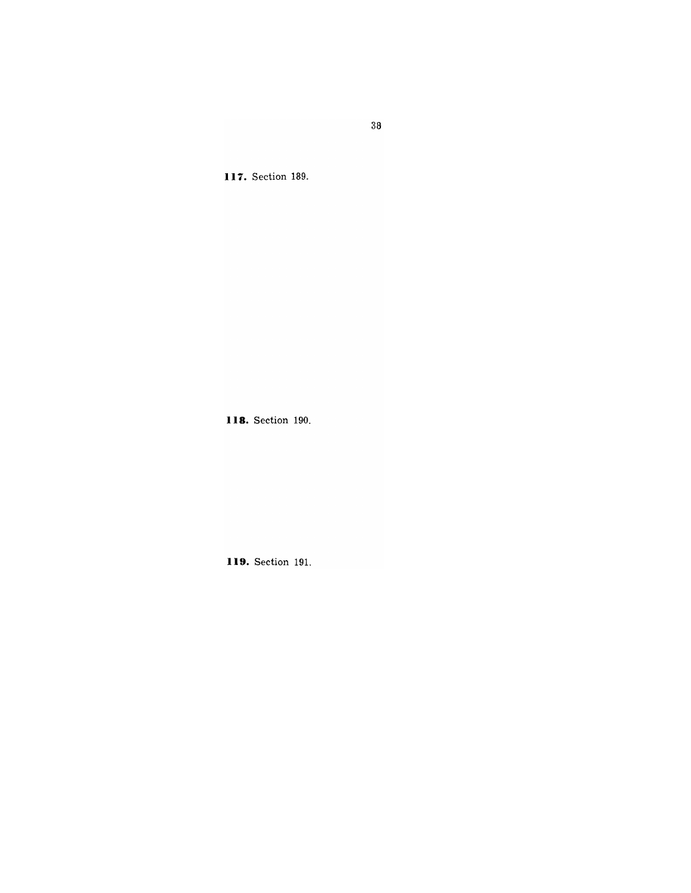**117.** Section 189.

**118.** Section 190.

**119.** Section 191.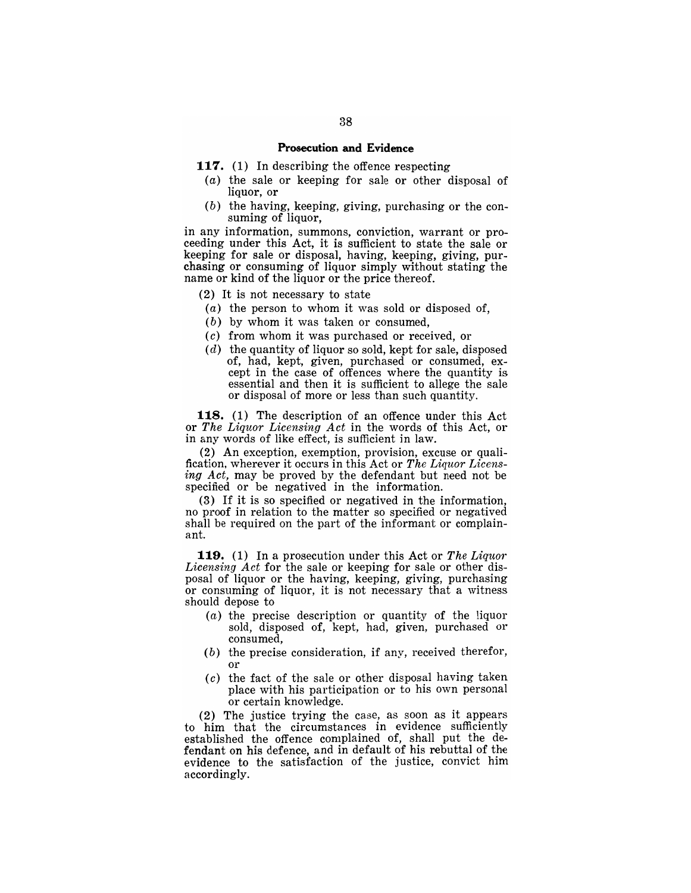# **Prosecution and Evidence**

- **117.** (1) In describing the offence respecting
	- $(a)$  the sale or keeping for sale or other disposal of liquor, or
	- (b) the having, keeping, giving, purchasing or the consuming of liquor.

in any information, summons, conviction, warrant or proceeding under this Act, it is sufficient to state the sale or keeping for sale or disposal, having, keeping, giving, purchasing or consuming of liquor simply without stating the name or kind of the liquor or the price thereof.

(2) It is not necessary to state

- $(a)$  the person to whom it was sold or disposed of,
- (b) by whom it was taken or consumed,
- (c) from whom it was purchased or received, or
- $(d)$  the quantity of liquor so sold, kept for sale, disposed of, had, kept, given, purchased or consumed, except in the case of offences where the quantity is essential and then it is sufficient to allege the sale or disposal of more or less than such quantity.

**118.** (1) The description of an offence under this Act or *The Liquor Licensing Act* in the words of this Act, or in any words of like effect, is sufficient in law.

(2) An exception, exemption, provision, excuse or qualification, wherever it occurs in this Act or *The Liquor Licens*ing Act, may be proved by the defendant but need not be specified or be negatived in the information.

(3) If it is so specified or negatived in the information, no proof in relation to the matter so specified or negatived shall be required on the part of the informant or complainant.

**119.** (1) In a prosecution under this Act or *The Liquor Licensing Act* for the sale or keeping for sale or other disposal of liquor or the having, keeping, giving, purchasing or consuming of liquor, it is not necessary that a witness should depose to

- (a) the precise description or quantity of the liquor sold, disposed of, kept, had, given, purchased or consumed,
- (b) the precise consideration, if any, received therefor, or
- $(c)$  the fact of the sale or other disposal having taken place with his participation or to his own personal or certain knowledge.

(2) The justice trying the case, as soon as it appears to him that the circumstances in evidence sufficiently established the offence complained of, shall put the defendant on his defence, and in default of his rebuttal of the evidence to the satisfaction of the justice, convict him accordingly.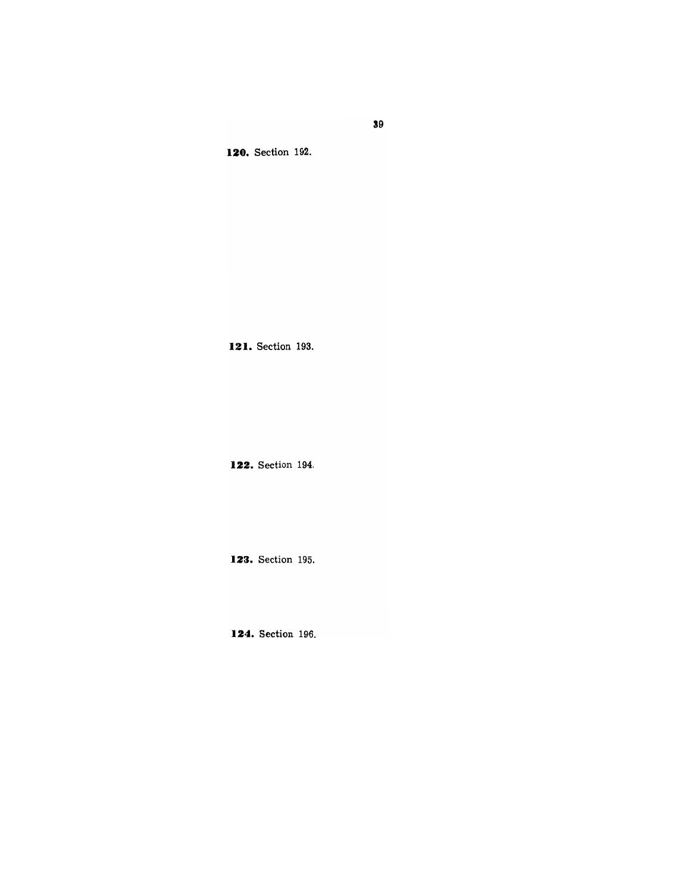**120.** Section 192.

**121.** Section 193.

**122.** Section 194.

**123.** Section 195.

**124.** Section 196.

**39**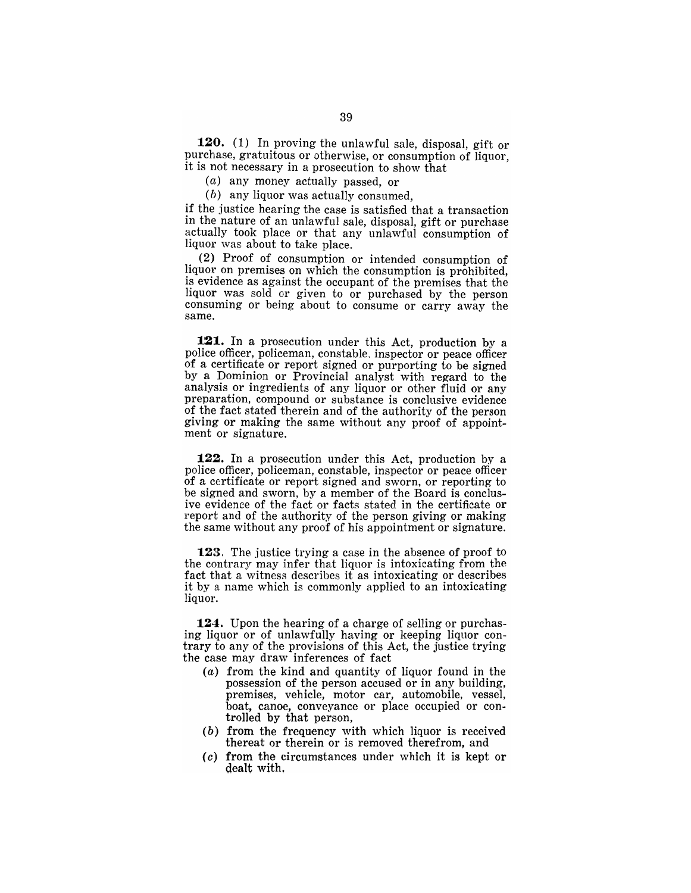**120.** (1) In proving the unlawful sale, disposal, gift or purchase, gratuitous or otherwise, or consumption of liquor, it is not necessary in a prosecution to show that

(a) any money actually passed, or

(b) any liquor was actually consumed,

if the justice hearing the case is satisfied that a transaction in the nature of an unlawful sale, disposal, gift or purchase actually took place or that any unlawful consumption of liquor was about to take place.

(2) Proof of consumption or intended consumption of liquor on premises on which the consumption is prohibited, is evidence as against the occupant of the premises that the liquor was sold or given to or purchased by the person consuming or being about to consume or carry away the same.

**121.** In a prosecution under this Act, production by a police officer, policeman, constable. inspector or peace officer of a certificate or report signed or purporting to be signed by a Dominion or Provincial analyst with regard to the analysis or ingredients of any liquor or other fluid or any preparation, compound or substance is conclusive evidence of the fact stated therein and of the authority of the person giving or making the same without any proof of appointment or signature.

**122.** In a prosecution under this Act, production by a police officer, policeman, constable, inspector or peace officer of a certificate or report signed and sworn, or reporting to be signed and sworn, by a member of the Board is conclusive evidence of the fact or facts stated in the certificate or report and of the authority of the person giving or making the same without any proof of his appointment or signature.

123. The justice trying a case in the absence of proof to the contrary may infer that liqnor is intoxicating from the fact that a witness describes it as intoxicating or describes it by a name which is commonly applied to an intoxicating liquor.

**124.** Upon the hearing of a charge of selling or purchasing liquor or of unlawfully having or keeping liquor contrary to any of the provisions of this Act, the justice trying the case may draw inferences of fact

- (a) from the kind and quantity of liquor found in the possession of the person accused or in any building, premises, vehicle, motor car, automobile, vessel, boat, canoe, conveyance or place occupied or controlled by that person,
- (b) from the frequency with which liquor is received thereat or therein or is removed therefrom, and
- (c) from the circumstances under which it is kept or dealt with.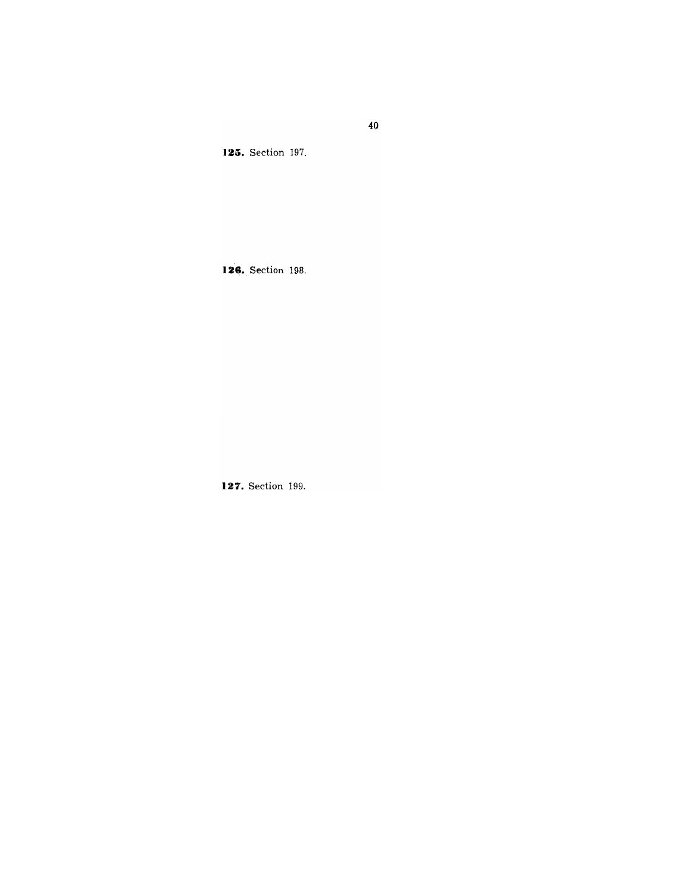**125.** Section 197.

126. Section 198.

**127.** Section 199.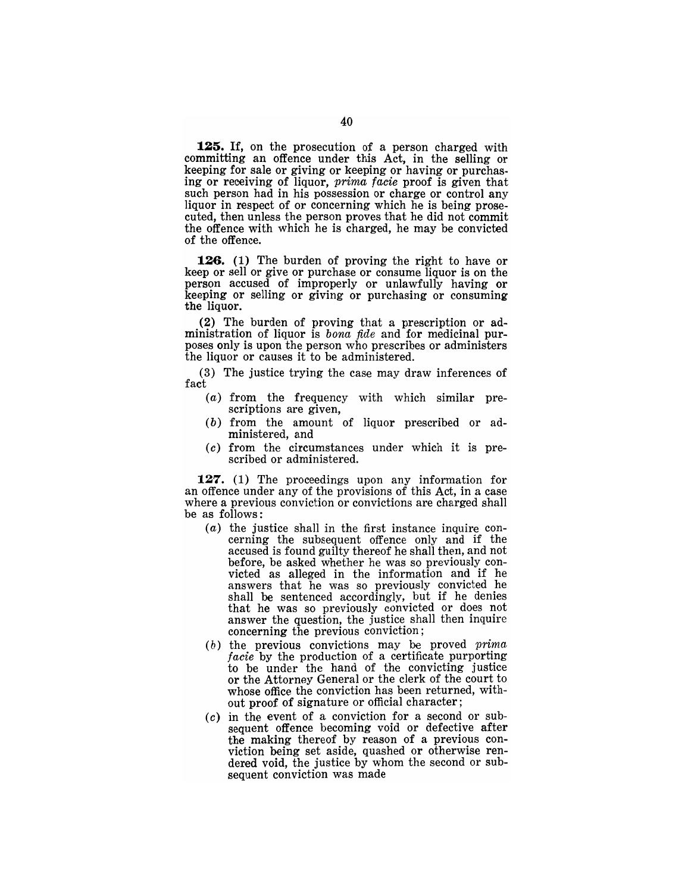**125.** If, on the prosecution of a person charged with committing an offence under this Act, in the selling or keeping for sale or giving or keeping or having or purchasing or receiving of liquor, prima facie proof is given that such person had in his possession or charge or control any liquor in respect of or concerning which he is being prosecuted, then unless the person proves that he did not commit the offence with which he is charged, he may be convicted of the offence.

**126. (1)** The burden of proving the right to have or keep or sell or give or purchase or consume liquor is on the person accused of improperly or unlawfully having or keeping or selling or giving or purchasing or consuming the liquor.

(2) The burden of proving that a prescription or administration of liquor is *bona fide* and for medicinal purposes only is upon the person who prescribes or administers the liquor or causes it to be administered.

(3) The justice trying the case may draw inferences of fact

- (a) from the frequency with which similar prescriptions are given,
- (b) from the amount of liquor prescribed or administered, and
- (c) from the circumstances under which it is prescribed or administered.

**127.** (1) The proceedings upon any information for an offence under any of the provisions of this Act, in a case where a previous conviction or convictions are charged shall be as follows:

- (a) the justice shall in the first instance inquire concerning the subsequent offence only and if the accused is found guilty thereof he shall then, and not before, be asked whether he was so previously convicted as alleged in the information and if he answers that he was so previously convicted he shall be sentenced accordingly, but if he denies that he was so previously convicted or does not answer the question, the justice shall then inquire concerning the previous conviction;
- $(b)$  the previous convictions may be proved *prima* facie by the production of a certificate purporting to be under the hand of the convicting justice or the Attorney General or the clerk of the court to whose office the conviction has been returned, without proof of signature or official character;
- (c) in the event of a conviction for a second or subsequent offence becoming void or defective after the making thereof by reason of a previous conviction being set aside, quashed or otherwise rendered void, the justice by whom the second or subsequent conviction was made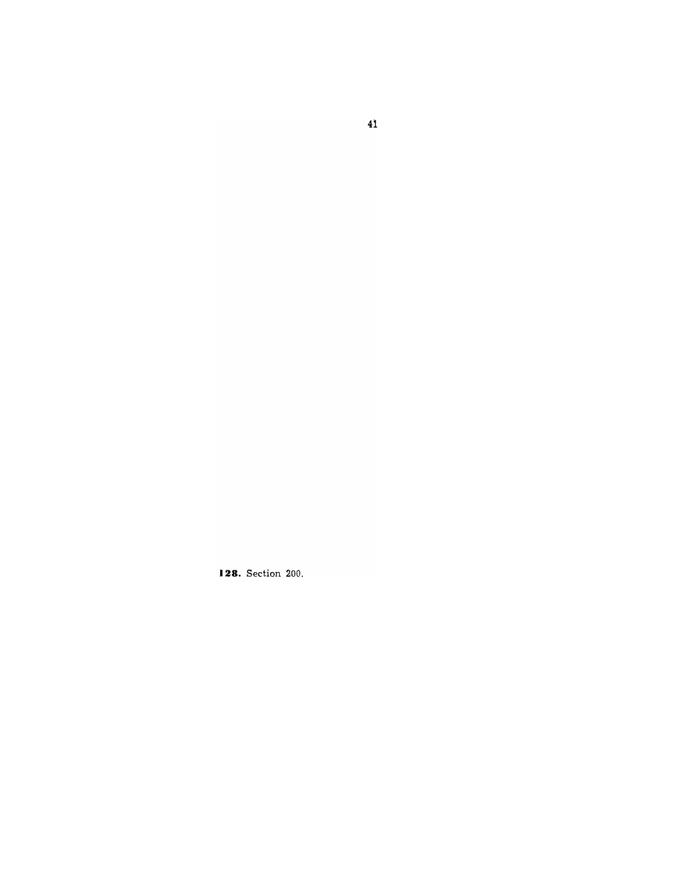**128.** Section 200.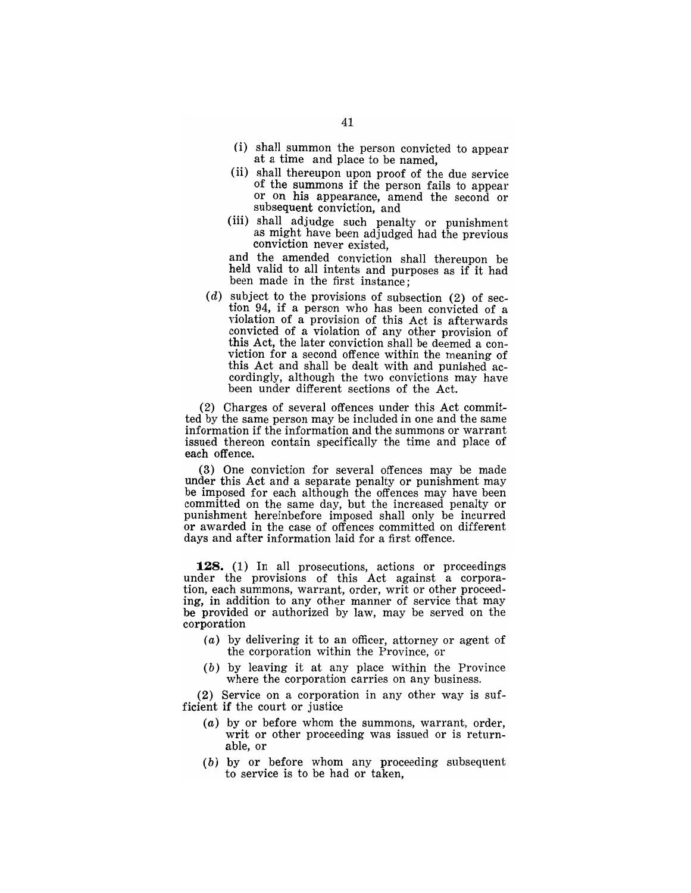- (i) shall summon the person convicted to appear at a time and place to be named,
- (ii) shall thereupon upon proof of the due service of the summons if the person fails to appear or on his appearance, amend the second or subsequent conviction, and
- (iii) shall adjudge such penalty or punishment as might have been adjudged had the previous conviction never existed,

and the amended conviction shall thereupon be held valid to all intents and purposes as if it had been made in the first instance;

 $(d)$  subject to the provisions of subsection  $(2)$  of section 94, if a person who has been convicted of a violation of a provision of this Act is afterwards convicted of a violation of any other provision of this Act, the later conviction shall be deemed a conviction for a second offence within the meaning of this Act and shall be dealt with and punished accordingly, although the two convictions may have been under different sections of the Act.

(2) Charges of several offences under this Act committed by the same person may be included in one and the same information if the information and the summons or warrant issued thereon contain specifically the time and place of each offence.

(3) One conviction for several offences may be made under this Act and a separate penalty or punishment may be imposed for each although the offences may have been committed on the same day, but the increased penalty or punishment hereinbefore imposed shall only be incurred or awarded in the case of offences committed on different days and after information laid for a first offence.

**128.** (1) In all prosecutions, actions or proceedings under the provisions of this Act against a corporation, each summons, warrant, order, writ or other proceeding, in addition to any other manner of service that may be provided or authorized by law, may be served on the corporation

- (a) by delivering it to an officer, attorney or agent of the corporation within the Province, or
- (b) by leaving it at any place within the Province where the corporation carries on any business.

(2) Service on a corporation in any other way is sufficient if the court or justice

- (a) by or before whom the summons, warrant, order, writ or other proceeding was issued or is returnable, or
- (b) by or before whom any proceeding subsequent to service is to be had or taken,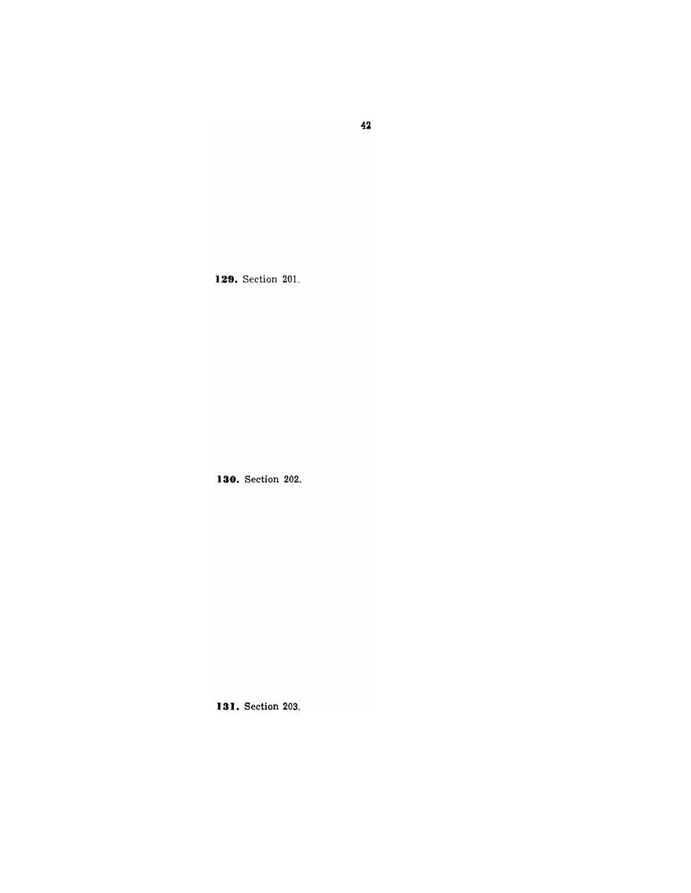**129.** Section 201.

**130.** Section 202.

**131.** Section 203.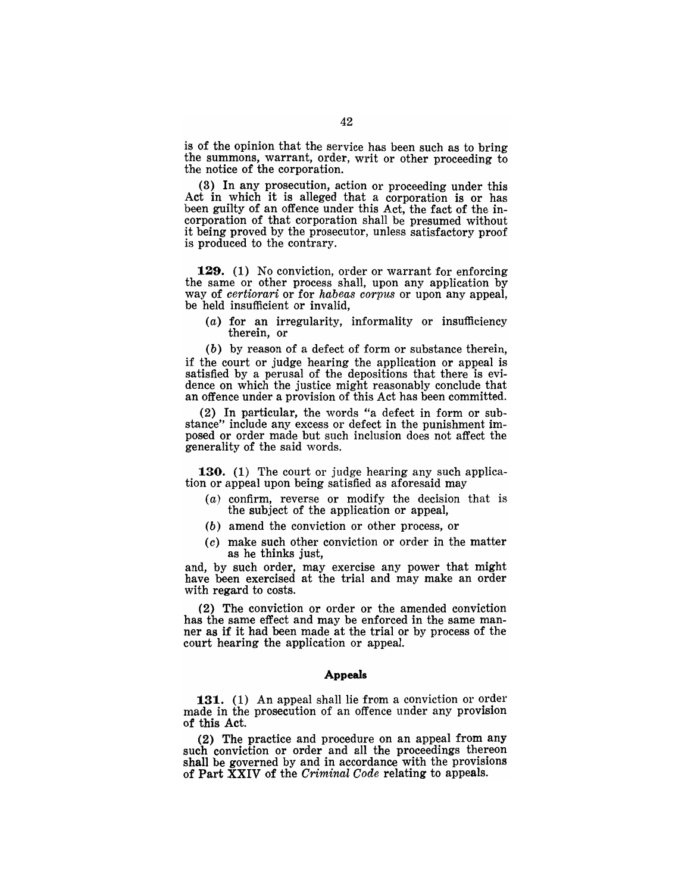is of the opinion that the service has been such as to bring the summons, warrant, order, writ or other proceeding to the notice of the corporation.

(3) In any prosecution, action or proceeding under this Act in which it is alleged that a corporation is or has been guilty of an offence under this Act, the fact of the incorporation of that corporation shall be presumed without it being proved by the prosecutor, unless satisfactory proof is produced to the contrary.

129. (1) No conviction, order or warrant for enforcing the same or other process shall, upon any application by way of *certiorari* or for *habeas corpus* or upon any appeal, be held insufficient or invalid,

(a) for an irregularity, informality or insufficiency therein, or

(b) by reason of a defect of form or substance therein, if the court or judge hearing the application or appeal is satisfied by a perusal of the depositions that there is evidence on which the justice might reasonably conclude that an offence under a provision of this Act has been committed.

(2) In particular, the words "a defect in form or substance" include any excess or defect in the punishment imposed or order made but such inclusion does not affect the generality of the said words.

**130.** (1) The court or judge hearing any such application or appeal upon being satisfied as aforesaid may

- (a) confirm, reverse or modify the decision that is the subject of the application or appeal,
- (b) amend the conviction or other process, or
- (c) make such other conviction or order in the matter as he thinks just,

and, by such order, may exercise any power that might have been exercised at the trial and may make an order with regard to costs.

(2) The conviction or order or the amended conviction has the same effect and may be enforced in the same manner as if it had been made at the trial or by process of the court hearing the application or appeal.

### Appeals

131. (1) An appeal shall lie from a conviction or order made in the prosecution of an offence under any provision of this Act.

(2) The practice and procedure on an appeal from any such conviction or order and all the proceedings thereon shall be governed by and in accordance with the provisions of Part XXIV of the *Criminal Code* relating to appeals.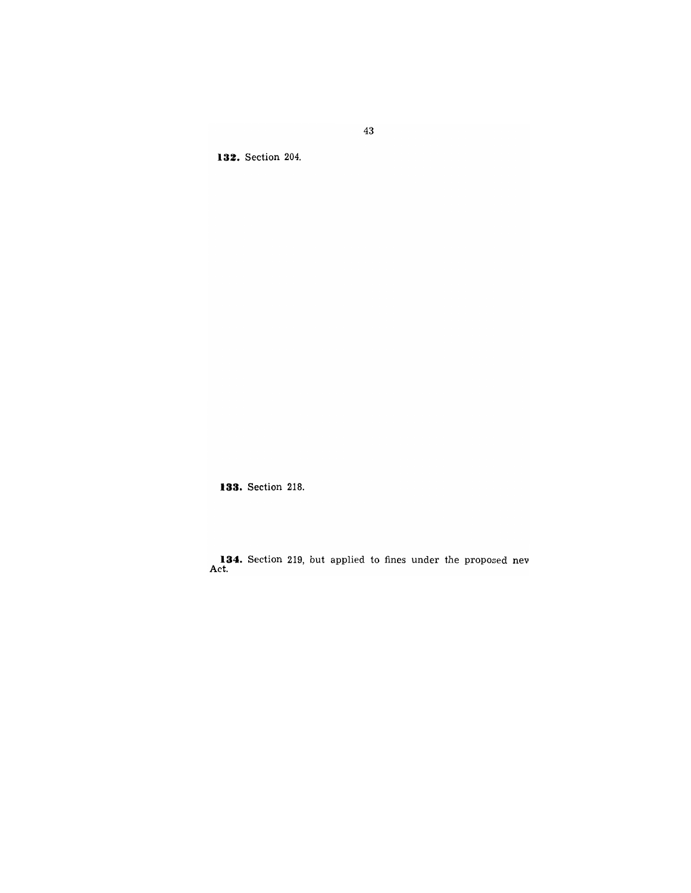132. Section 204.

**133.** Section 218.

134. Section 219, but applied to fines under the proposed nev Act.

43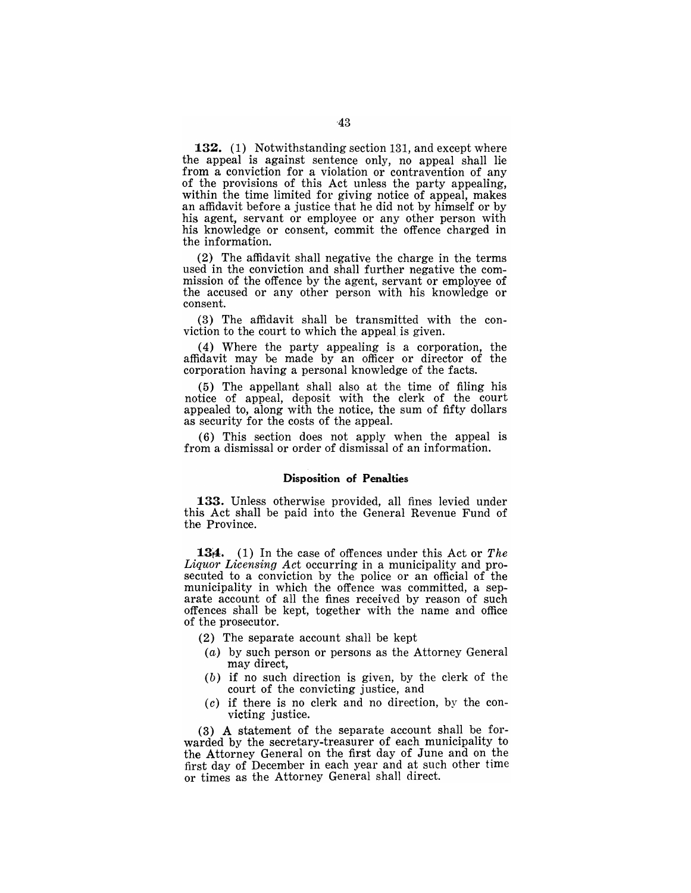**132.** (1) Notwithstanding section 131, and except where the appeal is against sentence only, no appeal shall lie from a conviction for a violation or contravention of any of the provisions of this Act unless the party appealing, within the time limited for giving notice of appeal, makes an affidavit before a justice that he did not by himself or by his agent, servant or employee or any other person with his knowledge or consent, commit the offence charged in the information.

(2) The affidavit shall negative the charge in the terms used in the conviction and shall further negative the commission of the offence by the agent, servant or employee of the accused or any other person with his knowledge or consent.

(3) The affidavit shall be transmitted with the conviction to the court to which the appeal is given.

(4) Where the party appealing is a corporation, the affidavit may be made by an officer or director of the corporation having a personal knowledge of the facts.

(5) The appellant shall also at the time of filing his notice of appeal, deposit with the clerk of the court appealed to, along with the notice, the sum of fifty dollars as security for the costs of the appeal.

(6) This section does not apply when the appeal is from a dismissal or order of dismissal of an information.

## **Disposition of Penalties**

**133.** Unless otherwise provided, all fines levied under this Act shall be paid into the General Revenue Fund of the Province.

**134.** (1) In the case of offences under this Act or *The Liquor Licensing Act* occurring in a municipality and prosecuted to a conviction by the police or an official of the municipality in which the offence was committed, a separate account of all the fines received by reason of such offences shall be kept, together with the name and office of the prosecutor.

- (2) The separate account shall be kept
- (a) by such person or persons as the Attorney General may direct,
- (b) if no such direction is given, by the clerk of the court of the convicting justice, and
- $(c)$  if there is no clerk and no direction, by the convicting justice.

(3) A statement of the separate account shall be forwarded by the secretary-treasurer of each municipality to the Attorney General on the first day of June and on the first day of December in each year and at such other time or times as the Attorney General shall direct.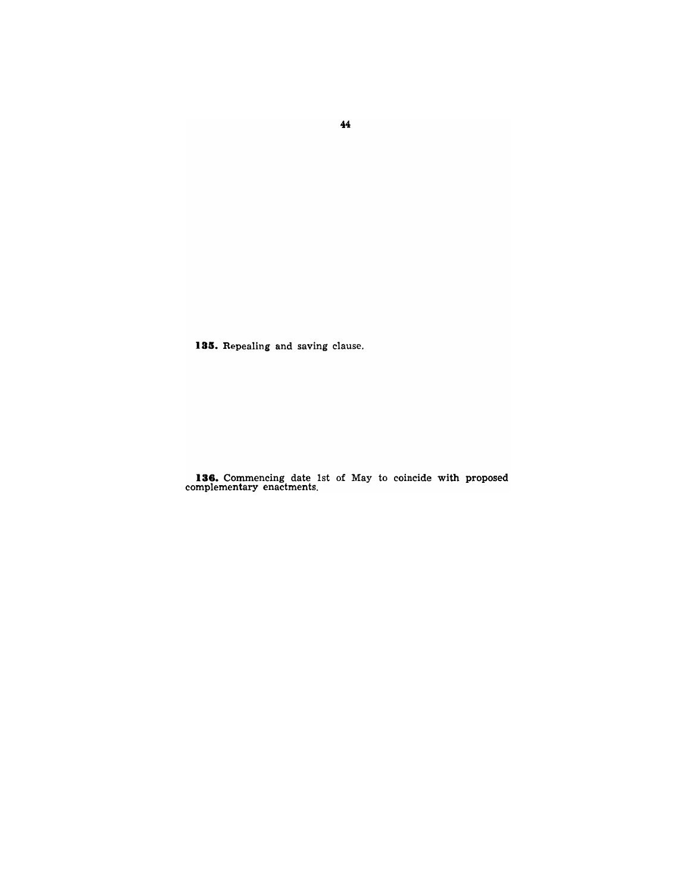**185.** Repealing and saving clause.

**136.** Commencing date 1st of May to coincide with proposed complementary enactments.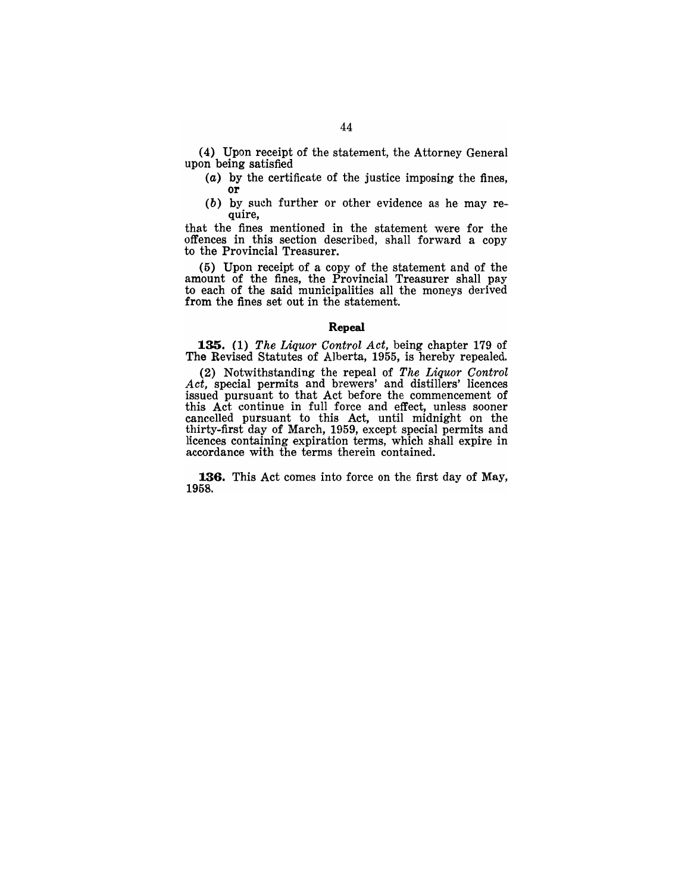(4) Upon receipt of the statement, the Attorney General upon being satisfied

- (a) by the certificate of the justice imposing the fines, or
- (b) by such further or other evidence as he may require,

that the fines mentioned in the statement were for the offences in this section described, shall forward a copy to the Provincial Treasurer.

(5) Upon receipt of a copy of the statement and of the amount of the fines, the Provincial Treasurer shall pay to each of the said municipalities all the moneys derived from the fines set out in the statement.

### **Repeal**

**1.35.** (1) *The Liquor Control Act,* being chapter 179 of The Revised Statutes of Alberta, 1955, is hereby repealed.

(2) Notwithstanding the repeal of *The Liquor Control Act,* special permits and brewers' and distillers' licences issued pursuant to that Act before the commencement of this Act continue in full force and effect, unless sooner cancelled pursuant to this Act, until midnight on the thirty-first day of March, 1959, except special permits and licences containing expiration terms, which shall expire in accordance with the terms therein contained.

**1.36.** This Act comes into force on the first day of May, 1958.